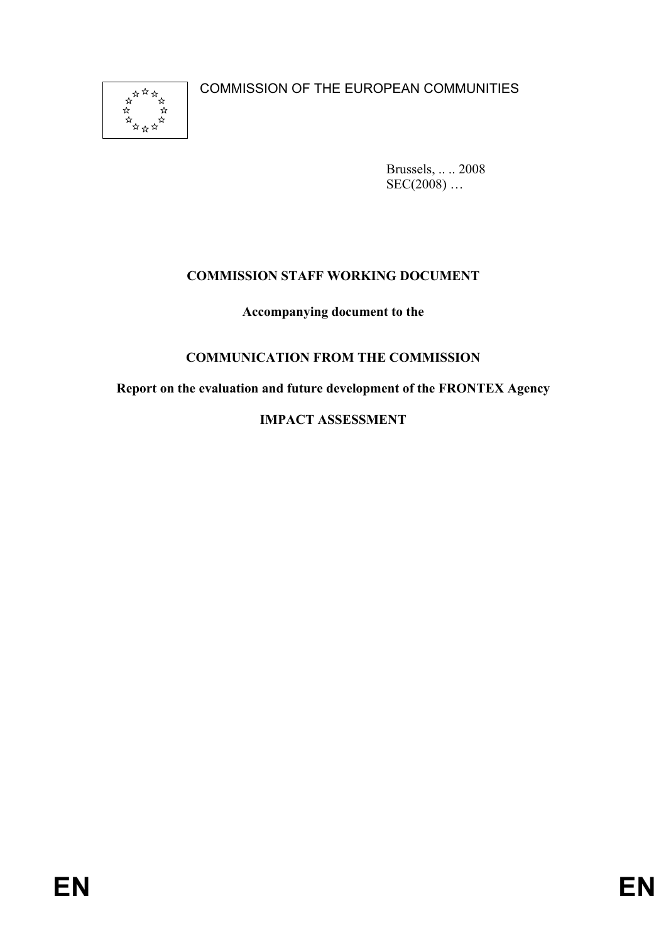\*\*\*\*\*\*<br>\*\*\*\*\*\*\*\*<br>\*\*\*\*\*\*

COMMISSION OF THE EUROPEAN COMMUNITIES

Brussels, .. .. 2008  $SEC(2008) ...$ 

# **COMMISSION STAFF WORKING DOCUMENT**

**Accompanying document to the** 

# **COMMUNICATION FROM THE COMMISSION**

**Report on the evaluation and future development of the FRONTEX Agency** 

# **IMPACT ASSESSMENT**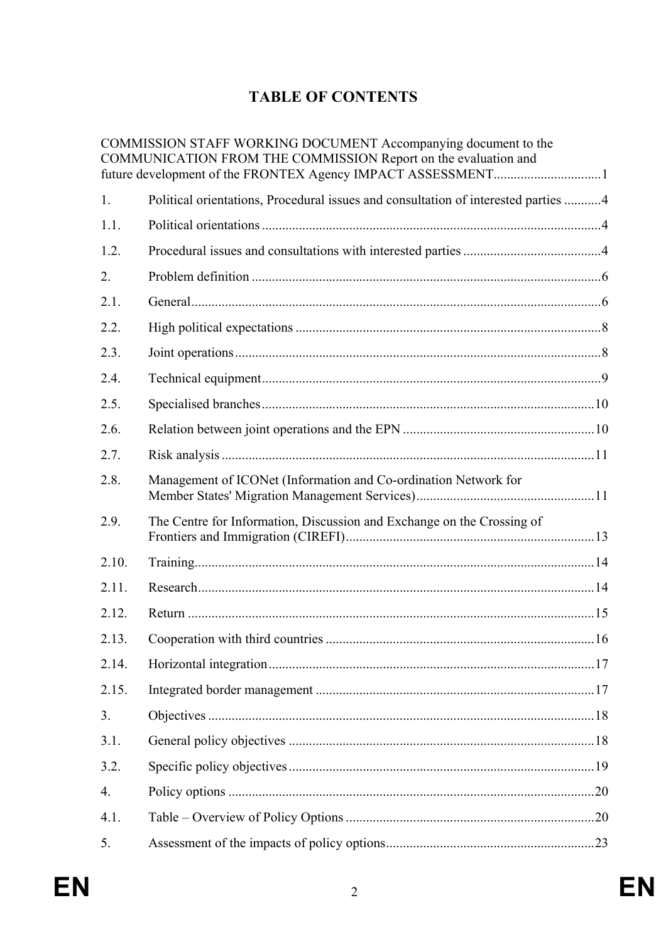# **TABLE OF CONTENTS**

|       | COMMISSION STAFF WORKING DOCUMENT Accompanying document to the<br>COMMUNICATION FROM THE COMMISSION Report on the evaluation and |  |
|-------|----------------------------------------------------------------------------------------------------------------------------------|--|
| 1.    | Political orientations, Procedural issues and consultation of interested parties  4                                              |  |
| 1.1.  |                                                                                                                                  |  |
| 1.2.  |                                                                                                                                  |  |
| 2.    |                                                                                                                                  |  |
| 2.1.  |                                                                                                                                  |  |
| 2.2.  |                                                                                                                                  |  |
| 2.3.  |                                                                                                                                  |  |
| 2.4.  |                                                                                                                                  |  |
| 2.5.  |                                                                                                                                  |  |
| 2.6.  |                                                                                                                                  |  |
| 2.7.  |                                                                                                                                  |  |
| 2.8.  | Management of ICONet (Information and Co-ordination Network for                                                                  |  |
| 2.9.  | The Centre for Information, Discussion and Exchange on the Crossing of                                                           |  |
| 2.10. |                                                                                                                                  |  |
| 2.11. |                                                                                                                                  |  |
| 2.12. |                                                                                                                                  |  |
| 2.13. |                                                                                                                                  |  |
| 2.14. |                                                                                                                                  |  |
| 2.15. |                                                                                                                                  |  |
| 3.    |                                                                                                                                  |  |
| 3.1.  |                                                                                                                                  |  |
| 3.2.  |                                                                                                                                  |  |
| 4.    |                                                                                                                                  |  |
| 4.1.  |                                                                                                                                  |  |
| 5.    |                                                                                                                                  |  |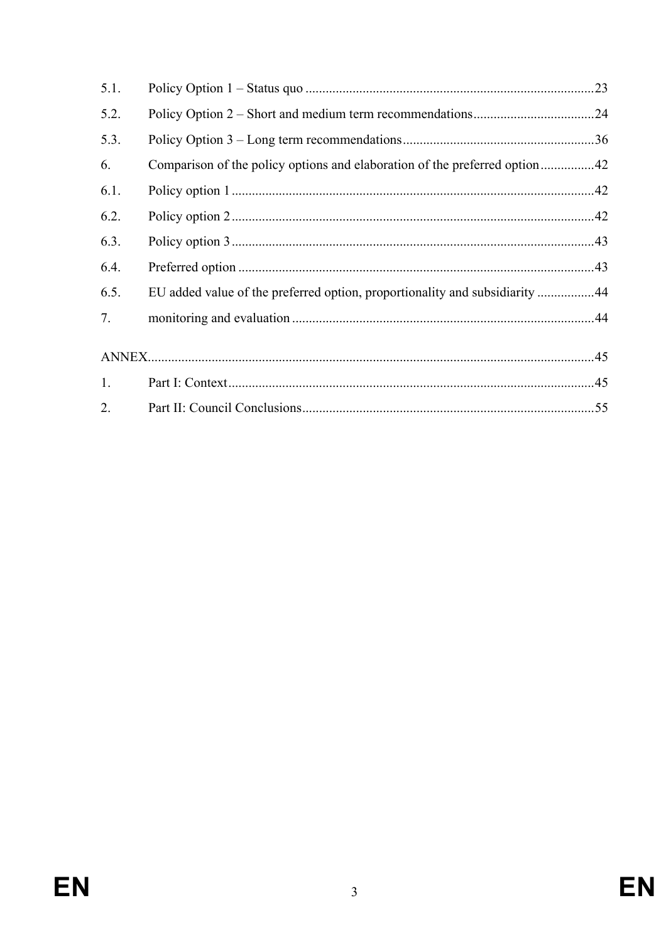| 5.1. |                                                                             | .23 |
|------|-----------------------------------------------------------------------------|-----|
| 5.2. |                                                                             |     |
| 5.3. |                                                                             |     |
| 6.   |                                                                             |     |
| 6.1. |                                                                             |     |
| 6.2. |                                                                             |     |
| 6.3. |                                                                             |     |
| 6.4. |                                                                             |     |
| 6.5. | EU added value of the preferred option, proportionality and subsidiarity 44 |     |
| 7.   |                                                                             |     |
|      |                                                                             |     |
| 1.   |                                                                             |     |
| 2.   |                                                                             |     |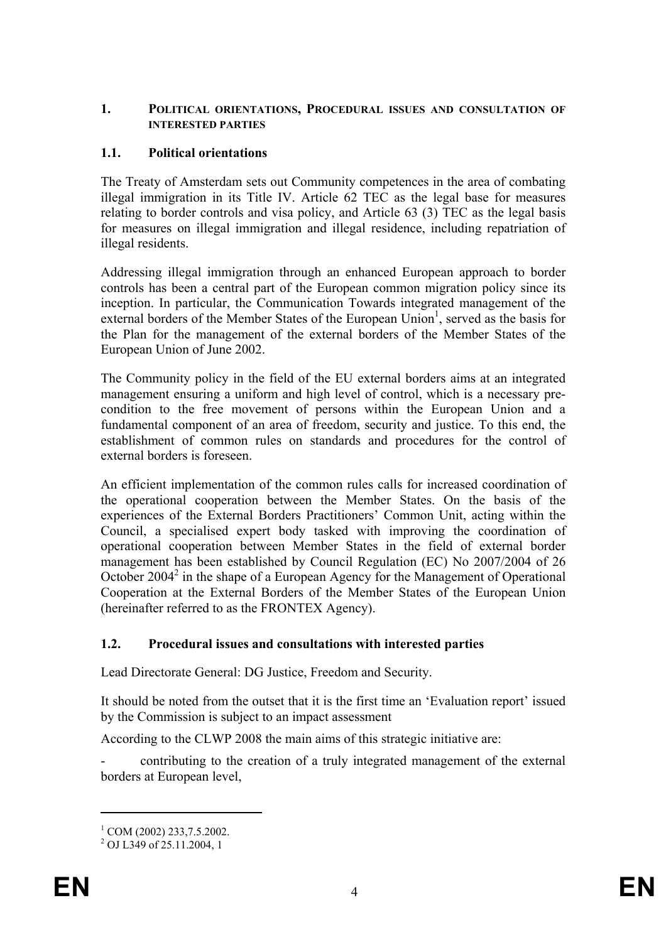#### **1. POLITICAL ORIENTATIONS, PROCEDURAL ISSUES AND CONSULTATION OF INTERESTED PARTIES**

# **1.1. Political orientations**

The Treaty of Amsterdam sets out Community competences in the area of combating illegal immigration in its Title IV. Article 62 TEC as the legal base for measures relating to border controls and visa policy, and Article 63 (3) TEC as the legal basis for measures on illegal immigration and illegal residence, including repatriation of illegal residents.

Addressing illegal immigration through an enhanced European approach to border controls has been a central part of the European common migration policy since its inception. In particular, the Communication Towards integrated management of the external borders of the Member States of the European Union<sup>1</sup>, served as the basis for the Plan for the management of the external borders of the Member States of the European Union of June 2002.

The Community policy in the field of the EU external borders aims at an integrated management ensuring a uniform and high level of control, which is a necessary precondition to the free movement of persons within the European Union and a fundamental component of an area of freedom, security and justice. To this end, the establishment of common rules on standards and procedures for the control of external borders is foreseen.

An efficient implementation of the common rules calls for increased coordination of the operational cooperation between the Member States. On the basis of the experiences of the External Borders Practitioners' Common Unit, acting within the Council, a specialised expert body tasked with improving the coordination of operational cooperation between Member States in the field of external border management has been established by Council Regulation (EC) No 2007/2004 of 26 October 2004<sup>2</sup> in the shape of a European Agency for the Management of Operational Cooperation at the External Borders of the Member States of the European Union (hereinafter referred to as the FRONTEX Agency).

# **1.2. Procedural issues and consultations with interested parties**

Lead Directorate General: DG Justice, Freedom and Security.

It should be noted from the outset that it is the first time an 'Evaluation report' issued by the Commission is subject to an impact assessment

According to the CLWP 2008 the main aims of this strategic initiative are:

- contributing to the creation of a truly integrated management of the external borders at European level,

 $\overline{a}$ 

<sup>&</sup>lt;sup>1</sup> COM (2002) 233,7.5.2002.

<sup>2</sup> OJ L349 of 25.11.2004, 1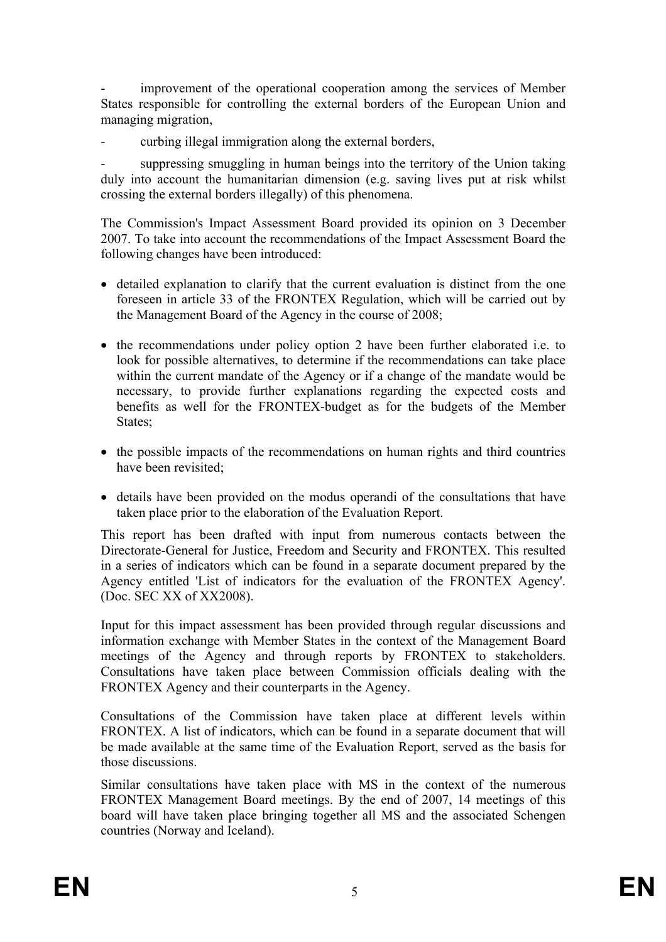improvement of the operational cooperation among the services of Member States responsible for controlling the external borders of the European Union and managing migration,

curbing illegal immigration along the external borders,

suppressing smuggling in human beings into the territory of the Union taking duly into account the humanitarian dimension (e.g. saving lives put at risk whilst crossing the external borders illegally) of this phenomena.

The Commission's Impact Assessment Board provided its opinion on 3 December 2007. To take into account the recommendations of the Impact Assessment Board the following changes have been introduced:

- detailed explanation to clarify that the current evaluation is distinct from the one foreseen in article 33 of the FRONTEX Regulation, which will be carried out by the Management Board of the Agency in the course of 2008;
- the recommendations under policy option 2 have been further elaborated i.e. to look for possible alternatives, to determine if the recommendations can take place within the current mandate of the Agency or if a change of the mandate would be necessary, to provide further explanations regarding the expected costs and benefits as well for the FRONTEX-budget as for the budgets of the Member States:
- the possible impacts of the recommendations on human rights and third countries have been revisited;
- details have been provided on the modus operandi of the consultations that have taken place prior to the elaboration of the Evaluation Report.

This report has been drafted with input from numerous contacts between the Directorate-General for Justice, Freedom and Security and FRONTEX. This resulted in a series of indicators which can be found in a separate document prepared by the Agency entitled 'List of indicators for the evaluation of the FRONTEX Agency'. (Doc. SEC XX of XX2008).

Input for this impact assessment has been provided through regular discussions and information exchange with Member States in the context of the Management Board meetings of the Agency and through reports by FRONTEX to stakeholders. Consultations have taken place between Commission officials dealing with the FRONTEX Agency and their counterparts in the Agency.

Consultations of the Commission have taken place at different levels within FRONTEX. A list of indicators, which can be found in a separate document that will be made available at the same time of the Evaluation Report, served as the basis for those discussions.

Similar consultations have taken place with MS in the context of the numerous FRONTEX Management Board meetings. By the end of 2007, 14 meetings of this board will have taken place bringing together all MS and the associated Schengen countries (Norway and Iceland).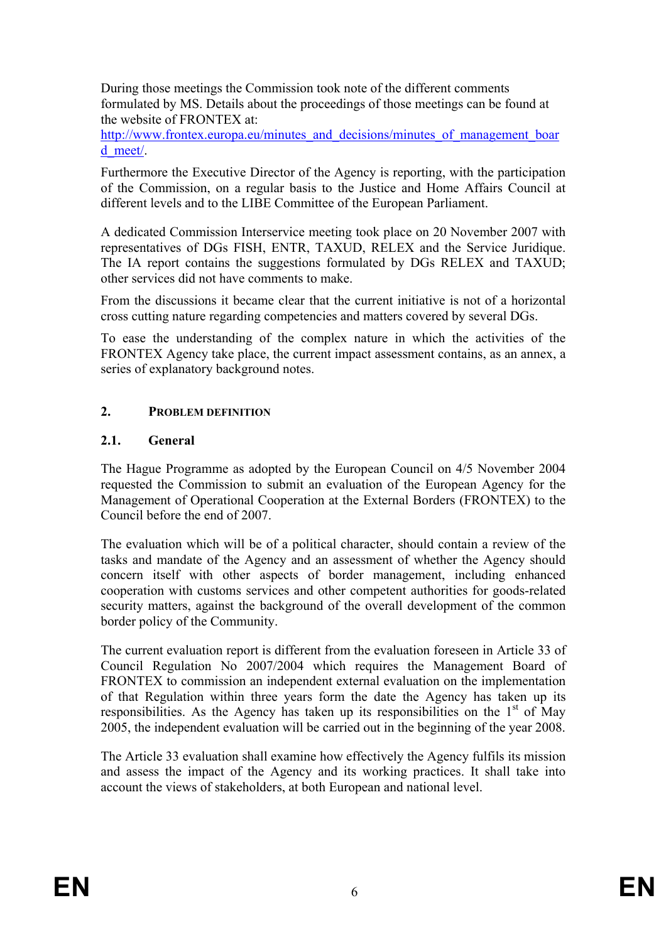During those meetings the Commission took note of the different comments formulated by MS. Details about the proceedings of those meetings can be found at the website of FRONTEX at:

http://www.frontex.europa.eu/minutes\_and\_decisions/minutes\_of\_management\_boar d\_meet/.

Furthermore the Executive Director of the Agency is reporting, with the participation of the Commission, on a regular basis to the Justice and Home Affairs Council at different levels and to the LIBE Committee of the European Parliament.

A dedicated Commission Interservice meeting took place on 20 November 2007 with representatives of DGs FISH, ENTR, TAXUD, RELEX and the Service Juridique. The IA report contains the suggestions formulated by DGs RELEX and TAXUD; other services did not have comments to make.

From the discussions it became clear that the current initiative is not of a horizontal cross cutting nature regarding competencies and matters covered by several DGs.

To ease the understanding of the complex nature in which the activities of the FRONTEX Agency take place, the current impact assessment contains, as an annex, a series of explanatory background notes.

# **2. PROBLEM DEFINITION**

# **2.1. General**

The Hague Programme as adopted by the European Council on 4/5 November 2004 requested the Commission to submit an evaluation of the European Agency for the Management of Operational Cooperation at the External Borders (FRONTEX) to the Council before the end of 2007.

The evaluation which will be of a political character, should contain a review of the tasks and mandate of the Agency and an assessment of whether the Agency should concern itself with other aspects of border management, including enhanced cooperation with customs services and other competent authorities for goods-related security matters, against the background of the overall development of the common border policy of the Community.

The current evaluation report is different from the evaluation foreseen in Article 33 of Council Regulation No 2007/2004 which requires the Management Board of FRONTEX to commission an independent external evaluation on the implementation of that Regulation within three years form the date the Agency has taken up its responsibilities. As the Agency has taken up its responsibilities on the  $1<sup>st</sup>$  of May 2005, the independent evaluation will be carried out in the beginning of the year 2008.

The Article 33 evaluation shall examine how effectively the Agency fulfils its mission and assess the impact of the Agency and its working practices. It shall take into account the views of stakeholders, at both European and national level.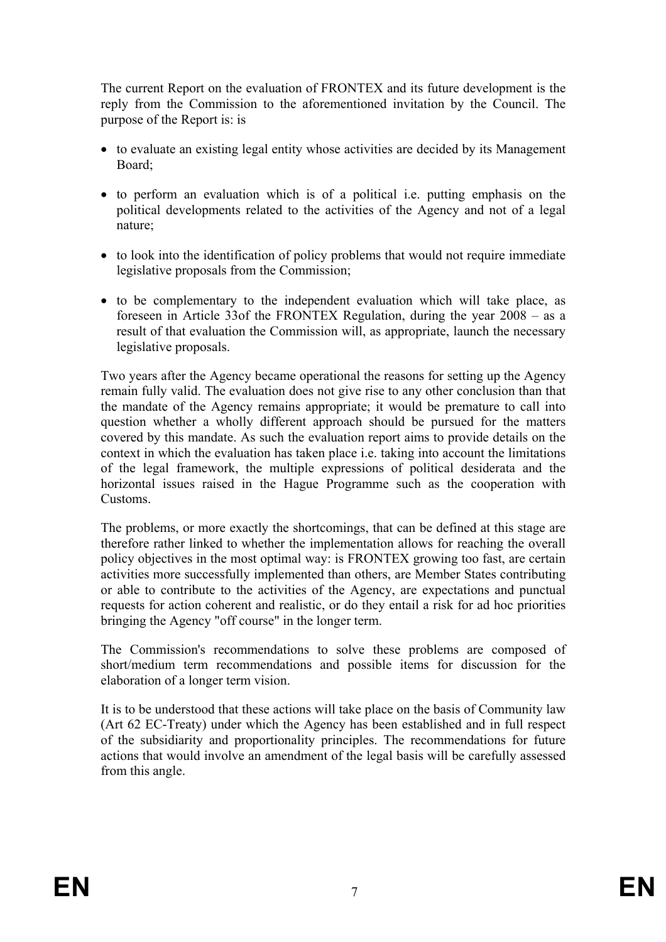The current Report on the evaluation of FRONTEX and its future development is the reply from the Commission to the aforementioned invitation by the Council. The purpose of the Report is: is

- to evaluate an existing legal entity whose activities are decided by its Management Board;
- to perform an evaluation which is of a political i.e. putting emphasis on the political developments related to the activities of the Agency and not of a legal nature;
- to look into the identification of policy problems that would not require immediate legislative proposals from the Commission;
- to be complementary to the independent evaluation which will take place, as foreseen in Article 33of the FRONTEX Regulation, during the year 2008 – as a result of that evaluation the Commission will, as appropriate, launch the necessary legislative proposals.

Two years after the Agency became operational the reasons for setting up the Agency remain fully valid. The evaluation does not give rise to any other conclusion than that the mandate of the Agency remains appropriate; it would be premature to call into question whether a wholly different approach should be pursued for the matters covered by this mandate. As such the evaluation report aims to provide details on the context in which the evaluation has taken place i.e. taking into account the limitations of the legal framework, the multiple expressions of political desiderata and the horizontal issues raised in the Hague Programme such as the cooperation with Customs.

The problems, or more exactly the shortcomings, that can be defined at this stage are therefore rather linked to whether the implementation allows for reaching the overall policy objectives in the most optimal way: is FRONTEX growing too fast, are certain activities more successfully implemented than others, are Member States contributing or able to contribute to the activities of the Agency, are expectations and punctual requests for action coherent and realistic, or do they entail a risk for ad hoc priorities bringing the Agency "off course" in the longer term.

The Commission's recommendations to solve these problems are composed of short/medium term recommendations and possible items for discussion for the elaboration of a longer term vision.

It is to be understood that these actions will take place on the basis of Community law (Art 62 EC-Treaty) under which the Agency has been established and in full respect of the subsidiarity and proportionality principles. The recommendations for future actions that would involve an amendment of the legal basis will be carefully assessed from this angle.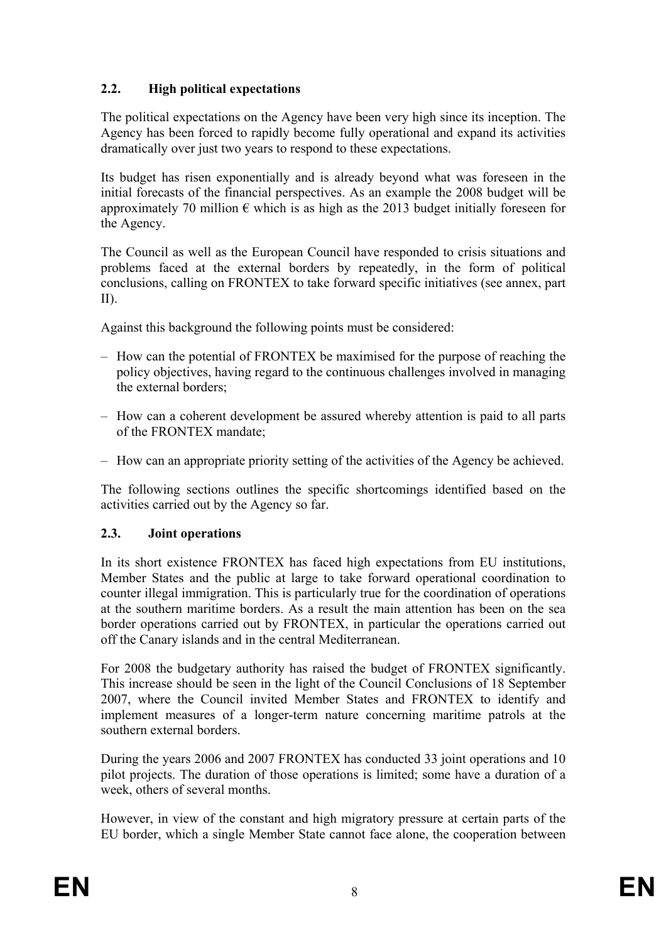# **2.2. High political expectations**

The political expectations on the Agency have been very high since its inception. The Agency has been forced to rapidly become fully operational and expand its activities dramatically over just two years to respond to these expectations.

Its budget has risen exponentially and is already beyond what was foreseen in the initial forecasts of the financial perspectives. As an example the 2008 budget will be approximately 70 million  $\epsilon$  which is as high as the 2013 budget initially foreseen for the Agency.

The Council as well as the European Council have responded to crisis situations and problems faced at the external borders by repeatedly, in the form of political conclusions, calling on FRONTEX to take forward specific initiatives (see annex, part II).

Against this background the following points must be considered:

- How can the potential of FRONTEX be maximised for the purpose of reaching the policy objectives, having regard to the continuous challenges involved in managing the external borders;
- How can a coherent development be assured whereby attention is paid to all parts of the FRONTEX mandate;
- How can an appropriate priority setting of the activities of the Agency be achieved.

The following sections outlines the specific shortcomings identified based on the activities carried out by the Agency so far.

# **2.3. Joint operations**

In its short existence FRONTEX has faced high expectations from EU institutions, Member States and the public at large to take forward operational coordination to counter illegal immigration. This is particularly true for the coordination of operations at the southern maritime borders. As a result the main attention has been on the sea border operations carried out by FRONTEX, in particular the operations carried out off the Canary islands and in the central Mediterranean.

For 2008 the budgetary authority has raised the budget of FRONTEX significantly. This increase should be seen in the light of the Council Conclusions of 18 September 2007, where the Council invited Member States and FRONTEX to identify and implement measures of a longer-term nature concerning maritime patrols at the southern external borders.

During the years 2006 and 2007 FRONTEX has conducted 33 joint operations and 10 pilot projects. The duration of those operations is limited; some have a duration of a week, others of several months.

However, in view of the constant and high migratory pressure at certain parts of the EU border, which a single Member State cannot face alone, the cooperation between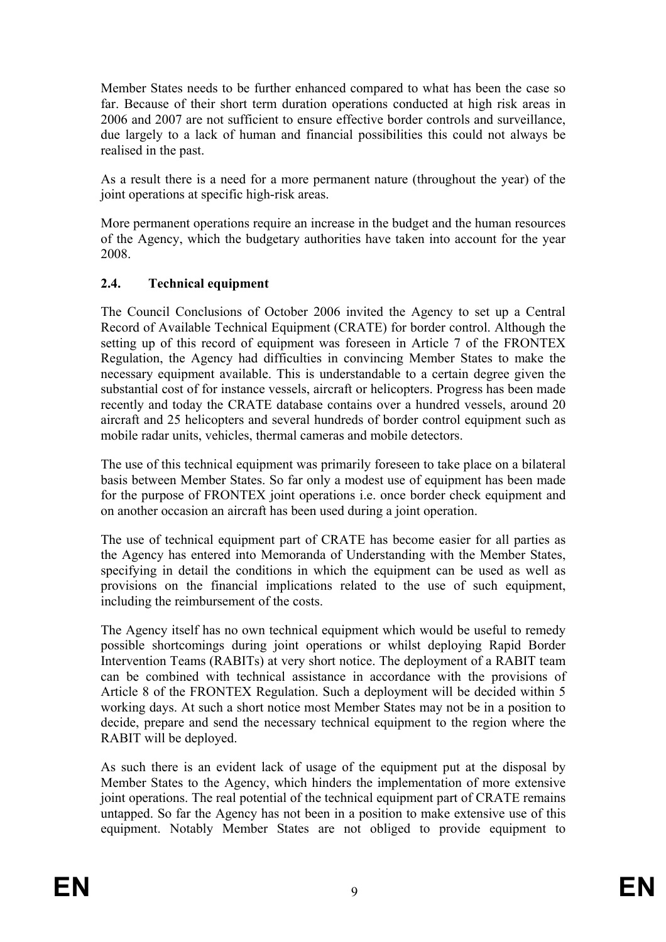Member States needs to be further enhanced compared to what has been the case so far. Because of their short term duration operations conducted at high risk areas in 2006 and 2007 are not sufficient to ensure effective border controls and surveillance, due largely to a lack of human and financial possibilities this could not always be realised in the past.

As a result there is a need for a more permanent nature (throughout the year) of the joint operations at specific high-risk areas.

More permanent operations require an increase in the budget and the human resources of the Agency, which the budgetary authorities have taken into account for the year 2008.

# **2.4. Technical equipment**

The Council Conclusions of October 2006 invited the Agency to set up a Central Record of Available Technical Equipment (CRATE) for border control. Although the setting up of this record of equipment was foreseen in Article 7 of the FRONTEX Regulation, the Agency had difficulties in convincing Member States to make the necessary equipment available. This is understandable to a certain degree given the substantial cost of for instance vessels, aircraft or helicopters. Progress has been made recently and today the CRATE database contains over a hundred vessels, around 20 aircraft and 25 helicopters and several hundreds of border control equipment such as mobile radar units, vehicles, thermal cameras and mobile detectors.

The use of this technical equipment was primarily foreseen to take place on a bilateral basis between Member States. So far only a modest use of equipment has been made for the purpose of FRONTEX joint operations i.e. once border check equipment and on another occasion an aircraft has been used during a joint operation.

The use of technical equipment part of CRATE has become easier for all parties as the Agency has entered into Memoranda of Understanding with the Member States, specifying in detail the conditions in which the equipment can be used as well as provisions on the financial implications related to the use of such equipment, including the reimbursement of the costs.

The Agency itself has no own technical equipment which would be useful to remedy possible shortcomings during joint operations or whilst deploying Rapid Border Intervention Teams (RABITs) at very short notice. The deployment of a RABIT team can be combined with technical assistance in accordance with the provisions of Article 8 of the FRONTEX Regulation. Such a deployment will be decided within 5 working days. At such a short notice most Member States may not be in a position to decide, prepare and send the necessary technical equipment to the region where the RABIT will be deployed.

As such there is an evident lack of usage of the equipment put at the disposal by Member States to the Agency, which hinders the implementation of more extensive joint operations. The real potential of the technical equipment part of CRATE remains untapped. So far the Agency has not been in a position to make extensive use of this equipment. Notably Member States are not obliged to provide equipment to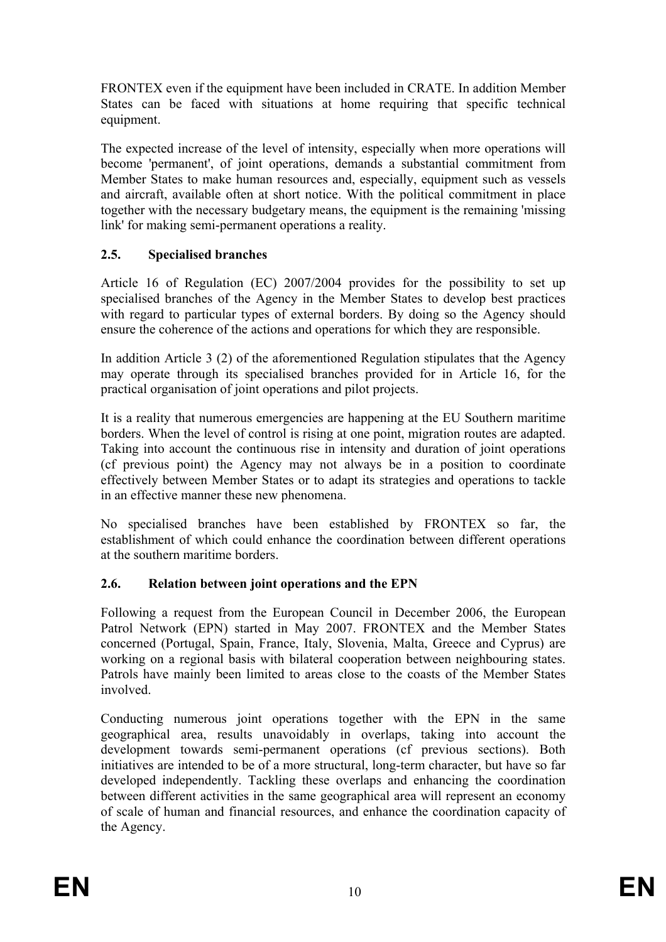FRONTEX even if the equipment have been included in CRATE. In addition Member States can be faced with situations at home requiring that specific technical equipment.

The expected increase of the level of intensity, especially when more operations will become 'permanent', of joint operations, demands a substantial commitment from Member States to make human resources and, especially, equipment such as vessels and aircraft, available often at short notice. With the political commitment in place together with the necessary budgetary means, the equipment is the remaining 'missing link' for making semi-permanent operations a reality.

# **2.5. Specialised branches**

Article 16 of Regulation (EC) 2007/2004 provides for the possibility to set up specialised branches of the Agency in the Member States to develop best practices with regard to particular types of external borders. By doing so the Agency should ensure the coherence of the actions and operations for which they are responsible.

In addition Article 3 (2) of the aforementioned Regulation stipulates that the Agency may operate through its specialised branches provided for in Article 16, for the practical organisation of joint operations and pilot projects.

It is a reality that numerous emergencies are happening at the EU Southern maritime borders. When the level of control is rising at one point, migration routes are adapted. Taking into account the continuous rise in intensity and duration of joint operations (cf previous point) the Agency may not always be in a position to coordinate effectively between Member States or to adapt its strategies and operations to tackle in an effective manner these new phenomena.

No specialised branches have been established by FRONTEX so far, the establishment of which could enhance the coordination between different operations at the southern maritime borders.

# **2.6. Relation between joint operations and the EPN**

Following a request from the European Council in December 2006, the European Patrol Network (EPN) started in May 2007. FRONTEX and the Member States concerned (Portugal, Spain, France, Italy, Slovenia, Malta, Greece and Cyprus) are working on a regional basis with bilateral cooperation between neighbouring states. Patrols have mainly been limited to areas close to the coasts of the Member States involved.

Conducting numerous joint operations together with the EPN in the same geographical area, results unavoidably in overlaps, taking into account the development towards semi-permanent operations (cf previous sections). Both initiatives are intended to be of a more structural, long-term character, but have so far developed independently. Tackling these overlaps and enhancing the coordination between different activities in the same geographical area will represent an economy of scale of human and financial resources, and enhance the coordination capacity of the Agency.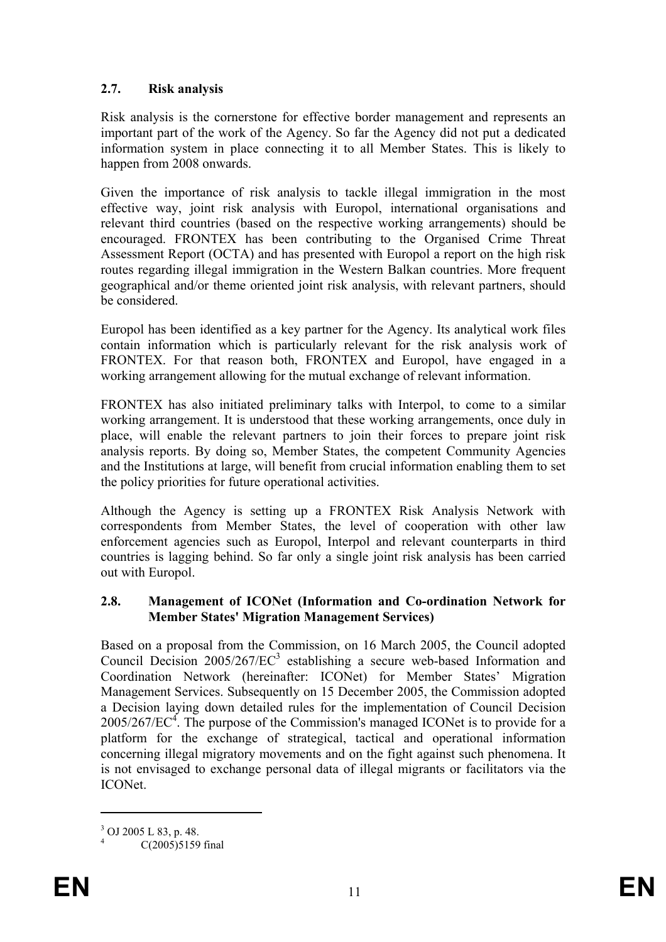# **2.7. Risk analysis**

Risk analysis is the cornerstone for effective border management and represents an important part of the work of the Agency. So far the Agency did not put a dedicated information system in place connecting it to all Member States. This is likely to happen from 2008 onwards.

Given the importance of risk analysis to tackle illegal immigration in the most effective way, joint risk analysis with Europol, international organisations and relevant third countries (based on the respective working arrangements) should be encouraged. FRONTEX has been contributing to the Organised Crime Threat Assessment Report (OCTA) and has presented with Europol a report on the high risk routes regarding illegal immigration in the Western Balkan countries. More frequent geographical and/or theme oriented joint risk analysis, with relevant partners, should be considered.

Europol has been identified as a key partner for the Agency. Its analytical work files contain information which is particularly relevant for the risk analysis work of FRONTEX. For that reason both, FRONTEX and Europol, have engaged in a working arrangement allowing for the mutual exchange of relevant information.

FRONTEX has also initiated preliminary talks with Interpol, to come to a similar working arrangement. It is understood that these working arrangements, once duly in place, will enable the relevant partners to join their forces to prepare joint risk analysis reports. By doing so, Member States, the competent Community Agencies and the Institutions at large, will benefit from crucial information enabling them to set the policy priorities for future operational activities.

Although the Agency is setting up a FRONTEX Risk Analysis Network with correspondents from Member States, the level of cooperation with other law enforcement agencies such as Europol, Interpol and relevant counterparts in third countries is lagging behind. So far only a single joint risk analysis has been carried out with Europol.

### **2.8. Management of ICONet (Information and Co-ordination Network for Member States' Migration Management Services)**

Based on a proposal from the Commission, on 16 March 2005, the Council adopted Council Decision  $2005/267/EC^3$  establishing a secure web-based Information and Coordination Network (hereinafter: ICONet) for Member States' Migration Management Services. Subsequently on 15 December 2005, the Commission adopted a Decision laying down detailed rules for the implementation of Council Decision  $2005/267/EC<sup>4</sup>$ . The purpose of the Commission's managed ICONet is to provide for a platform for the exchange of strategical, tactical and operational information concerning illegal migratory movements and on the fight against such phenomena. It is not envisaged to exchange personal data of illegal migrants or facilitators via the ICONet.

 $\overline{a}$ 

 $3$  OJ 2005 L 83, p. 48. 4

C(2005)5159 final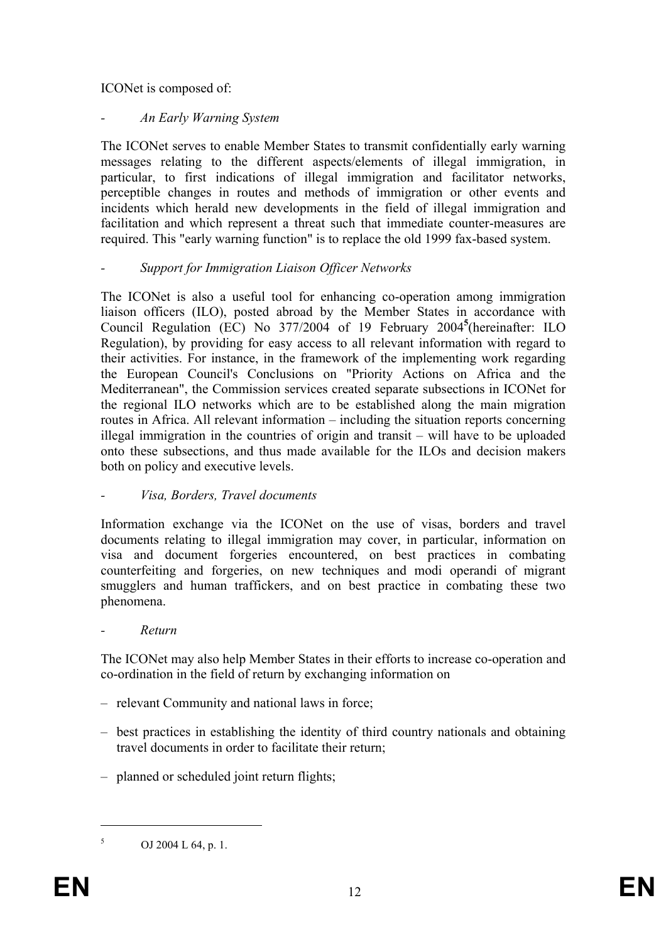ICONet is composed of:

# *- An Early Warning System*

The ICONet serves to enable Member States to transmit confidentially early warning messages relating to the different aspects/elements of illegal immigration, in particular, to first indications of illegal immigration and facilitator networks, perceptible changes in routes and methods of immigration or other events and incidents which herald new developments in the field of illegal immigration and facilitation and which represent a threat such that immediate counter-measures are required. This "early warning function" is to replace the old 1999 fax-based system.

# *- Support for Immigration Liaison Officer Networks*

The ICONet is also a useful tool for enhancing co-operation among immigration liaison officers (ILO), posted abroad by the Member States in accordance with Council Regulation (EC) No 377/2004 of 19 February 2004**<sup>5</sup>** (hereinafter: ILO Regulation), by providing for easy access to all relevant information with regard to their activities. For instance, in the framework of the implementing work regarding the European Council's Conclusions on "Priority Actions on Africa and the Mediterranean", the Commission services created separate subsections in ICONet for the regional ILO networks which are to be established along the main migration routes in Africa. All relevant information – including the situation reports concerning illegal immigration in the countries of origin and transit – will have to be uploaded onto these subsections, and thus made available for the ILOs and decision makers both on policy and executive levels.

# *- Visa, Borders, Travel documents*

Information exchange via the ICONet on the use of visas, borders and travel documents relating to illegal immigration may cover, in particular, information on visa and document forgeries encountered, on best practices in combating counterfeiting and forgeries, on new techniques and modi operandi of migrant smugglers and human traffickers, and on best practice in combating these two phenomena.

# *- Return*

The ICONet may also help Member States in their efforts to increase co-operation and co-ordination in the field of return by exchanging information on

- relevant Community and national laws in force;
- best practices in establishing the identity of third country nationals and obtaining travel documents in order to facilitate their return;
- planned or scheduled joint return flights;

 $\overline{a}$ 

<sup>5</sup> OJ 2004 L 64, p. 1.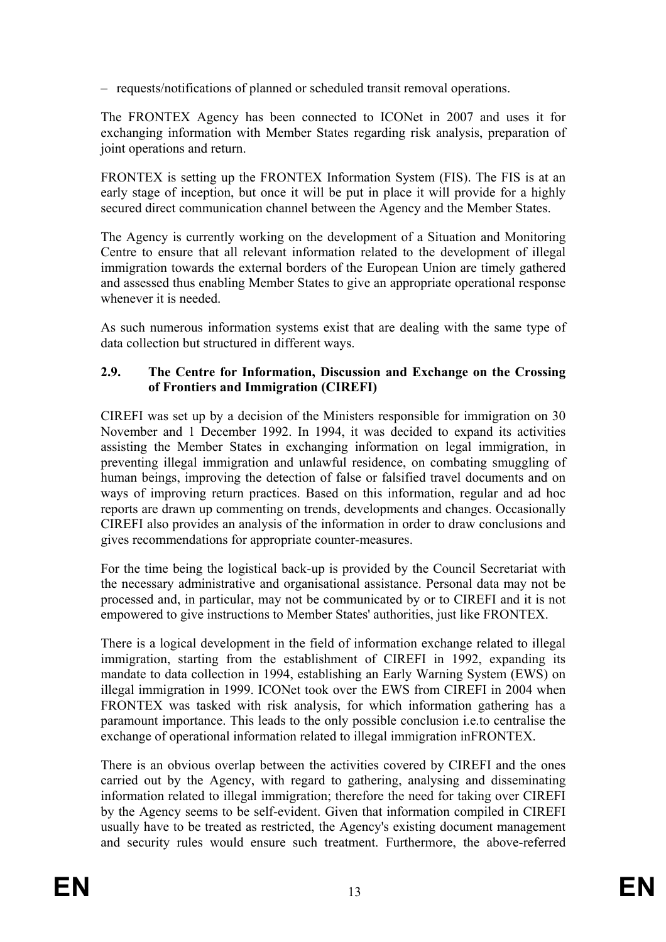– requests/notifications of planned or scheduled transit removal operations.

The FRONTEX Agency has been connected to ICONet in 2007 and uses it for exchanging information with Member States regarding risk analysis, preparation of joint operations and return.

FRONTEX is setting up the FRONTEX Information System (FIS). The FIS is at an early stage of inception, but once it will be put in place it will provide for a highly secured direct communication channel between the Agency and the Member States.

The Agency is currently working on the development of a Situation and Monitoring Centre to ensure that all relevant information related to the development of illegal immigration towards the external borders of the European Union are timely gathered and assessed thus enabling Member States to give an appropriate operational response whenever it is needed.

As such numerous information systems exist that are dealing with the same type of data collection but structured in different ways.

### **2.9. The Centre for Information, Discussion and Exchange on the Crossing of Frontiers and Immigration (CIREFI)**

CIREFI was set up by a decision of the Ministers responsible for immigration on 30 November and 1 December 1992. In 1994, it was decided to expand its activities assisting the Member States in exchanging information on legal immigration, in preventing illegal immigration and unlawful residence, on combating smuggling of human beings, improving the detection of false or falsified travel documents and on ways of improving return practices. Based on this information, regular and ad hoc reports are drawn up commenting on trends, developments and changes. Occasionally CIREFI also provides an analysis of the information in order to draw conclusions and gives recommendations for appropriate counter-measures.

For the time being the logistical back-up is provided by the Council Secretariat with the necessary administrative and organisational assistance. Personal data may not be processed and, in particular, may not be communicated by or to CIREFI and it is not empowered to give instructions to Member States' authorities, just like FRONTEX.

There is a logical development in the field of information exchange related to illegal immigration, starting from the establishment of CIREFI in 1992, expanding its mandate to data collection in 1994, establishing an Early Warning System (EWS) on illegal immigration in 1999. ICONet took over the EWS from CIREFI in 2004 when FRONTEX was tasked with risk analysis, for which information gathering has a paramount importance. This leads to the only possible conclusion i.e.to centralise the exchange of operational information related to illegal immigration inFRONTEX.

There is an obvious overlap between the activities covered by CIREFI and the ones carried out by the Agency, with regard to gathering, analysing and disseminating information related to illegal immigration; therefore the need for taking over CIREFI by the Agency seems to be self-evident. Given that information compiled in CIREFI usually have to be treated as restricted, the Agency's existing document management and security rules would ensure such treatment. Furthermore, the above-referred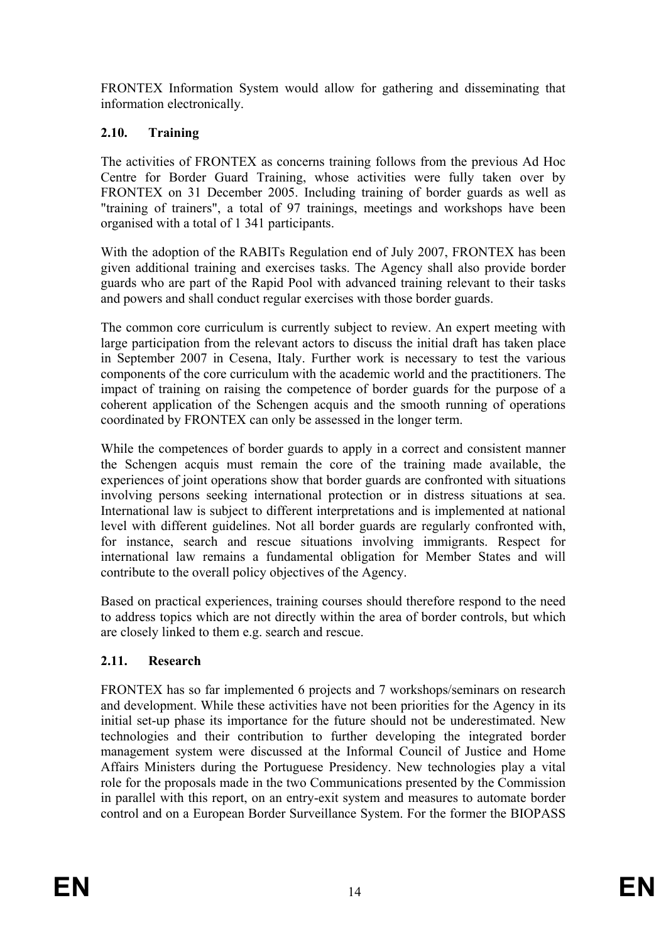FRONTEX Information System would allow for gathering and disseminating that information electronically.

# **2.10. Training**

The activities of FRONTEX as concerns training follows from the previous Ad Hoc Centre for Border Guard Training, whose activities were fully taken over by FRONTEX on 31 December 2005. Including training of border guards as well as "training of trainers", a total of 97 trainings, meetings and workshops have been organised with a total of 1 341 participants.

With the adoption of the RABITs Regulation end of July 2007, FRONTEX has been given additional training and exercises tasks. The Agency shall also provide border guards who are part of the Rapid Pool with advanced training relevant to their tasks and powers and shall conduct regular exercises with those border guards.

The common core curriculum is currently subject to review. An expert meeting with large participation from the relevant actors to discuss the initial draft has taken place in September 2007 in Cesena, Italy. Further work is necessary to test the various components of the core curriculum with the academic world and the practitioners. The impact of training on raising the competence of border guards for the purpose of a coherent application of the Schengen acquis and the smooth running of operations coordinated by FRONTEX can only be assessed in the longer term.

While the competences of border guards to apply in a correct and consistent manner the Schengen acquis must remain the core of the training made available, the experiences of joint operations show that border guards are confronted with situations involving persons seeking international protection or in distress situations at sea. International law is subject to different interpretations and is implemented at national level with different guidelines. Not all border guards are regularly confronted with, for instance, search and rescue situations involving immigrants. Respect for international law remains a fundamental obligation for Member States and will contribute to the overall policy objectives of the Agency.

Based on practical experiences, training courses should therefore respond to the need to address topics which are not directly within the area of border controls, but which are closely linked to them e.g. search and rescue.

# **2.11. Research**

FRONTEX has so far implemented 6 projects and 7 workshops/seminars on research and development. While these activities have not been priorities for the Agency in its initial set-up phase its importance for the future should not be underestimated. New technologies and their contribution to further developing the integrated border management system were discussed at the Informal Council of Justice and Home Affairs Ministers during the Portuguese Presidency. New technologies play a vital role for the proposals made in the two Communications presented by the Commission in parallel with this report, on an entry-exit system and measures to automate border control and on a European Border Surveillance System. For the former the BIOPASS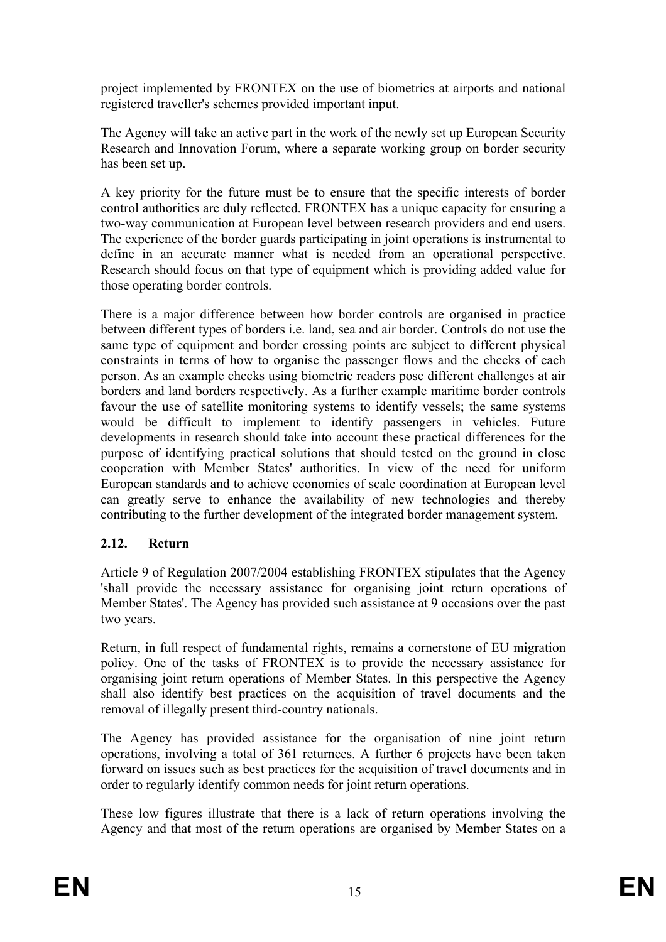project implemented by FRONTEX on the use of biometrics at airports and national registered traveller's schemes provided important input.

The Agency will take an active part in the work of the newly set up European Security Research and Innovation Forum, where a separate working group on border security has been set up.

A key priority for the future must be to ensure that the specific interests of border control authorities are duly reflected. FRONTEX has a unique capacity for ensuring a two-way communication at European level between research providers and end users. The experience of the border guards participating in joint operations is instrumental to define in an accurate manner what is needed from an operational perspective. Research should focus on that type of equipment which is providing added value for those operating border controls.

There is a major difference between how border controls are organised in practice between different types of borders i.e. land, sea and air border. Controls do not use the same type of equipment and border crossing points are subject to different physical constraints in terms of how to organise the passenger flows and the checks of each person. As an example checks using biometric readers pose different challenges at air borders and land borders respectively. As a further example maritime border controls favour the use of satellite monitoring systems to identify vessels; the same systems would be difficult to implement to identify passengers in vehicles. Future developments in research should take into account these practical differences for the purpose of identifying practical solutions that should tested on the ground in close cooperation with Member States' authorities. In view of the need for uniform European standards and to achieve economies of scale coordination at European level can greatly serve to enhance the availability of new technologies and thereby contributing to the further development of the integrated border management system.

# **2.12. Return**

Article 9 of Regulation 2007/2004 establishing FRONTEX stipulates that the Agency 'shall provide the necessary assistance for organising joint return operations of Member States'. The Agency has provided such assistance at 9 occasions over the past two years.

Return, in full respect of fundamental rights, remains a cornerstone of EU migration policy. One of the tasks of FRONTEX is to provide the necessary assistance for organising joint return operations of Member States. In this perspective the Agency shall also identify best practices on the acquisition of travel documents and the removal of illegally present third-country nationals.

The Agency has provided assistance for the organisation of nine joint return operations, involving a total of 361 returnees. A further 6 projects have been taken forward on issues such as best practices for the acquisition of travel documents and in order to regularly identify common needs for joint return operations.

These low figures illustrate that there is a lack of return operations involving the Agency and that most of the return operations are organised by Member States on a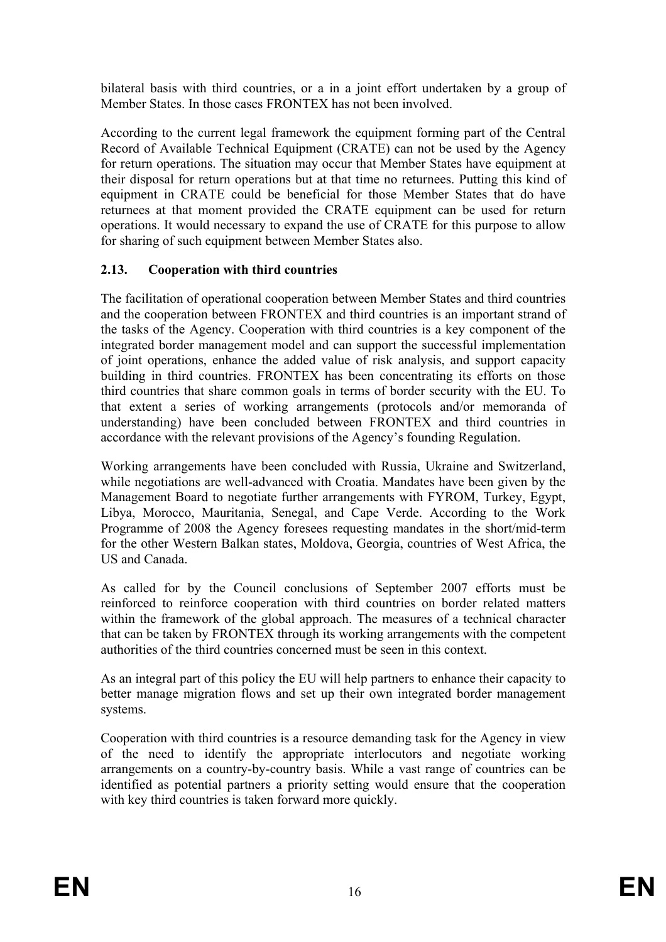bilateral basis with third countries, or a in a joint effort undertaken by a group of Member States. In those cases FRONTEX has not been involved.

According to the current legal framework the equipment forming part of the Central Record of Available Technical Equipment (CRATE) can not be used by the Agency for return operations. The situation may occur that Member States have equipment at their disposal for return operations but at that time no returnees. Putting this kind of equipment in CRATE could be beneficial for those Member States that do have returnees at that moment provided the CRATE equipment can be used for return operations. It would necessary to expand the use of CRATE for this purpose to allow for sharing of such equipment between Member States also.

# **2.13. Cooperation with third countries**

The facilitation of operational cooperation between Member States and third countries and the cooperation between FRONTEX and third countries is an important strand of the tasks of the Agency. Cooperation with third countries is a key component of the integrated border management model and can support the successful implementation of joint operations, enhance the added value of risk analysis, and support capacity building in third countries. FRONTEX has been concentrating its efforts on those third countries that share common goals in terms of border security with the EU. To that extent a series of working arrangements (protocols and/or memoranda of understanding) have been concluded between FRONTEX and third countries in accordance with the relevant provisions of the Agency's founding Regulation.

Working arrangements have been concluded with Russia, Ukraine and Switzerland, while negotiations are well-advanced with Croatia. Mandates have been given by the Management Board to negotiate further arrangements with FYROM, Turkey, Egypt, Libya, Morocco, Mauritania, Senegal, and Cape Verde. According to the Work Programme of 2008 the Agency foresees requesting mandates in the short/mid-term for the other Western Balkan states, Moldova, Georgia, countries of West Africa, the US and Canada.

As called for by the Council conclusions of September 2007 efforts must be reinforced to reinforce cooperation with third countries on border related matters within the framework of the global approach. The measures of a technical character that can be taken by FRONTEX through its working arrangements with the competent authorities of the third countries concerned must be seen in this context.

As an integral part of this policy the EU will help partners to enhance their capacity to better manage migration flows and set up their own integrated border management systems.

Cooperation with third countries is a resource demanding task for the Agency in view of the need to identify the appropriate interlocutors and negotiate working arrangements on a country-by-country basis. While a vast range of countries can be identified as potential partners a priority setting would ensure that the cooperation with key third countries is taken forward more quickly.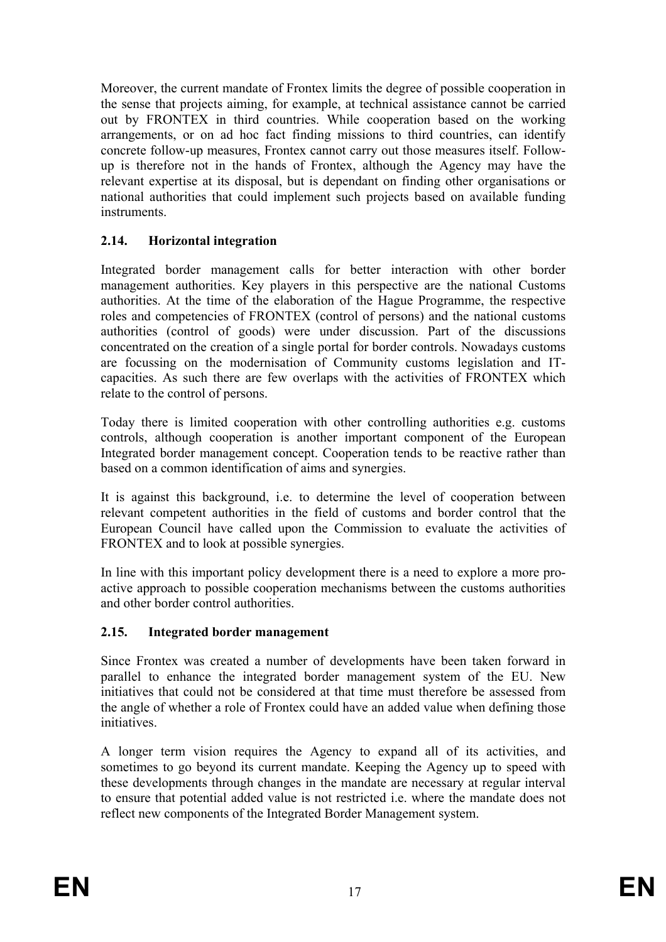Moreover, the current mandate of Frontex limits the degree of possible cooperation in the sense that projects aiming, for example, at technical assistance cannot be carried out by FRONTEX in third countries. While cooperation based on the working arrangements, or on ad hoc fact finding missions to third countries, can identify concrete follow-up measures, Frontex cannot carry out those measures itself. Followup is therefore not in the hands of Frontex, although the Agency may have the relevant expertise at its disposal, but is dependant on finding other organisations or national authorities that could implement such projects based on available funding instruments.

# **2.14. Horizontal integration**

Integrated border management calls for better interaction with other border management authorities. Key players in this perspective are the national Customs authorities. At the time of the elaboration of the Hague Programme, the respective roles and competencies of FRONTEX (control of persons) and the national customs authorities (control of goods) were under discussion. Part of the discussions concentrated on the creation of a single portal for border controls. Nowadays customs are focussing on the modernisation of Community customs legislation and ITcapacities. As such there are few overlaps with the activities of FRONTEX which relate to the control of persons.

Today there is limited cooperation with other controlling authorities e.g. customs controls, although cooperation is another important component of the European Integrated border management concept. Cooperation tends to be reactive rather than based on a common identification of aims and synergies.

It is against this background, i.e. to determine the level of cooperation between relevant competent authorities in the field of customs and border control that the European Council have called upon the Commission to evaluate the activities of FRONTEX and to look at possible synergies.

In line with this important policy development there is a need to explore a more proactive approach to possible cooperation mechanisms between the customs authorities and other border control authorities.

# **2.15. Integrated border management**

Since Frontex was created a number of developments have been taken forward in parallel to enhance the integrated border management system of the EU. New initiatives that could not be considered at that time must therefore be assessed from the angle of whether a role of Frontex could have an added value when defining those initiatives.

A longer term vision requires the Agency to expand all of its activities, and sometimes to go beyond its current mandate. Keeping the Agency up to speed with these developments through changes in the mandate are necessary at regular interval to ensure that potential added value is not restricted i.e. where the mandate does not reflect new components of the Integrated Border Management system.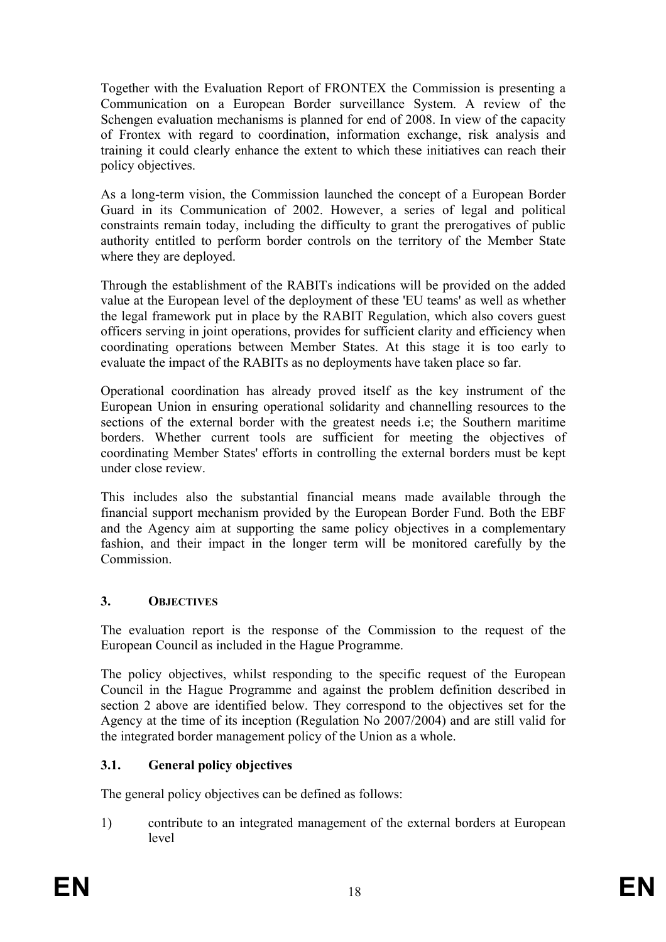Together with the Evaluation Report of FRONTEX the Commission is presenting a Communication on a European Border surveillance System. A review of the Schengen evaluation mechanisms is planned for end of 2008. In view of the capacity of Frontex with regard to coordination, information exchange, risk analysis and training it could clearly enhance the extent to which these initiatives can reach their policy objectives.

As a long-term vision, the Commission launched the concept of a European Border Guard in its Communication of 2002. However, a series of legal and political constraints remain today, including the difficulty to grant the prerogatives of public authority entitled to perform border controls on the territory of the Member State where they are deployed.

Through the establishment of the RABITs indications will be provided on the added value at the European level of the deployment of these 'EU teams' as well as whether the legal framework put in place by the RABIT Regulation, which also covers guest officers serving in joint operations, provides for sufficient clarity and efficiency when coordinating operations between Member States. At this stage it is too early to evaluate the impact of the RABITs as no deployments have taken place so far.

Operational coordination has already proved itself as the key instrument of the European Union in ensuring operational solidarity and channelling resources to the sections of the external border with the greatest needs i.e; the Southern maritime borders. Whether current tools are sufficient for meeting the objectives of coordinating Member States' efforts in controlling the external borders must be kept under close review.

This includes also the substantial financial means made available through the financial support mechanism provided by the European Border Fund. Both the EBF and the Agency aim at supporting the same policy objectives in a complementary fashion, and their impact in the longer term will be monitored carefully by the **Commission** 

# **3. OBJECTIVES**

The evaluation report is the response of the Commission to the request of the European Council as included in the Hague Programme.

The policy objectives, whilst responding to the specific request of the European Council in the Hague Programme and against the problem definition described in section 2 above are identified below. They correspond to the objectives set for the Agency at the time of its inception (Regulation No 2007/2004) and are still valid for the integrated border management policy of the Union as a whole.

# **3.1. General policy objectives**

The general policy objectives can be defined as follows:

1) contribute to an integrated management of the external borders at European level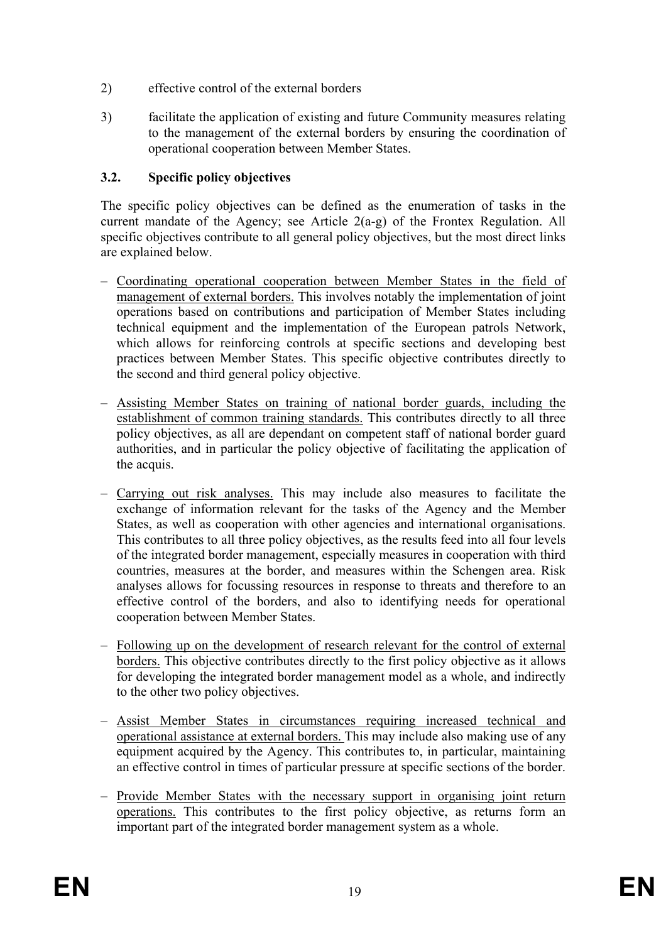- 2) effective control of the external borders
- 3) facilitate the application of existing and future Community measures relating to the management of the external borders by ensuring the coordination of operational cooperation between Member States.

# **3.2. Specific policy objectives**

The specific policy objectives can be defined as the enumeration of tasks in the current mandate of the Agency; see Article 2(a-g) of the Frontex Regulation. All specific objectives contribute to all general policy objectives, but the most direct links are explained below.

- Coordinating operational cooperation between Member States in the field of management of external borders. This involves notably the implementation of joint operations based on contributions and participation of Member States including technical equipment and the implementation of the European patrols Network, which allows for reinforcing controls at specific sections and developing best practices between Member States. This specific objective contributes directly to the second and third general policy objective.
- Assisting Member States on training of national border guards, including the establishment of common training standards. This contributes directly to all three policy objectives, as all are dependant on competent staff of national border guard authorities, and in particular the policy objective of facilitating the application of the acquis.
- Carrying out risk analyses. This may include also measures to facilitate the exchange of information relevant for the tasks of the Agency and the Member States, as well as cooperation with other agencies and international organisations. This contributes to all three policy objectives, as the results feed into all four levels of the integrated border management, especially measures in cooperation with third countries, measures at the border, and measures within the Schengen area. Risk analyses allows for focussing resources in response to threats and therefore to an effective control of the borders, and also to identifying needs for operational cooperation between Member States.
- Following up on the development of research relevant for the control of external borders. This objective contributes directly to the first policy objective as it allows for developing the integrated border management model as a whole, and indirectly to the other two policy objectives.
- Assist Member States in circumstances requiring increased technical and operational assistance at external borders. This may include also making use of any equipment acquired by the Agency. This contributes to, in particular, maintaining an effective control in times of particular pressure at specific sections of the border.
- Provide Member States with the necessary support in organising joint return operations. This contributes to the first policy objective, as returns form an important part of the integrated border management system as a whole.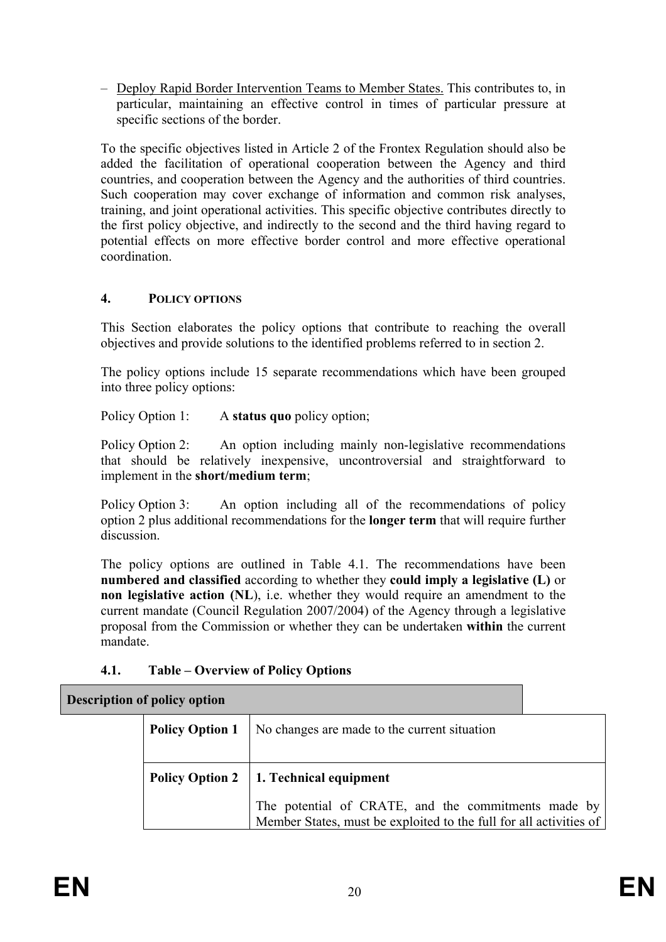– Deploy Rapid Border Intervention Teams to Member States. This contributes to, in particular, maintaining an effective control in times of particular pressure at specific sections of the border.

To the specific objectives listed in Article 2 of the Frontex Regulation should also be added the facilitation of operational cooperation between the Agency and third countries, and cooperation between the Agency and the authorities of third countries. Such cooperation may cover exchange of information and common risk analyses, training, and joint operational activities. This specific objective contributes directly to the first policy objective, and indirectly to the second and the third having regard to potential effects on more effective border control and more effective operational coordination.

# **4. POLICY OPTIONS**

This Section elaborates the policy options that contribute to reaching the overall objectives and provide solutions to the identified problems referred to in section 2.

The policy options include 15 separate recommendations which have been grouped into three policy options:

Policy Option 1: A **status quo** policy option;

Policy Option 2: An option including mainly non-legislative recommendations that should be relatively inexpensive, uncontroversial and straightforward to implement in the **short/medium term**;

Policy Option 3: An option including all of the recommendations of policy option 2 plus additional recommendations for the **longer term** that will require further discussion.

The policy options are outlined in Table 4.1. The recommendations have been **numbered and classified** according to whether they **could imply a legislative (L)** or **non legislative action (NL)**, i.e. whether they would require an amendment to the current mandate (Council Regulation 2007/2004) of the Agency through a legislative proposal from the Commission or whether they can be undertaken **within** the current mandate.

# **4.1. Table – Overview of Policy Options**

| <b>Policy Option 1</b> | No changes are made to the current situation                                                                              |  |  |  |
|------------------------|---------------------------------------------------------------------------------------------------------------------------|--|--|--|
|                        | Policy Option 2   1. Technical equipment                                                                                  |  |  |  |
|                        | The potential of CRATE, and the commitments made by<br>Member States, must be exploited to the full for all activities of |  |  |  |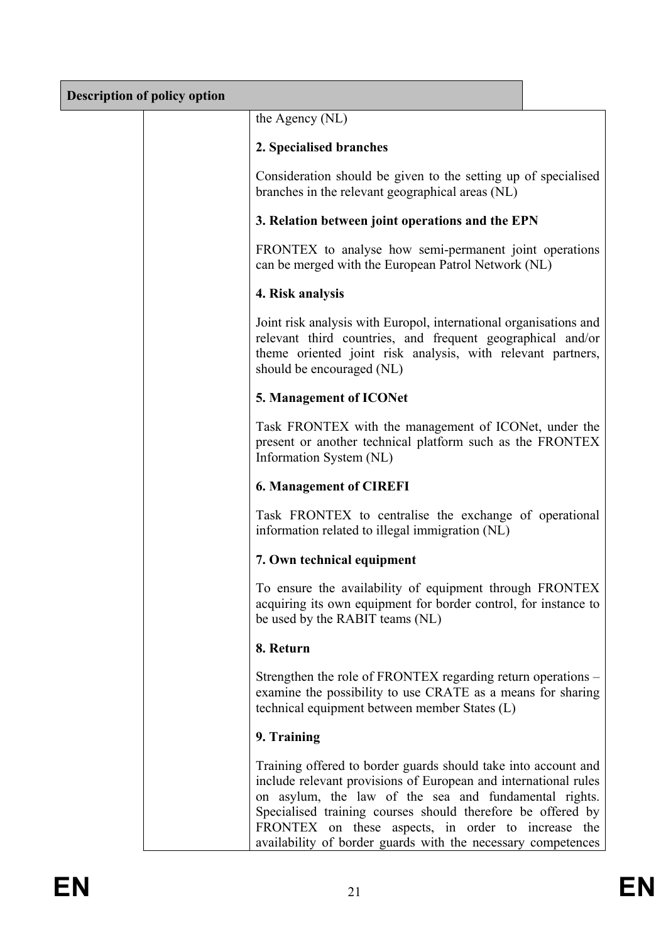| <b>Description of policy option</b> |                                                                                                                                                                                                                                                                                                                                                                                 |  |
|-------------------------------------|---------------------------------------------------------------------------------------------------------------------------------------------------------------------------------------------------------------------------------------------------------------------------------------------------------------------------------------------------------------------------------|--|
|                                     | the Agency (NL)                                                                                                                                                                                                                                                                                                                                                                 |  |
|                                     | 2. Specialised branches                                                                                                                                                                                                                                                                                                                                                         |  |
|                                     | Consideration should be given to the setting up of specialised<br>branches in the relevant geographical areas (NL)                                                                                                                                                                                                                                                              |  |
|                                     | 3. Relation between joint operations and the EPN                                                                                                                                                                                                                                                                                                                                |  |
|                                     | FRONTEX to analyse how semi-permanent joint operations<br>can be merged with the European Patrol Network (NL)                                                                                                                                                                                                                                                                   |  |
|                                     | 4. Risk analysis                                                                                                                                                                                                                                                                                                                                                                |  |
|                                     | Joint risk analysis with Europol, international organisations and<br>relevant third countries, and frequent geographical and/or<br>theme oriented joint risk analysis, with relevant partners,<br>should be encouraged (NL)                                                                                                                                                     |  |
|                                     | 5. Management of ICONet                                                                                                                                                                                                                                                                                                                                                         |  |
|                                     | Task FRONTEX with the management of ICONet, under the<br>present or another technical platform such as the FRONTEX<br>Information System (NL)                                                                                                                                                                                                                                   |  |
|                                     | <b>6. Management of CIREFI</b>                                                                                                                                                                                                                                                                                                                                                  |  |
|                                     | Task FRONTEX to centralise the exchange of operational<br>information related to illegal immigration (NL)                                                                                                                                                                                                                                                                       |  |
|                                     | 7. Own technical equipment                                                                                                                                                                                                                                                                                                                                                      |  |
|                                     | To ensure the availability of equipment through FRONTEX<br>acquiring its own equipment for border control, for instance to<br>be used by the RABIT teams (NL)                                                                                                                                                                                                                   |  |
|                                     | 8. Return                                                                                                                                                                                                                                                                                                                                                                       |  |
|                                     | Strengthen the role of FRONTEX regarding return operations –<br>examine the possibility to use CRATE as a means for sharing<br>technical equipment between member States (L)                                                                                                                                                                                                    |  |
|                                     | 9. Training                                                                                                                                                                                                                                                                                                                                                                     |  |
|                                     | Training offered to border guards should take into account and<br>include relevant provisions of European and international rules<br>on asylum, the law of the sea and fundamental rights.<br>Specialised training courses should therefore be offered by<br>FRONTEX on these aspects, in order to increase the<br>availability of border guards with the necessary competences |  |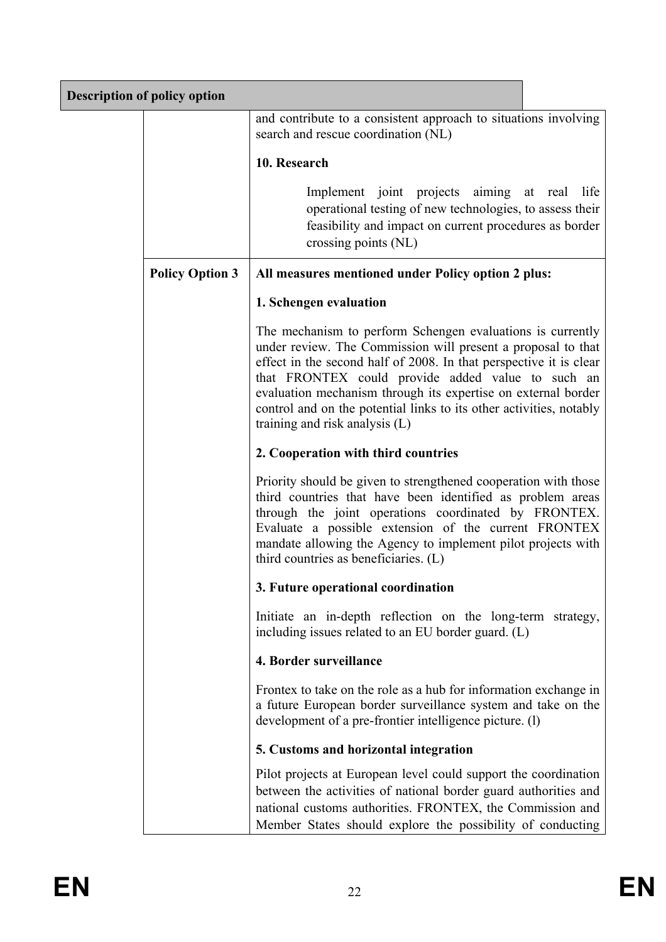| <b>Description of policy option</b> |                                                                                                                                                                                                                                                                                                                                                                                                                                 |  |  |  |  |
|-------------------------------------|---------------------------------------------------------------------------------------------------------------------------------------------------------------------------------------------------------------------------------------------------------------------------------------------------------------------------------------------------------------------------------------------------------------------------------|--|--|--|--|
|                                     | and contribute to a consistent approach to situations involving<br>search and rescue coordination (NL)                                                                                                                                                                                                                                                                                                                          |  |  |  |  |
|                                     | 10. Research                                                                                                                                                                                                                                                                                                                                                                                                                    |  |  |  |  |
|                                     | Implement joint projects aiming at real life<br>operational testing of new technologies, to assess their<br>feasibility and impact on current procedures as border<br>crossing points (NL)                                                                                                                                                                                                                                      |  |  |  |  |
| <b>Policy Option 3</b>              | All measures mentioned under Policy option 2 plus:                                                                                                                                                                                                                                                                                                                                                                              |  |  |  |  |
|                                     | 1. Schengen evaluation                                                                                                                                                                                                                                                                                                                                                                                                          |  |  |  |  |
|                                     | The mechanism to perform Schengen evaluations is currently<br>under review. The Commission will present a proposal to that<br>effect in the second half of 2008. In that perspective it is clear<br>that FRONTEX could provide added value to such an<br>evaluation mechanism through its expertise on external border<br>control and on the potential links to its other activities, notably<br>training and risk analysis (L) |  |  |  |  |
|                                     | 2. Cooperation with third countries                                                                                                                                                                                                                                                                                                                                                                                             |  |  |  |  |
|                                     | Priority should be given to strengthened cooperation with those<br>third countries that have been identified as problem areas<br>through the joint operations coordinated by FRONTEX.<br>Evaluate a possible extension of the current FRONTEX<br>mandate allowing the Agency to implement pilot projects with<br>third countries as beneficiaries. (L)                                                                          |  |  |  |  |
|                                     | 3. Future operational coordination                                                                                                                                                                                                                                                                                                                                                                                              |  |  |  |  |
|                                     | Initiate an in-depth reflection on the long-term strategy,<br>including issues related to an EU border guard. (L)                                                                                                                                                                                                                                                                                                               |  |  |  |  |
|                                     | 4. Border surveillance                                                                                                                                                                                                                                                                                                                                                                                                          |  |  |  |  |
|                                     | Frontex to take on the role as a hub for information exchange in<br>a future European border surveillance system and take on the<br>development of a pre-frontier intelligence picture. (1)                                                                                                                                                                                                                                     |  |  |  |  |
|                                     | 5. Customs and horizontal integration                                                                                                                                                                                                                                                                                                                                                                                           |  |  |  |  |
|                                     | Pilot projects at European level could support the coordination<br>between the activities of national border guard authorities and<br>national customs authorities. FRONTEX, the Commission and<br>Member States should explore the possibility of conducting                                                                                                                                                                   |  |  |  |  |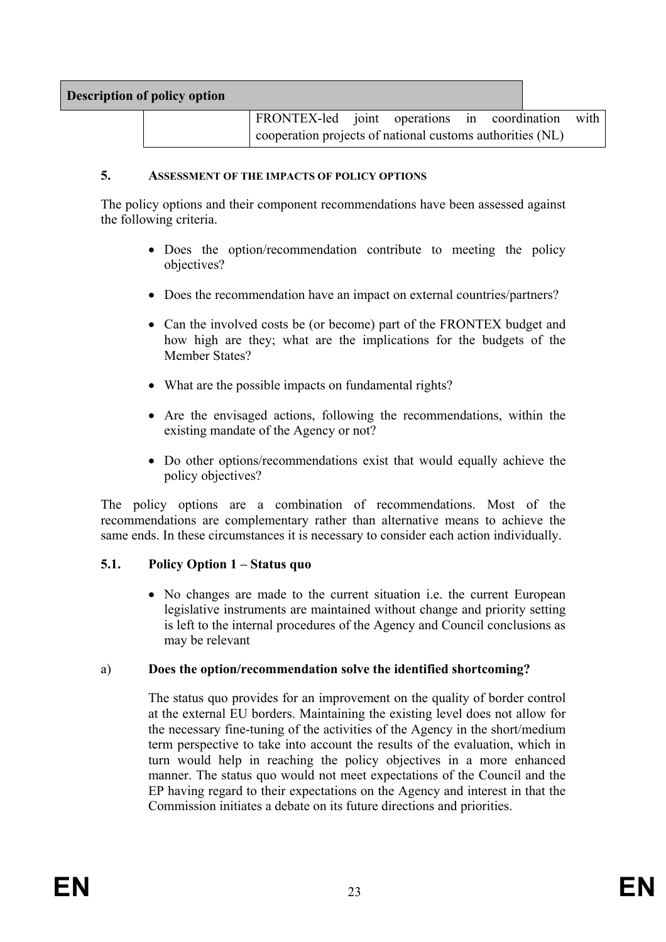| <b>Description of policy option</b> |                                                   |                                                           |  |  |  |  |
|-------------------------------------|---------------------------------------------------|-----------------------------------------------------------|--|--|--|--|
|                                     | FRONTEX-led joint operations in coordination with |                                                           |  |  |  |  |
|                                     |                                                   | cooperation projects of national customs authorities (NL) |  |  |  |  |

#### **5. ASSESSMENT OF THE IMPACTS OF POLICY OPTIONS**

The policy options and their component recommendations have been assessed against the following criteria.

- Does the option/recommendation contribute to meeting the policy objectives?
- Does the recommendation have an impact on external countries/partners?
- Can the involved costs be (or become) part of the FRONTEX budget and how high are they; what are the implications for the budgets of the Member States?
- What are the possible impacts on fundamental rights?
- Are the envisaged actions, following the recommendations, within the existing mandate of the Agency or not?
- Do other options/recommendations exist that would equally achieve the policy objectives?

The policy options are a combination of recommendations. Most of the recommendations are complementary rather than alternative means to achieve the same ends. In these circumstances it is necessary to consider each action individually.

#### **5.1. Policy Option 1 – Status quo**

• No changes are made to the current situation i.e. the current European legislative instruments are maintained without change and priority setting is left to the internal procedures of the Agency and Council conclusions as may be relevant

#### a) **Does the option/recommendation solve the identified shortcoming?**

The status quo provides for an improvement on the quality of border control at the external EU borders. Maintaining the existing level does not allow for the necessary fine-tuning of the activities of the Agency in the short/medium term perspective to take into account the results of the evaluation, which in turn would help in reaching the policy objectives in a more enhanced manner. The status quo would not meet expectations of the Council and the EP having regard to their expectations on the Agency and interest in that the Commission initiates a debate on its future directions and priorities.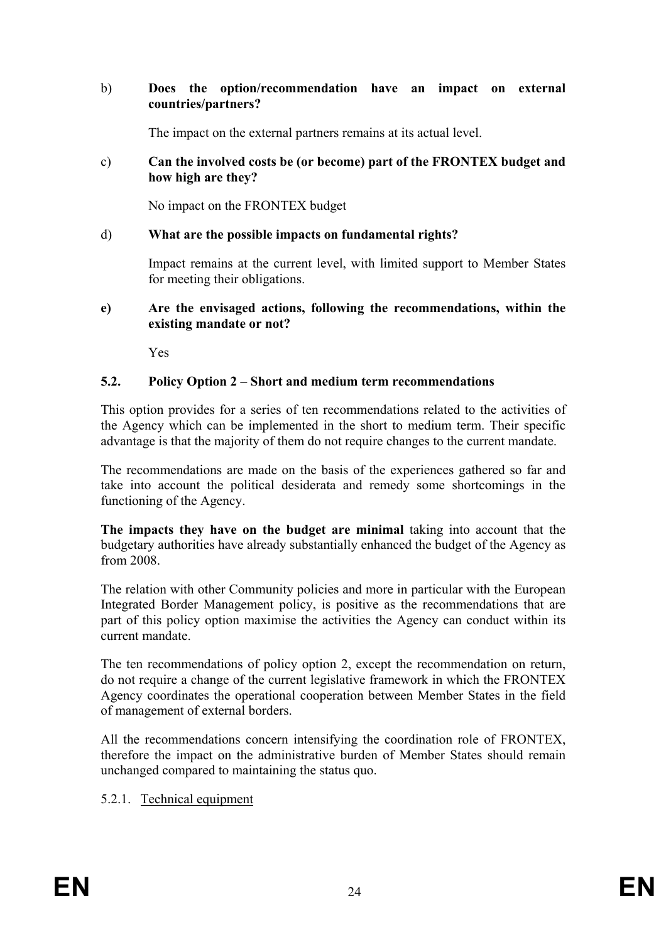#### b) **Does the option/recommendation have an impact on external countries/partners?**

The impact on the external partners remains at its actual level.

#### c) **Can the involved costs be (or become) part of the FRONTEX budget and how high are they?**

No impact on the FRONTEX budget

### d) **What are the possible impacts on fundamental rights?**

Impact remains at the current level, with limited support to Member States for meeting their obligations.

#### **e) Are the envisaged actions, following the recommendations, within the existing mandate or not?**

Yes

### **5.2. Policy Option 2 – Short and medium term recommendations**

This option provides for a series of ten recommendations related to the activities of the Agency which can be implemented in the short to medium term. Their specific advantage is that the majority of them do not require changes to the current mandate.

The recommendations are made on the basis of the experiences gathered so far and take into account the political desiderata and remedy some shortcomings in the functioning of the Agency.

**The impacts they have on the budget are minimal** taking into account that the budgetary authorities have already substantially enhanced the budget of the Agency as from 2008.

The relation with other Community policies and more in particular with the European Integrated Border Management policy, is positive as the recommendations that are part of this policy option maximise the activities the Agency can conduct within its current mandate.

The ten recommendations of policy option 2, except the recommendation on return, do not require a change of the current legislative framework in which the FRONTEX Agency coordinates the operational cooperation between Member States in the field of management of external borders.

All the recommendations concern intensifying the coordination role of FRONTEX, therefore the impact on the administrative burden of Member States should remain unchanged compared to maintaining the status quo.

#### 5.2.1. Technical equipment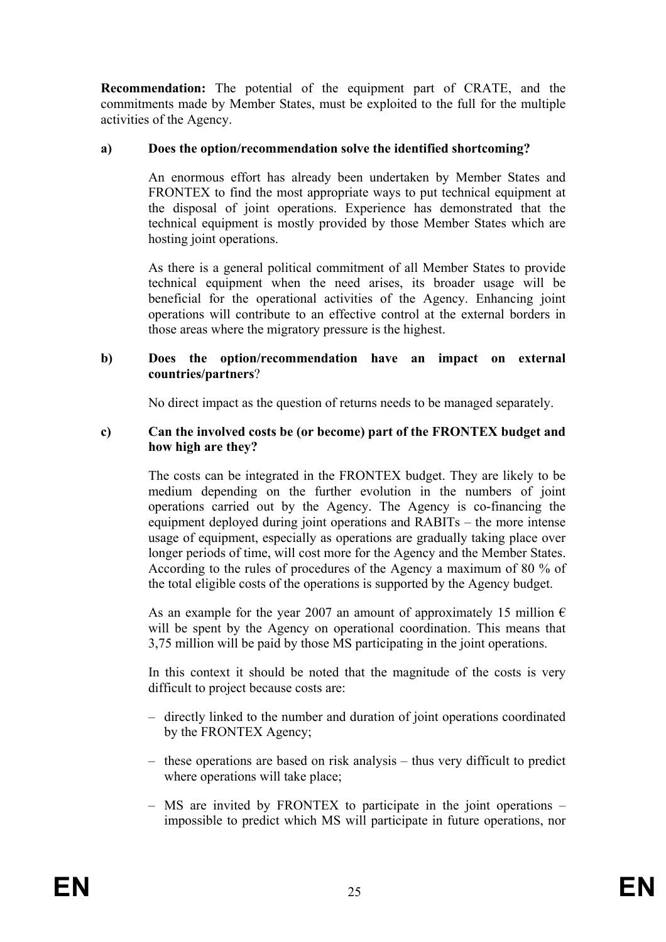**Recommendation:** The potential of the equipment part of CRATE, and the commitments made by Member States, must be exploited to the full for the multiple activities of the Agency.

### **a) Does the option/recommendation solve the identified shortcoming?**

An enormous effort has already been undertaken by Member States and FRONTEX to find the most appropriate ways to put technical equipment at the disposal of joint operations. Experience has demonstrated that the technical equipment is mostly provided by those Member States which are hosting joint operations.

As there is a general political commitment of all Member States to provide technical equipment when the need arises, its broader usage will be beneficial for the operational activities of the Agency. Enhancing joint operations will contribute to an effective control at the external borders in those areas where the migratory pressure is the highest.

#### **b) Does the option/recommendation have an impact on external countries/partners**?

No direct impact as the question of returns needs to be managed separately.

#### **c) Can the involved costs be (or become) part of the FRONTEX budget and how high are they?**

The costs can be integrated in the FRONTEX budget. They are likely to be medium depending on the further evolution in the numbers of joint operations carried out by the Agency. The Agency is co-financing the equipment deployed during joint operations and RABITs – the more intense usage of equipment, especially as operations are gradually taking place over longer periods of time, will cost more for the Agency and the Member States. According to the rules of procedures of the Agency a maximum of 80 % of the total eligible costs of the operations is supported by the Agency budget.

As an example for the year 2007 an amount of approximately 15 million  $\epsilon$ will be spent by the Agency on operational coordination. This means that 3,75 million will be paid by those MS participating in the joint operations.

In this context it should be noted that the magnitude of the costs is very difficult to project because costs are:

- directly linked to the number and duration of joint operations coordinated by the FRONTEX Agency;
- these operations are based on risk analysis thus very difficult to predict where operations will take place;
- MS are invited by FRONTEX to participate in the joint operations impossible to predict which MS will participate in future operations, nor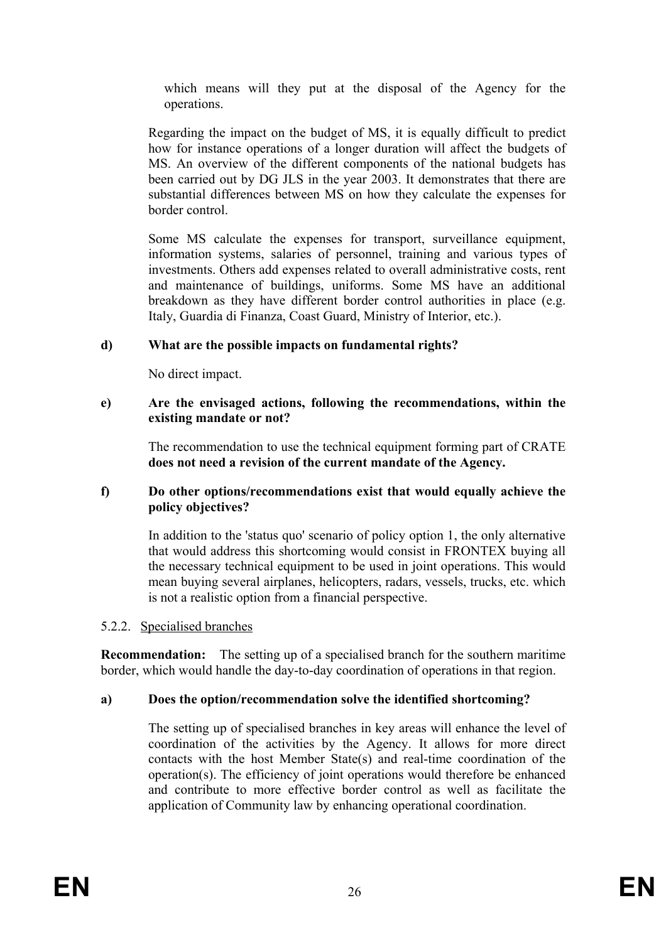which means will they put at the disposal of the Agency for the operations.

Regarding the impact on the budget of MS, it is equally difficult to predict how for instance operations of a longer duration will affect the budgets of MS. An overview of the different components of the national budgets has been carried out by DG JLS in the year 2003. It demonstrates that there are substantial differences between MS on how they calculate the expenses for border control.

Some MS calculate the expenses for transport, surveillance equipment, information systems, salaries of personnel, training and various types of investments. Others add expenses related to overall administrative costs, rent and maintenance of buildings, uniforms. Some MS have an additional breakdown as they have different border control authorities in place (e.g. Italy, Guardia di Finanza, Coast Guard, Ministry of Interior, etc.).

# **d) What are the possible impacts on fundamental rights?**

No direct impact.

### **e) Are the envisaged actions, following the recommendations, within the existing mandate or not?**

The recommendation to use the technical equipment forming part of CRATE **does not need a revision of the current mandate of the Agency.**

### **f) Do other options/recommendations exist that would equally achieve the policy objectives?**

In addition to the 'status quo' scenario of policy option 1, the only alternative that would address this shortcoming would consist in FRONTEX buying all the necessary technical equipment to be used in joint operations. This would mean buying several airplanes, helicopters, radars, vessels, trucks, etc. which is not a realistic option from a financial perspective.

# 5.2.2. Specialised branches

**Recommendation:** The setting up of a specialised branch for the southern maritime border, which would handle the day-to-day coordination of operations in that region.

# **a) Does the option/recommendation solve the identified shortcoming?**

The setting up of specialised branches in key areas will enhance the level of coordination of the activities by the Agency. It allows for more direct contacts with the host Member State(s) and real-time coordination of the operation(s). The efficiency of joint operations would therefore be enhanced and contribute to more effective border control as well as facilitate the application of Community law by enhancing operational coordination.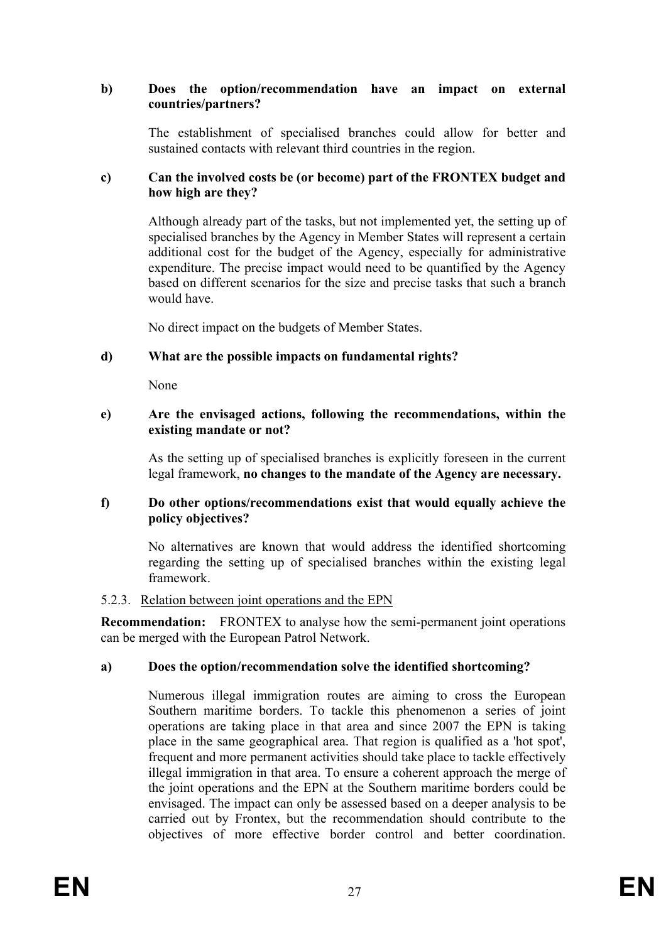### **b) Does the option/recommendation have an impact on external countries/partners?**

The establishment of specialised branches could allow for better and sustained contacts with relevant third countries in the region.

#### **c) Can the involved costs be (or become) part of the FRONTEX budget and how high are they?**

Although already part of the tasks, but not implemented yet, the setting up of specialised branches by the Agency in Member States will represent a certain additional cost for the budget of the Agency, especially for administrative expenditure. The precise impact would need to be quantified by the Agency based on different scenarios for the size and precise tasks that such a branch would have.

No direct impact on the budgets of Member States.

### **d) What are the possible impacts on fundamental rights?**

None

#### **e) Are the envisaged actions, following the recommendations, within the existing mandate or not?**

As the setting up of specialised branches is explicitly foreseen in the current legal framework, **no changes to the mandate of the Agency are necessary.** 

#### **f) Do other options/recommendations exist that would equally achieve the policy objectives?**

No alternatives are known that would address the identified shortcoming regarding the setting up of specialised branches within the existing legal framework.

#### 5.2.3. Relation between joint operations and the EPN

**Recommendation:** FRONTEX to analyse how the semi-permanent joint operations can be merged with the European Patrol Network.

#### **a) Does the option/recommendation solve the identified shortcoming?**

Numerous illegal immigration routes are aiming to cross the European Southern maritime borders. To tackle this phenomenon a series of joint operations are taking place in that area and since 2007 the EPN is taking place in the same geographical area. That region is qualified as a 'hot spot', frequent and more permanent activities should take place to tackle effectively illegal immigration in that area. To ensure a coherent approach the merge of the joint operations and the EPN at the Southern maritime borders could be envisaged. The impact can only be assessed based on a deeper analysis to be carried out by Frontex, but the recommendation should contribute to the objectives of more effective border control and better coordination.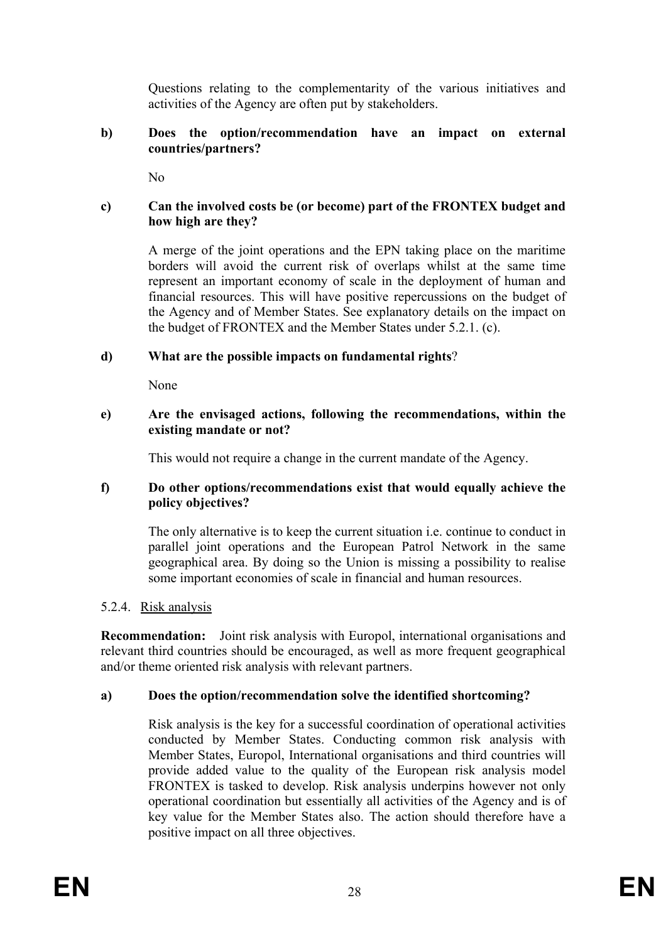Questions relating to the complementarity of the various initiatives and activities of the Agency are often put by stakeholders.

#### **b) Does the option/recommendation have an impact on external countries/partners?**

 $N<sub>0</sub>$ 

### **c) Can the involved costs be (or become) part of the FRONTEX budget and how high are they?**

A merge of the joint operations and the EPN taking place on the maritime borders will avoid the current risk of overlaps whilst at the same time represent an important economy of scale in the deployment of human and financial resources. This will have positive repercussions on the budget of the Agency and of Member States. See explanatory details on the impact on the budget of FRONTEX and the Member States under 5.2.1. (c).

# **d) What are the possible impacts on fundamental rights**?

None

#### **e) Are the envisaged actions, following the recommendations, within the existing mandate or not?**

This would not require a change in the current mandate of the Agency.

### **f) Do other options/recommendations exist that would equally achieve the policy objectives?**

The only alternative is to keep the current situation i.e. continue to conduct in parallel joint operations and the European Patrol Network in the same geographical area. By doing so the Union is missing a possibility to realise some important economies of scale in financial and human resources.

# 5.2.4. Risk analysis

**Recommendation:** Joint risk analysis with Europol, international organisations and relevant third countries should be encouraged, as well as more frequent geographical and/or theme oriented risk analysis with relevant partners.

# **a) Does the option/recommendation solve the identified shortcoming?**

Risk analysis is the key for a successful coordination of operational activities conducted by Member States. Conducting common risk analysis with Member States, Europol, International organisations and third countries will provide added value to the quality of the European risk analysis model FRONTEX is tasked to develop. Risk analysis underpins however not only operational coordination but essentially all activities of the Agency and is of key value for the Member States also. The action should therefore have a positive impact on all three objectives.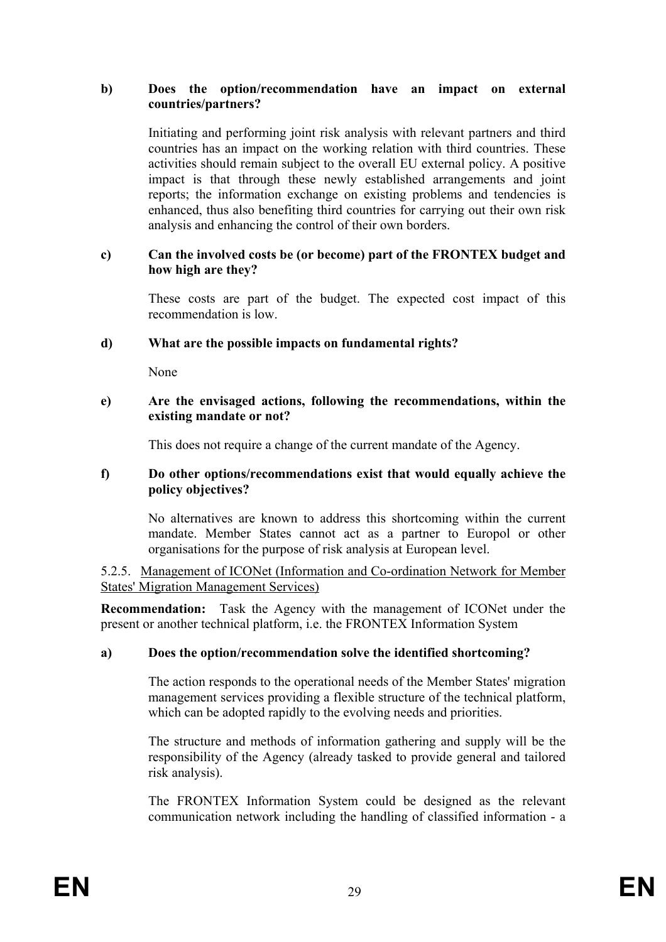#### **b) Does the option/recommendation have an impact on external countries/partners?**

Initiating and performing joint risk analysis with relevant partners and third countries has an impact on the working relation with third countries. These activities should remain subject to the overall EU external policy. A positive impact is that through these newly established arrangements and joint reports; the information exchange on existing problems and tendencies is enhanced, thus also benefiting third countries for carrying out their own risk analysis and enhancing the control of their own borders.

#### **c) Can the involved costs be (or become) part of the FRONTEX budget and how high are they?**

These costs are part of the budget. The expected cost impact of this recommendation is low.

#### **d) What are the possible impacts on fundamental rights?**

None

#### **e) Are the envisaged actions, following the recommendations, within the existing mandate or not?**

This does not require a change of the current mandate of the Agency.

#### **f) Do other options/recommendations exist that would equally achieve the policy objectives?**

No alternatives are known to address this shortcoming within the current mandate. Member States cannot act as a partner to Europol or other organisations for the purpose of risk analysis at European level.

5.2.5. Management of ICONet (Information and Co-ordination Network for Member States' Migration Management Services)

**Recommendation:** Task the Agency with the management of ICONet under the present or another technical platform, i.e. the FRONTEX Information System

# **a) Does the option/recommendation solve the identified shortcoming?**

The action responds to the operational needs of the Member States' migration management services providing a flexible structure of the technical platform, which can be adopted rapidly to the evolving needs and priorities.

The structure and methods of information gathering and supply will be the responsibility of the Agency (already tasked to provide general and tailored risk analysis).

The FRONTEX Information System could be designed as the relevant communication network including the handling of classified information - a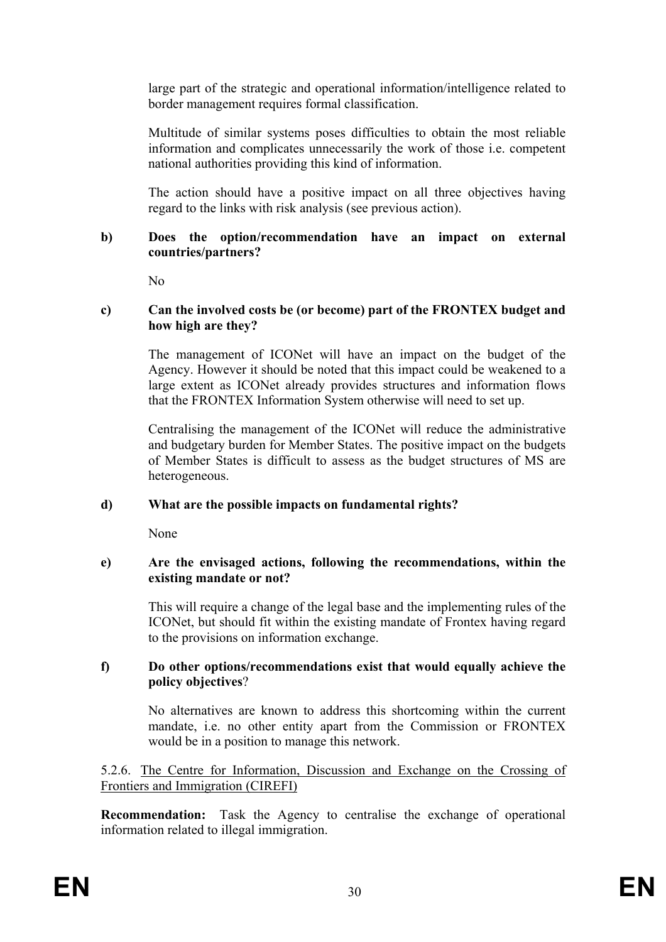large part of the strategic and operational information/intelligence related to border management requires formal classification.

Multitude of similar systems poses difficulties to obtain the most reliable information and complicates unnecessarily the work of those i.e. competent national authorities providing this kind of information.

The action should have a positive impact on all three objectives having regard to the links with risk analysis (see previous action).

#### **b) Does the option/recommendation have an impact on external countries/partners?**

 $N<sub>0</sub>$ 

#### **c) Can the involved costs be (or become) part of the FRONTEX budget and how high are they?**

The management of ICONet will have an impact on the budget of the Agency. However it should be noted that this impact could be weakened to a large extent as ICONet already provides structures and information flows that the FRONTEX Information System otherwise will need to set up.

Centralising the management of the ICONet will reduce the administrative and budgetary burden for Member States. The positive impact on the budgets of Member States is difficult to assess as the budget structures of MS are heterogeneous.

#### **d) What are the possible impacts on fundamental rights?**

None

#### **e) Are the envisaged actions, following the recommendations, within the existing mandate or not?**

This will require a change of the legal base and the implementing rules of the ICONet, but should fit within the existing mandate of Frontex having regard to the provisions on information exchange.

#### **f) Do other options/recommendations exist that would equally achieve the policy objectives**?

No alternatives are known to address this shortcoming within the current mandate, i.e. no other entity apart from the Commission or FRONTEX would be in a position to manage this network.

5.2.6. The Centre for Information, Discussion and Exchange on the Crossing of Frontiers and Immigration (CIREFI)

**Recommendation:** Task the Agency to centralise the exchange of operational information related to illegal immigration.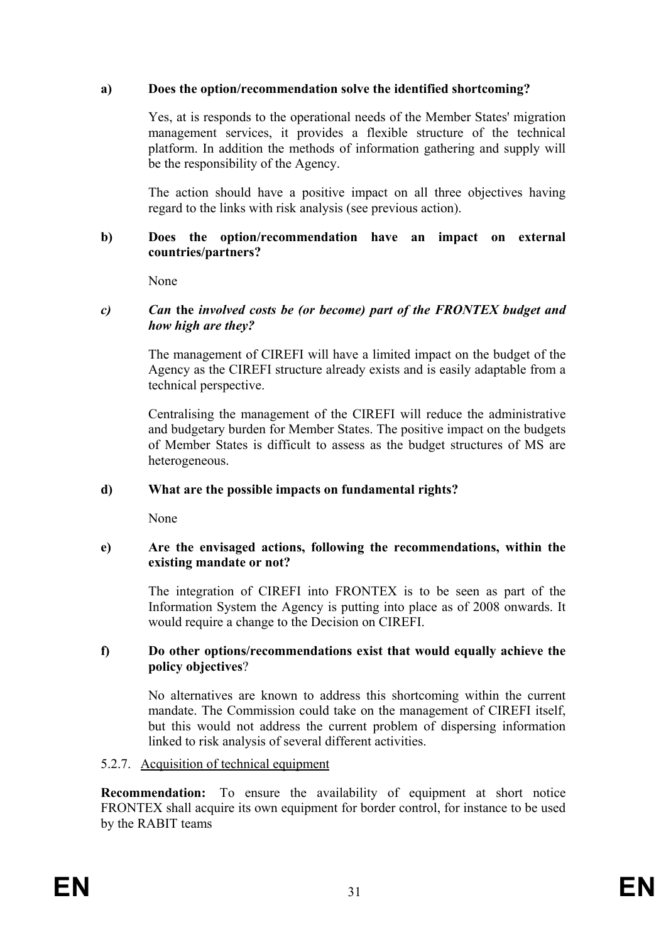# **a) Does the option/recommendation solve the identified shortcoming?**

Yes, at is responds to the operational needs of the Member States' migration management services, it provides a flexible structure of the technical platform. In addition the methods of information gathering and supply will be the responsibility of the Agency.

The action should have a positive impact on all three objectives having regard to the links with risk analysis (see previous action).

#### **b) Does the option/recommendation have an impact on external countries/partners?**

None

### *c) Can* **the** *involved costs be (or become) part of the FRONTEX budget and how high are they?*

The management of CIREFI will have a limited impact on the budget of the Agency as the CIREFI structure already exists and is easily adaptable from a technical perspective.

Centralising the management of the CIREFI will reduce the administrative and budgetary burden for Member States. The positive impact on the budgets of Member States is difficult to assess as the budget structures of MS are heterogeneous.

# **d) What are the possible impacts on fundamental rights?**

None

### **e) Are the envisaged actions, following the recommendations, within the existing mandate or not?**

The integration of CIREFI into FRONTEX is to be seen as part of the Information System the Agency is putting into place as of 2008 onwards. It would require a change to the Decision on CIREFI.

### **f) Do other options/recommendations exist that would equally achieve the policy objectives**?

No alternatives are known to address this shortcoming within the current mandate. The Commission could take on the management of CIREFI itself, but this would not address the current problem of dispersing information linked to risk analysis of several different activities.

# 5.2.7. Acquisition of technical equipment

**Recommendation:** To ensure the availability of equipment at short notice FRONTEX shall acquire its own equipment for border control, for instance to be used by the RABIT teams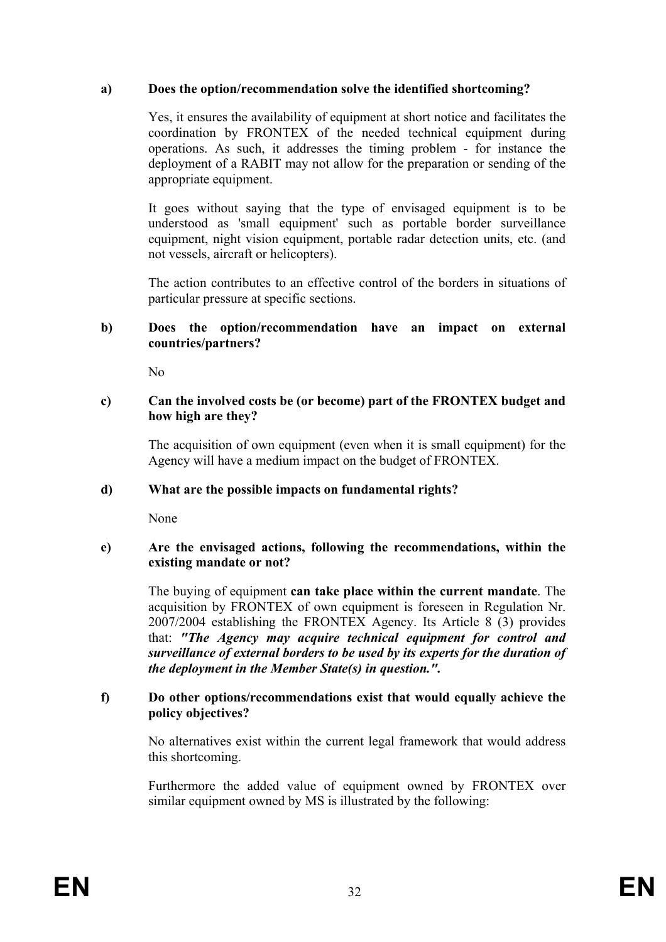### **a) Does the option/recommendation solve the identified shortcoming?**

Yes, it ensures the availability of equipment at short notice and facilitates the coordination by FRONTEX of the needed technical equipment during operations. As such, it addresses the timing problem - for instance the deployment of a RABIT may not allow for the preparation or sending of the appropriate equipment.

It goes without saying that the type of envisaged equipment is to be understood as 'small equipment' such as portable border surveillance equipment, night vision equipment, portable radar detection units, etc. (and not vessels, aircraft or helicopters).

The action contributes to an effective control of the borders in situations of particular pressure at specific sections.

#### **b) Does the option/recommendation have an impact on external countries/partners?**

 $N<sub>0</sub>$ 

#### **c) Can the involved costs be (or become) part of the FRONTEX budget and how high are they?**

The acquisition of own equipment (even when it is small equipment) for the Agency will have a medium impact on the budget of FRONTEX.

#### **d) What are the possible impacts on fundamental rights?**

None

#### **e) Are the envisaged actions, following the recommendations, within the existing mandate or not?**

The buying of equipment **can take place within the current mandate**. The acquisition by FRONTEX of own equipment is foreseen in Regulation Nr. 2007/2004 establishing the FRONTEX Agency. Its Article 8 (3) provides that: *"The Agency may acquire technical equipment for control and surveillance of external borders to be used by its experts for the duration of the deployment in the Member State(s) in question.".*

#### **f) Do other options/recommendations exist that would equally achieve the policy objectives?**

No alternatives exist within the current legal framework that would address this shortcoming.

Furthermore the added value of equipment owned by FRONTEX over similar equipment owned by MS is illustrated by the following: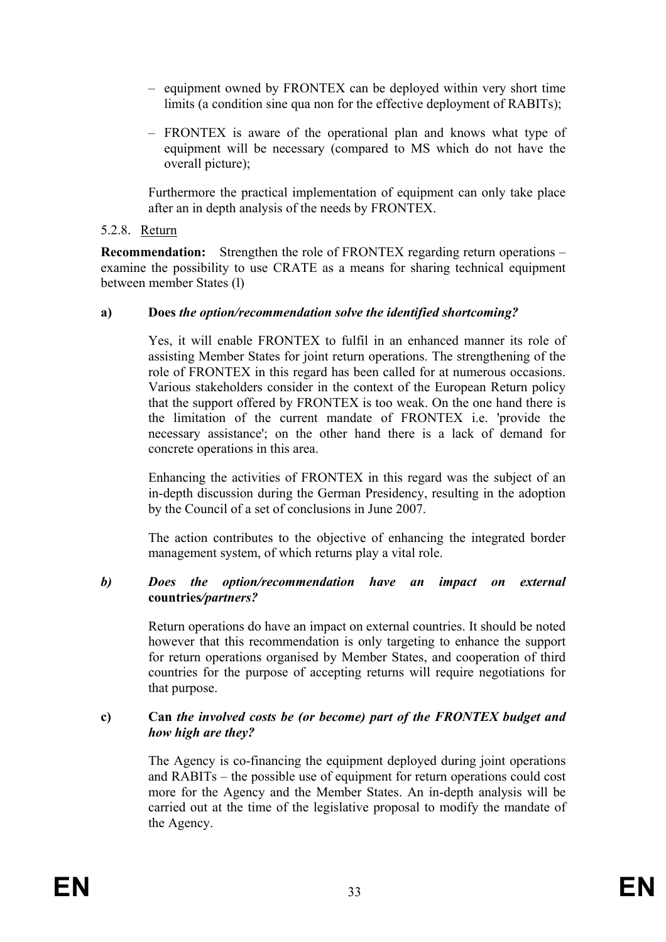- equipment owned by FRONTEX can be deployed within very short time limits (a condition sine qua non for the effective deployment of RABITs);
- FRONTEX is aware of the operational plan and knows what type of equipment will be necessary (compared to MS which do not have the overall picture);

Furthermore the practical implementation of equipment can only take place after an in depth analysis of the needs by FRONTEX.

#### 5.2.8. Return

**Recommendation:** Strengthen the role of FRONTEX regarding return operations – examine the possibility to use CRATE as a means for sharing technical equipment between member States (l)

### **a) Does** *the option/recommendation solve the identified shortcoming?*

Yes, it will enable FRONTEX to fulfil in an enhanced manner its role of assisting Member States for joint return operations. The strengthening of the role of FRONTEX in this regard has been called for at numerous occasions. Various stakeholders consider in the context of the European Return policy that the support offered by FRONTEX is too weak. On the one hand there is the limitation of the current mandate of FRONTEX i.e. 'provide the necessary assistance'; on the other hand there is a lack of demand for concrete operations in this area.

Enhancing the activities of FRONTEX in this regard was the subject of an in-depth discussion during the German Presidency, resulting in the adoption by the Council of a set of conclusions in June 2007.

The action contributes to the objective of enhancing the integrated border management system, of which returns play a vital role.

#### *b) Does the option/recommendation have an impact on external*  **countries***/partners?*

Return operations do have an impact on external countries. It should be noted however that this recommendation is only targeting to enhance the support for return operations organised by Member States, and cooperation of third countries for the purpose of accepting returns will require negotiations for that purpose.

### **c) Can** *the involved costs be (or become) part of the FRONTEX budget and how high are they?*

The Agency is co-financing the equipment deployed during joint operations and RABITs – the possible use of equipment for return operations could cost more for the Agency and the Member States. An in-depth analysis will be carried out at the time of the legislative proposal to modify the mandate of the Agency.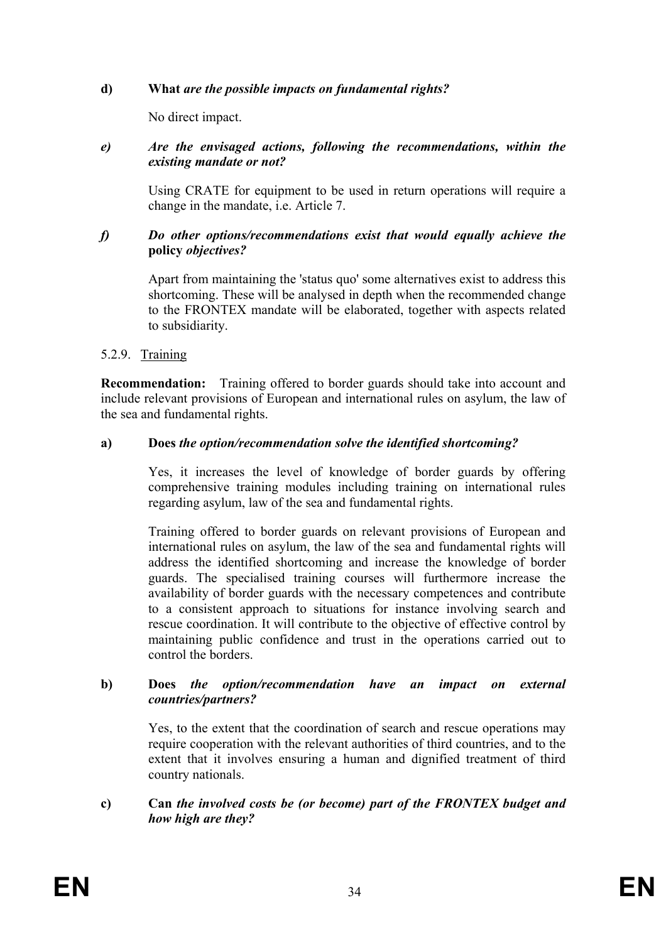# **d) What** *are the possible impacts on fundamental rights?*

No direct impact.

#### *e) Are the envisaged actions, following the recommendations, within the existing mandate or not?*

Using CRATE for equipment to be used in return operations will require a change in the mandate, i.e. Article 7.

### *f) Do other options/recommendations exist that would equally achieve the*  **policy** *objectives?*

Apart from maintaining the 'status quo' some alternatives exist to address this shortcoming. These will be analysed in depth when the recommended change to the FRONTEX mandate will be elaborated, together with aspects related to subsidiarity.

# 5.2.9. Training

**Recommendation:** Training offered to border guards should take into account and include relevant provisions of European and international rules on asylum, the law of the sea and fundamental rights.

### **a) Does** *the option/recommendation solve the identified shortcoming?*

Yes, it increases the level of knowledge of border guards by offering comprehensive training modules including training on international rules regarding asylum, law of the sea and fundamental rights.

Training offered to border guards on relevant provisions of European and international rules on asylum, the law of the sea and fundamental rights will address the identified shortcoming and increase the knowledge of border guards. The specialised training courses will furthermore increase the availability of border guards with the necessary competences and contribute to a consistent approach to situations for instance involving search and rescue coordination. It will contribute to the objective of effective control by maintaining public confidence and trust in the operations carried out to control the borders.

#### **b) Does** *the option/recommendation have an impact on external countries/partners?*

Yes, to the extent that the coordination of search and rescue operations may require cooperation with the relevant authorities of third countries, and to the extent that it involves ensuring a human and dignified treatment of third country nationals.

# **c) Can** *the involved costs be (or become) part of the FRONTEX budget and how high are they?*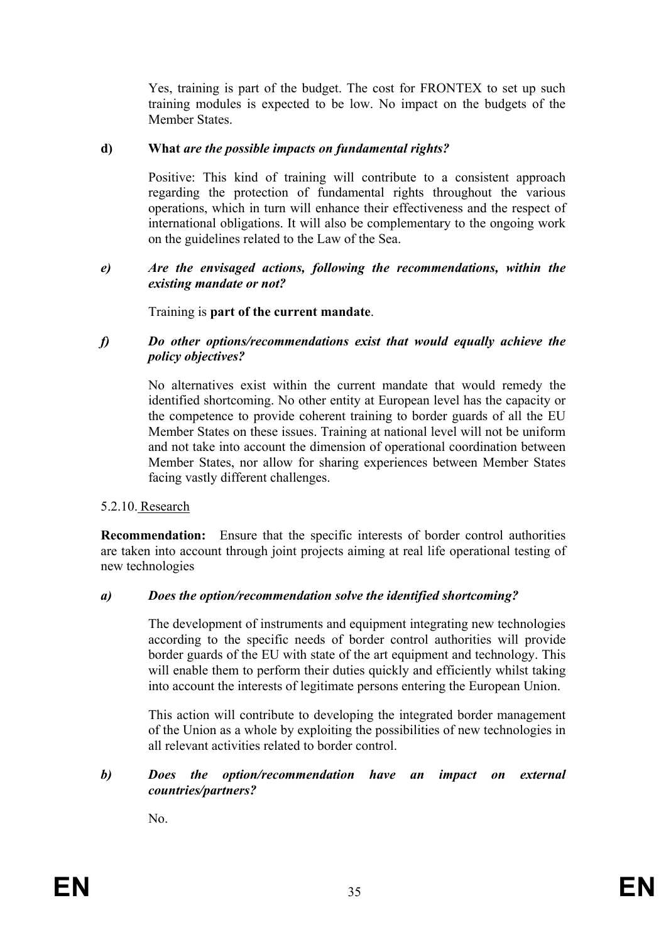Yes, training is part of the budget. The cost for FRONTEX to set up such training modules is expected to be low. No impact on the budgets of the Member States.

### **d) What** *are the possible impacts on fundamental rights?*

Positive: This kind of training will contribute to a consistent approach regarding the protection of fundamental rights throughout the various operations, which in turn will enhance their effectiveness and the respect of international obligations. It will also be complementary to the ongoing work on the guidelines related to the Law of the Sea.

#### *e) Are the envisaged actions, following the recommendations, within the existing mandate or not?*

### Training is **part of the current mandate**.

#### *f) Do other options/recommendations exist that would equally achieve the policy objectives?*

No alternatives exist within the current mandate that would remedy the identified shortcoming. No other entity at European level has the capacity or the competence to provide coherent training to border guards of all the EU Member States on these issues. Training at national level will not be uniform and not take into account the dimension of operational coordination between Member States, nor allow for sharing experiences between Member States facing vastly different challenges.

# 5.2.10. Research

**Recommendation:** Ensure that the specific interests of border control authorities are taken into account through joint projects aiming at real life operational testing of new technologies

#### *a) Does the option/recommendation solve the identified shortcoming?*

The development of instruments and equipment integrating new technologies according to the specific needs of border control authorities will provide border guards of the EU with state of the art equipment and technology. This will enable them to perform their duties quickly and efficiently whilst taking into account the interests of legitimate persons entering the European Union.

This action will contribute to developing the integrated border management of the Union as a whole by exploiting the possibilities of new technologies in all relevant activities related to border control.

### *b) Does the option/recommendation have an impact on external countries/partners?*

No.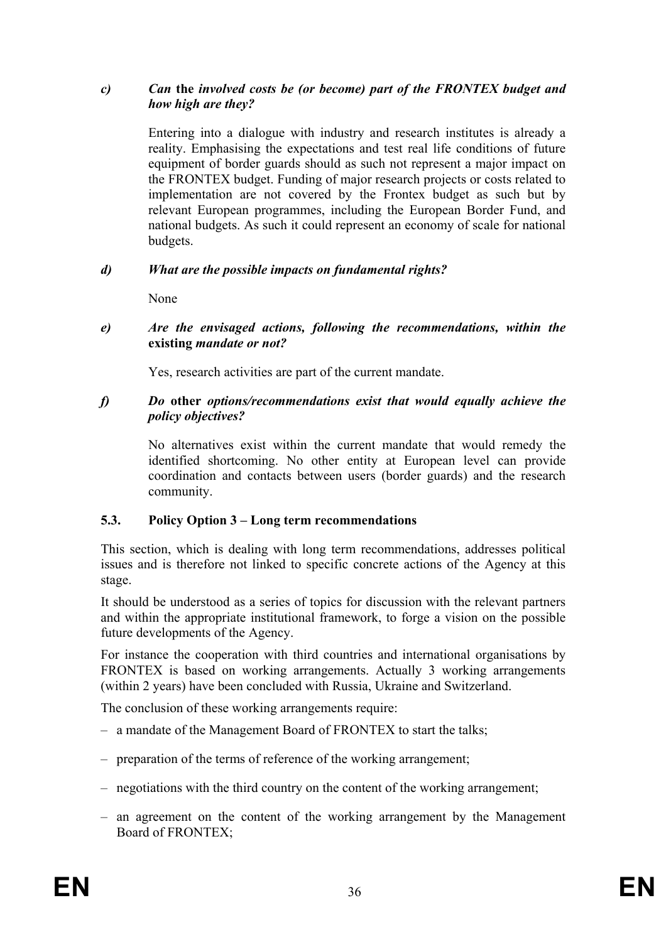### *c) Can* **the** *involved costs be (or become) part of the FRONTEX budget and how high are they?*

Entering into a dialogue with industry and research institutes is already a reality. Emphasising the expectations and test real life conditions of future equipment of border guards should as such not represent a major impact on the FRONTEX budget. Funding of major research projects or costs related to implementation are not covered by the Frontex budget as such but by relevant European programmes, including the European Border Fund, and national budgets. As such it could represent an economy of scale for national budgets.

# *d) What are the possible impacts on fundamental rights?*

None

#### *e) Are the envisaged actions, following the recommendations, within the*  **existing** *mandate or not?*

Yes, research activities are part of the current mandate.

#### *f) Do* **other** *options/recommendations exist that would equally achieve the policy objectives?*

No alternatives exist within the current mandate that would remedy the identified shortcoming. No other entity at European level can provide coordination and contacts between users (border guards) and the research community.

# **5.3. Policy Option 3 – Long term recommendations**

This section, which is dealing with long term recommendations, addresses political issues and is therefore not linked to specific concrete actions of the Agency at this stage.

It should be understood as a series of topics for discussion with the relevant partners and within the appropriate institutional framework, to forge a vision on the possible future developments of the Agency.

For instance the cooperation with third countries and international organisations by FRONTEX is based on working arrangements. Actually 3 working arrangements (within 2 years) have been concluded with Russia, Ukraine and Switzerland.

The conclusion of these working arrangements require:

- a mandate of the Management Board of FRONTEX to start the talks;
- preparation of the terms of reference of the working arrangement;
- negotiations with the third country on the content of the working arrangement;
- an agreement on the content of the working arrangement by the Management Board of FRONTEX;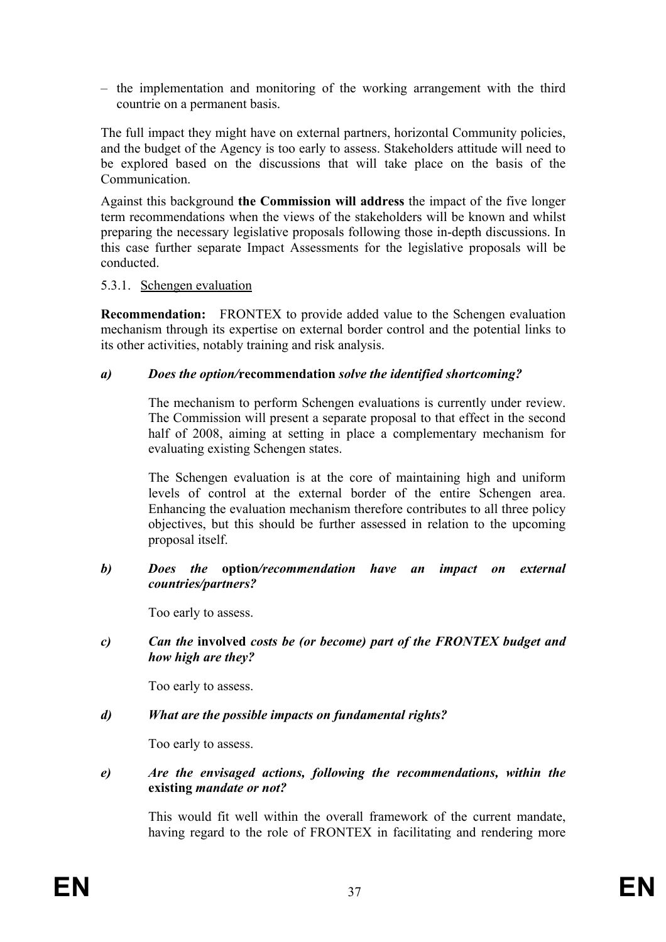– the implementation and monitoring of the working arrangement with the third countrie on a permanent basis.

The full impact they might have on external partners, horizontal Community policies, and the budget of the Agency is too early to assess. Stakeholders attitude will need to be explored based on the discussions that will take place on the basis of the **Communication** 

Against this background **the Commission will address** the impact of the five longer term recommendations when the views of the stakeholders will be known and whilst preparing the necessary legislative proposals following those in-depth discussions. In this case further separate Impact Assessments for the legislative proposals will be conducted.

### 5.3.1. Schengen evaluation

**Recommendation:** FRONTEX to provide added value to the Schengen evaluation mechanism through its expertise on external border control and the potential links to its other activities, notably training and risk analysis.

### *a) Does the option/***recommendation** *solve the identified shortcoming?*

The mechanism to perform Schengen evaluations is currently under review. The Commission will present a separate proposal to that effect in the second half of 2008, aiming at setting in place a complementary mechanism for evaluating existing Schengen states.

The Schengen evaluation is at the core of maintaining high and uniform levels of control at the external border of the entire Schengen area. Enhancing the evaluation mechanism therefore contributes to all three policy objectives, but this should be further assessed in relation to the upcoming proposal itself.

#### *b) Does the* **option***/recommendation have an impact on external countries/partners?*

Too early to assess.

*c) Can the* **involved** *costs be (or become) part of the FRONTEX budget and how high are they?* 

Too early to assess.

# *d) What are the possible impacts on fundamental rights?*

Too early to assess.

*e) Are the envisaged actions, following the recommendations, within the*  **existing** *mandate or not?*

This would fit well within the overall framework of the current mandate, having regard to the role of FRONTEX in facilitating and rendering more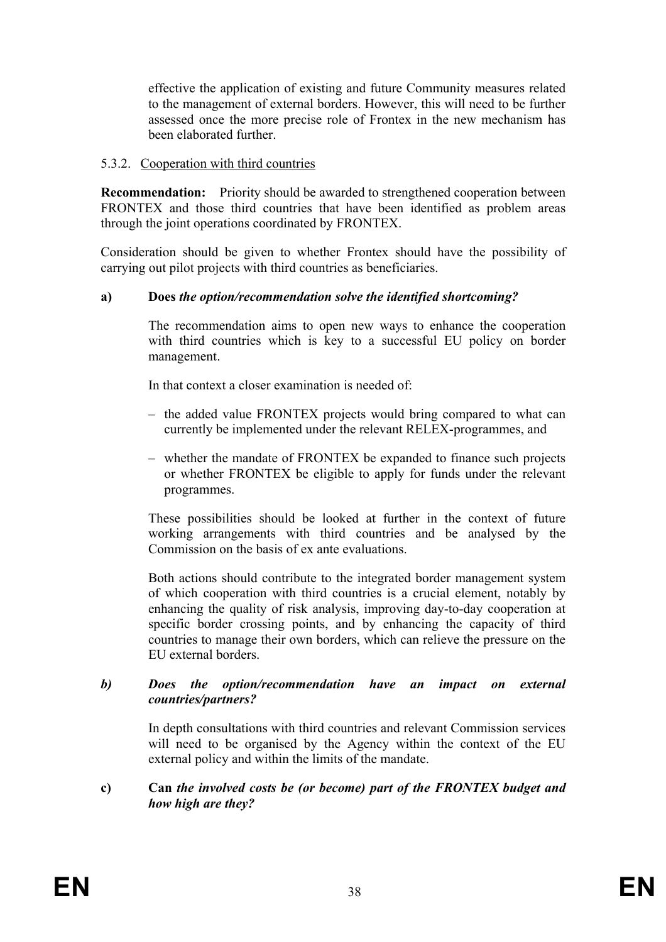effective the application of existing and future Community measures related to the management of external borders. However, this will need to be further assessed once the more precise role of Frontex in the new mechanism has been elaborated further.

### 5.3.2. Cooperation with third countries

**Recommendation:** Priority should be awarded to strengthened cooperation between FRONTEX and those third countries that have been identified as problem areas through the joint operations coordinated by FRONTEX.

Consideration should be given to whether Frontex should have the possibility of carrying out pilot projects with third countries as beneficiaries.

### **a) Does** *the option/recommendation solve the identified shortcoming?*

The recommendation aims to open new ways to enhance the cooperation with third countries which is key to a successful EU policy on border management.

In that context a closer examination is needed of

- the added value FRONTEX projects would bring compared to what can currently be implemented under the relevant RELEX-programmes, and
- whether the mandate of FRONTEX be expanded to finance such projects or whether FRONTEX be eligible to apply for funds under the relevant programmes.

These possibilities should be looked at further in the context of future working arrangements with third countries and be analysed by the Commission on the basis of ex ante evaluations.

Both actions should contribute to the integrated border management system of which cooperation with third countries is a crucial element, notably by enhancing the quality of risk analysis, improving day-to-day cooperation at specific border crossing points, and by enhancing the capacity of third countries to manage their own borders, which can relieve the pressure on the EU external borders.

#### *b) Does the option/recommendation have an impact on external countries/partners?*

In depth consultations with third countries and relevant Commission services will need to be organised by the Agency within the context of the EU external policy and within the limits of the mandate.

#### **c) Can** *the involved costs be (or become) part of the FRONTEX budget and how high are they?*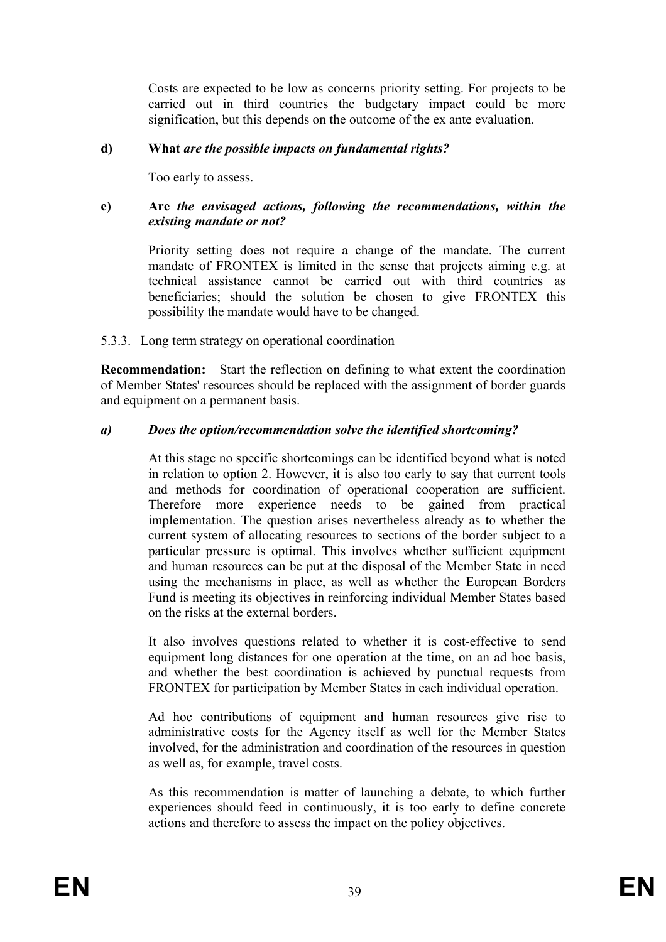Costs are expected to be low as concerns priority setting. For projects to be carried out in third countries the budgetary impact could be more signification, but this depends on the outcome of the ex ante evaluation.

### **d) What** *are the possible impacts on fundamental rights?*

Too early to assess.

#### **e) Are** *the envisaged actions, following the recommendations, within the existing mandate or not?*

Priority setting does not require a change of the mandate. The current mandate of FRONTEX is limited in the sense that projects aiming e.g. at technical assistance cannot be carried out with third countries as beneficiaries; should the solution be chosen to give FRONTEX this possibility the mandate would have to be changed.

### 5.3.3. Long term strategy on operational coordination

**Recommendation:** Start the reflection on defining to what extent the coordination of Member States' resources should be replaced with the assignment of border guards and equipment on a permanent basis.

#### *a) Does the option/recommendation solve the identified shortcoming?*

At this stage no specific shortcomings can be identified beyond what is noted in relation to option 2. However, it is also too early to say that current tools and methods for coordination of operational cooperation are sufficient. Therefore more experience needs to be gained from practical implementation. The question arises nevertheless already as to whether the current system of allocating resources to sections of the border subject to a particular pressure is optimal. This involves whether sufficient equipment and human resources can be put at the disposal of the Member State in need using the mechanisms in place, as well as whether the European Borders Fund is meeting its objectives in reinforcing individual Member States based on the risks at the external borders.

It also involves questions related to whether it is cost-effective to send equipment long distances for one operation at the time, on an ad hoc basis, and whether the best coordination is achieved by punctual requests from FRONTEX for participation by Member States in each individual operation.

Ad hoc contributions of equipment and human resources give rise to administrative costs for the Agency itself as well for the Member States involved, for the administration and coordination of the resources in question as well as, for example, travel costs.

As this recommendation is matter of launching a debate, to which further experiences should feed in continuously, it is too early to define concrete actions and therefore to assess the impact on the policy objectives.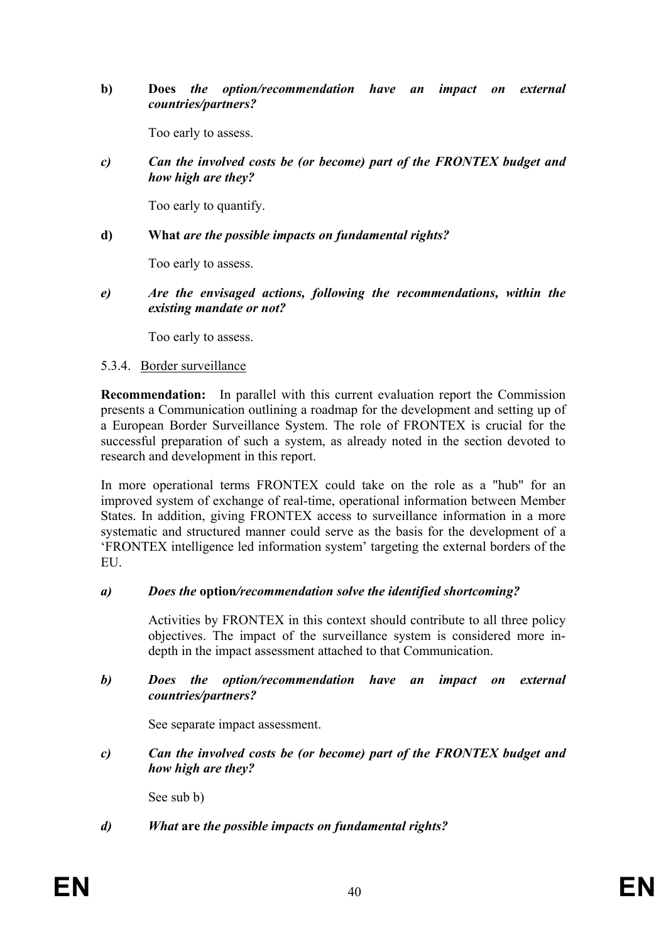**b) Does** *the option/recommendation have an impact on external countries/partners?* 

Too early to assess.

*c) Can the involved costs be (or become) part of the FRONTEX budget and how high are they?* 

Too early to quantify.

#### **d) What** *are the possible impacts on fundamental rights?*

Too early to assess.

*e) Are the envisaged actions, following the recommendations, within the existing mandate or not?* 

Too early to assess.

#### 5.3.4. Border surveillance

**Recommendation:** In parallel with this current evaluation report the Commission presents a Communication outlining a roadmap for the development and setting up of a European Border Surveillance System. The role of FRONTEX is crucial for the successful preparation of such a system, as already noted in the section devoted to research and development in this report.

In more operational terms FRONTEX could take on the role as a "hub" for an improved system of exchange of real-time, operational information between Member States. In addition, giving FRONTEX access to surveillance information in a more systematic and structured manner could serve as the basis for the development of a 'FRONTEX intelligence led information system' targeting the external borders of the EU.

#### *a) Does the* **option***/recommendation solve the identified shortcoming?*

Activities by FRONTEX in this context should contribute to all three policy objectives. The impact of the surveillance system is considered more indepth in the impact assessment attached to that Communication.

#### *b) Does the option/recommendation have an impact on external countries/partners?*

See separate impact assessment.

*c) Can the involved costs be (or become) part of the FRONTEX budget and how high are they?* 

See sub b)

# *d) What* **are** *the possible impacts on fundamental rights?*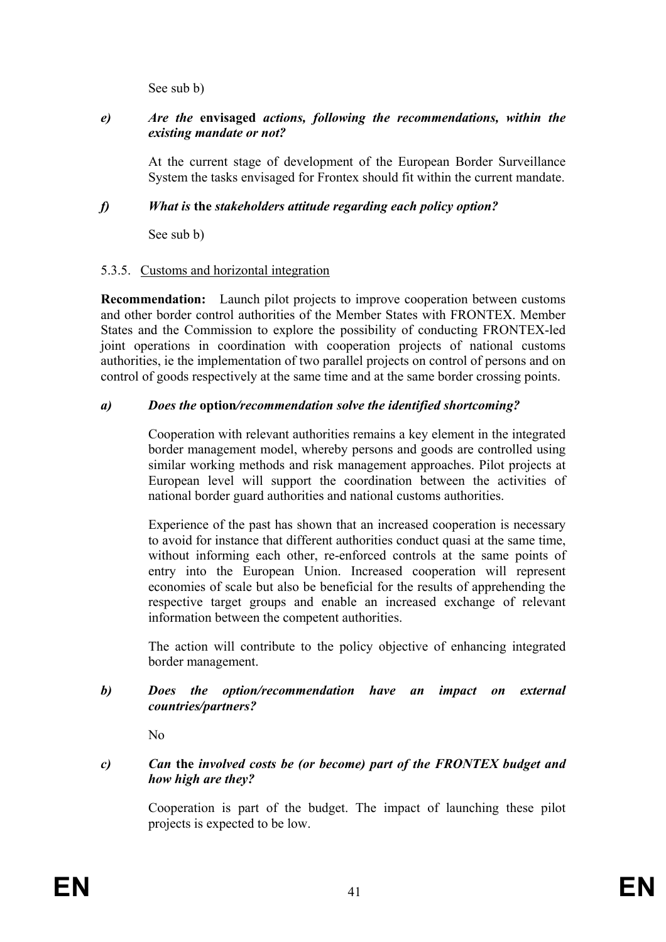See sub b)

# *e) Are the* **envisaged** *actions, following the recommendations, within the existing mandate or not?*

At the current stage of development of the European Border Surveillance System the tasks envisaged for Frontex should fit within the current mandate.

# *f) What is* **the** *stakeholders attitude regarding each policy option?*

See sub b)

# 5.3.5. Customs and horizontal integration

**Recommendation:** Launch pilot projects to improve cooperation between customs and other border control authorities of the Member States with FRONTEX. Member States and the Commission to explore the possibility of conducting FRONTEX-led joint operations in coordination with cooperation projects of national customs authorities, ie the implementation of two parallel projects on control of persons and on control of goods respectively at the same time and at the same border crossing points.

# *a) Does the* **option***/recommendation solve the identified shortcoming?*

Cooperation with relevant authorities remains a key element in the integrated border management model, whereby persons and goods are controlled using similar working methods and risk management approaches. Pilot projects at European level will support the coordination between the activities of national border guard authorities and national customs authorities.

Experience of the past has shown that an increased cooperation is necessary to avoid for instance that different authorities conduct quasi at the same time, without informing each other, re-enforced controls at the same points of entry into the European Union. Increased cooperation will represent economies of scale but also be beneficial for the results of apprehending the respective target groups and enable an increased exchange of relevant information between the competent authorities.

The action will contribute to the policy objective of enhancing integrated border management.

# *b) Does the option/recommendation have an impact on external countries/partners?*

No

# *c) Can* **the** *involved costs be (or become) part of the FRONTEX budget and how high are they?*

Cooperation is part of the budget. The impact of launching these pilot projects is expected to be low.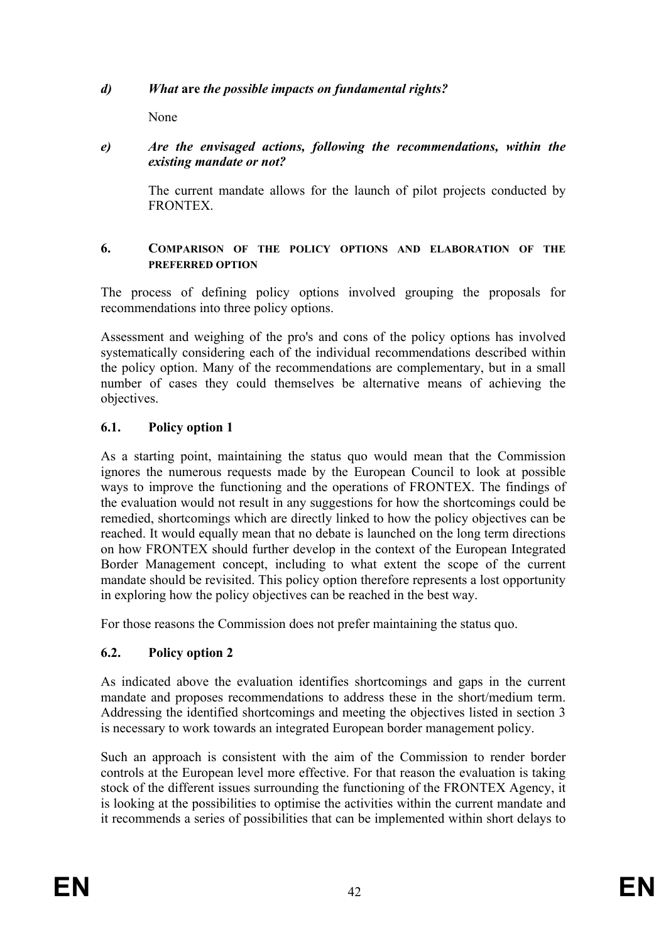# *d) What* **are** *the possible impacts on fundamental rights?*

None

# *e) Are the envisaged actions, following the recommendations, within the existing mandate or not?*

The current mandate allows for the launch of pilot projects conducted by **FRONTEX** 

### **6. COMPARISON OF THE POLICY OPTIONS AND ELABORATION OF THE PREFERRED OPTION**

The process of defining policy options involved grouping the proposals for recommendations into three policy options.

Assessment and weighing of the pro's and cons of the policy options has involved systematically considering each of the individual recommendations described within the policy option. Many of the recommendations are complementary, but in a small number of cases they could themselves be alternative means of achieving the objectives.

# **6.1. Policy option 1**

As a starting point, maintaining the status quo would mean that the Commission ignores the numerous requests made by the European Council to look at possible ways to improve the functioning and the operations of FRONTEX. The findings of the evaluation would not result in any suggestions for how the shortcomings could be remedied, shortcomings which are directly linked to how the policy objectives can be reached. It would equally mean that no debate is launched on the long term directions on how FRONTEX should further develop in the context of the European Integrated Border Management concept, including to what extent the scope of the current mandate should be revisited. This policy option therefore represents a lost opportunity in exploring how the policy objectives can be reached in the best way.

For those reasons the Commission does not prefer maintaining the status quo.

# **6.2. Policy option 2**

As indicated above the evaluation identifies shortcomings and gaps in the current mandate and proposes recommendations to address these in the short/medium term. Addressing the identified shortcomings and meeting the objectives listed in section 3 is necessary to work towards an integrated European border management policy.

Such an approach is consistent with the aim of the Commission to render border controls at the European level more effective. For that reason the evaluation is taking stock of the different issues surrounding the functioning of the FRONTEX Agency, it is looking at the possibilities to optimise the activities within the current mandate and it recommends a series of possibilities that can be implemented within short delays to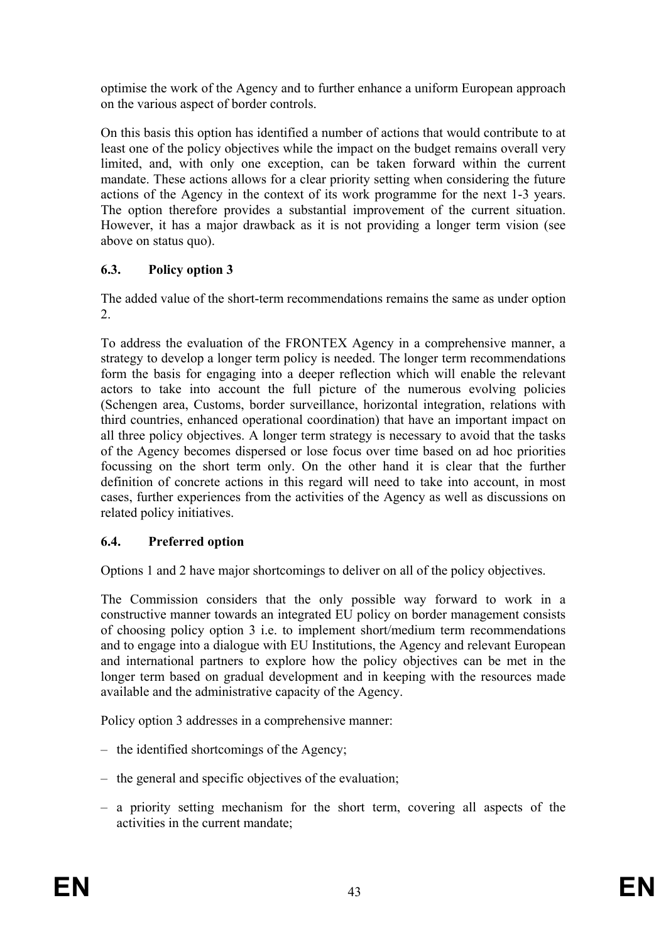optimise the work of the Agency and to further enhance a uniform European approach on the various aspect of border controls.

On this basis this option has identified a number of actions that would contribute to at least one of the policy objectives while the impact on the budget remains overall very limited, and, with only one exception, can be taken forward within the current mandate. These actions allows for a clear priority setting when considering the future actions of the Agency in the context of its work programme for the next 1-3 years. The option therefore provides a substantial improvement of the current situation. However, it has a major drawback as it is not providing a longer term vision (see above on status quo).

# **6.3. Policy option 3**

The added value of the short-term recommendations remains the same as under option 2.

To address the evaluation of the FRONTEX Agency in a comprehensive manner, a strategy to develop a longer term policy is needed. The longer term recommendations form the basis for engaging into a deeper reflection which will enable the relevant actors to take into account the full picture of the numerous evolving policies (Schengen area, Customs, border surveillance, horizontal integration, relations with third countries, enhanced operational coordination) that have an important impact on all three policy objectives. A longer term strategy is necessary to avoid that the tasks of the Agency becomes dispersed or lose focus over time based on ad hoc priorities focussing on the short term only. On the other hand it is clear that the further definition of concrete actions in this regard will need to take into account, in most cases, further experiences from the activities of the Agency as well as discussions on related policy initiatives.

# **6.4. Preferred option**

Options 1 and 2 have major shortcomings to deliver on all of the policy objectives.

The Commission considers that the only possible way forward to work in a constructive manner towards an integrated EU policy on border management consists of choosing policy option 3 i.e. to implement short/medium term recommendations and to engage into a dialogue with EU Institutions, the Agency and relevant European and international partners to explore how the policy objectives can be met in the longer term based on gradual development and in keeping with the resources made available and the administrative capacity of the Agency.

Policy option 3 addresses in a comprehensive manner:

- the identified shortcomings of the Agency;
- the general and specific objectives of the evaluation;
- a priority setting mechanism for the short term, covering all aspects of the activities in the current mandate;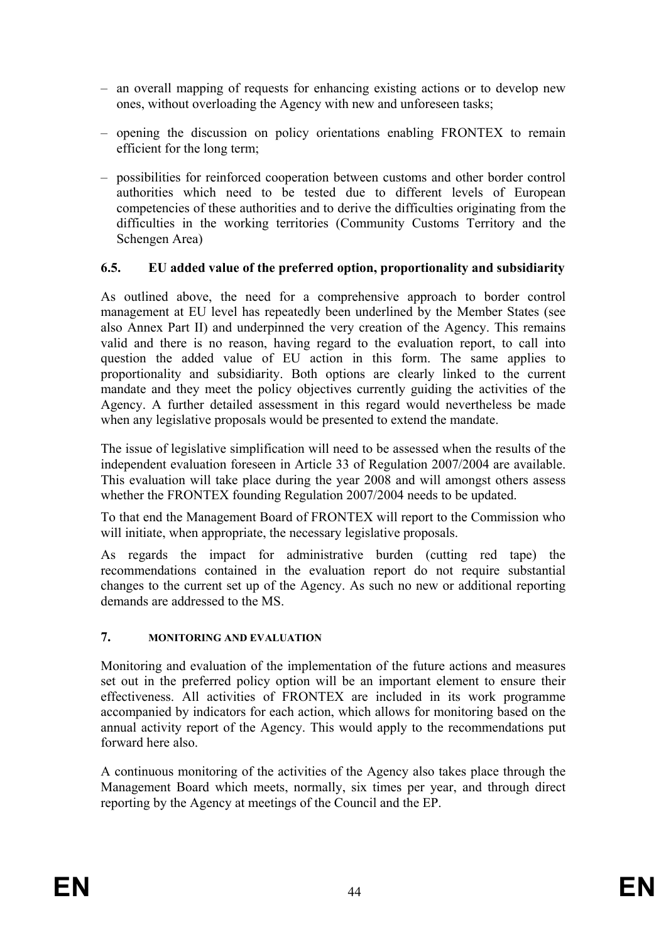- an overall mapping of requests for enhancing existing actions or to develop new ones, without overloading the Agency with new and unforeseen tasks;
- opening the discussion on policy orientations enabling FRONTEX to remain efficient for the long term;
- possibilities for reinforced cooperation between customs and other border control authorities which need to be tested due to different levels of European competencies of these authorities and to derive the difficulties originating from the difficulties in the working territories (Community Customs Territory and the Schengen Area)

# **6.5. EU added value of the preferred option, proportionality and subsidiarity**

As outlined above, the need for a comprehensive approach to border control management at EU level has repeatedly been underlined by the Member States (see also Annex Part II) and underpinned the very creation of the Agency. This remains valid and there is no reason, having regard to the evaluation report, to call into question the added value of EU action in this form. The same applies to proportionality and subsidiarity. Both options are clearly linked to the current mandate and they meet the policy objectives currently guiding the activities of the Agency. A further detailed assessment in this regard would nevertheless be made when any legislative proposals would be presented to extend the mandate.

The issue of legislative simplification will need to be assessed when the results of the independent evaluation foreseen in Article 33 of Regulation 2007/2004 are available. This evaluation will take place during the year 2008 and will amongst others assess whether the FRONTEX founding Regulation 2007/2004 needs to be updated.

To that end the Management Board of FRONTEX will report to the Commission who will initiate, when appropriate, the necessary legislative proposals.

As regards the impact for administrative burden (cutting red tape) the recommendations contained in the evaluation report do not require substantial changes to the current set up of the Agency. As such no new or additional reporting demands are addressed to the MS.

# **7. MONITORING AND EVALUATION**

Monitoring and evaluation of the implementation of the future actions and measures set out in the preferred policy option will be an important element to ensure their effectiveness. All activities of FRONTEX are included in its work programme accompanied by indicators for each action, which allows for monitoring based on the annual activity report of the Agency. This would apply to the recommendations put forward here also.

A continuous monitoring of the activities of the Agency also takes place through the Management Board which meets, normally, six times per year, and through direct reporting by the Agency at meetings of the Council and the EP.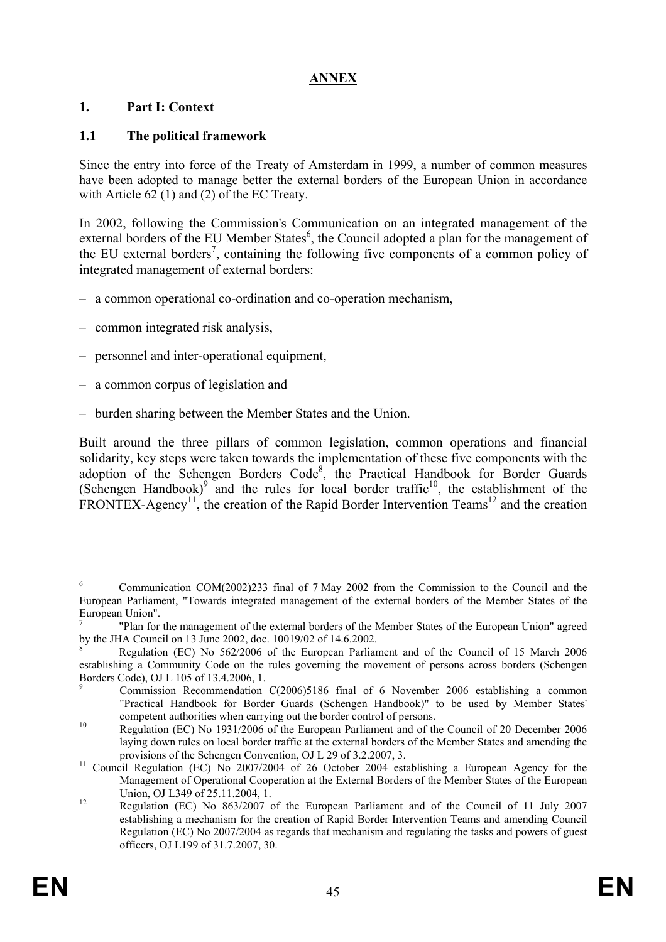# **ANNEX**

# **1. Part I: Context**

# **1.1 The political framework**

Since the entry into force of the Treaty of Amsterdam in 1999, a number of common measures have been adopted to manage better the external borders of the European Union in accordance with Article 62 (1) and (2) of the EC Treaty.

In 2002, following the Commission's Communication on an integrated management of the external borders of the EU Member States<sup>6</sup>, the Council adopted a plan for the management of the EU external borders<sup>7</sup>, containing the following five components of a common policy of integrated management of external borders:

- a common operational co-ordination and co-operation mechanism,
- common integrated risk analysis,
- personnel and inter-operational equipment,
- a common corpus of legislation and
- burden sharing between the Member States and the Union.

Built around the three pillars of common legislation, common operations and financial solidarity, key steps were taken towards the implementation of these five components with the adoption of the Schengen Borders Code<sup>8</sup>, the Practical Handbook for Border Guards (Schengen Handbook)<sup>9</sup> and the rules for local border traffic<sup>10</sup>, the establishment of the FRONTEX-Agency<sup>11</sup>, the creation of the Rapid Border Intervention Teams<sup>12</sup> and the creation

1

<sup>6</sup> Communication COM(2002)233 final of 7 May 2002 from the Commission to the Council and the European Parliament, "Towards integrated management of the external borders of the Member States of the European Union".

<sup>7</sup> "Plan for the management of the external borders of the Member States of the European Union" agreed by the JHA Council on 13 June 2002, doc. 10019/02 of 14.6.2002.

<sup>8</sup> Regulation (EC) No 562/2006 of the European Parliament and of the Council of 15 March 2006 establishing a Community Code on the rules governing the movement of persons across borders (Schengen Borders Code), OJ L 105 of 13.4.2006, 1. 9

Commission Recommendation C(2006)5186 final of 6 November 2006 establishing a common "Practical Handbook for Border Guards (Schengen Handbook)" to be used by Member States' competent authorities when carrying out the border control of persons. 10 Regulation (EC) No 1931/2006 of the European Parliament and of the Council of 20 December 2006

laying down rules on local border traffic at the external borders of the Member States and amending the provisions of the Schengen Convention, OJ L 29 of 3.2.2007, 3.<br><sup>11</sup> Council Regulation (EC) No 2007/2004 of 26 October 2004 establishing a European Agency for the

Management of Operational Cooperation at the External Borders of the Member States of the European

Union, OJ L349 of 25.11.2004, 1.<br>12 Regulation (EC) No 863/2007 of the European Parliament and of the Council of 11 July 2007 establishing a mechanism for the creation of Rapid Border Intervention Teams and amending Council Regulation (EC) No 2007/2004 as regards that mechanism and regulating the tasks and powers of guest officers, OJ L199 of 31.7.2007, 30.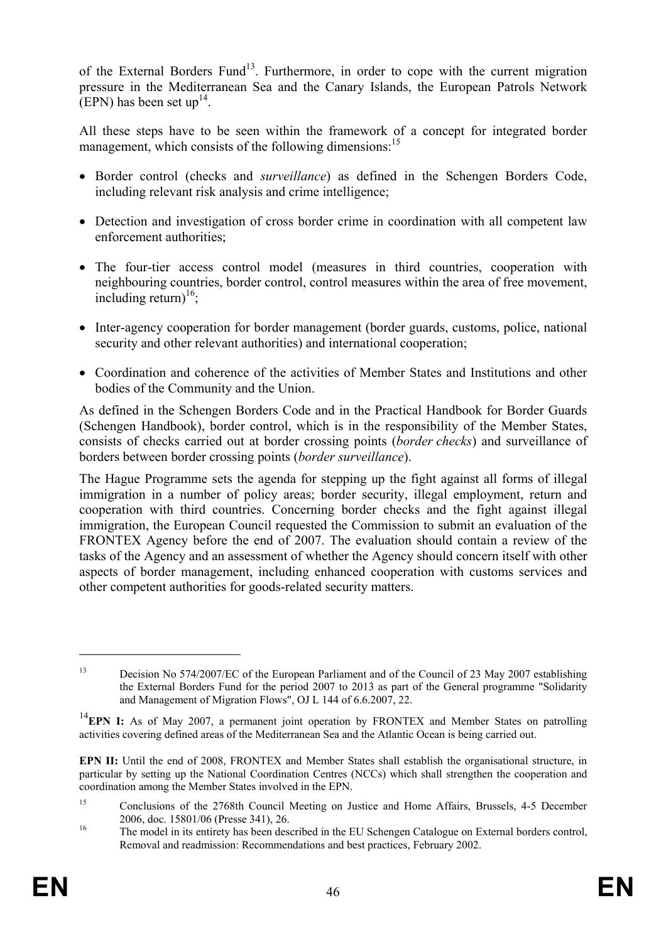of the External Borders Fund<sup>13</sup>. Furthermore, in order to cope with the current migration pressure in the Mediterranean Sea and the Canary Islands, the European Patrols Network (EPN) has been set up<sup>14</sup>.

All these steps have to be seen within the framework of a concept for integrated border management, which consists of the following dimensions:<sup>15</sup>

- Border control (checks and *surveillance*) as defined in the Schengen Borders Code, including relevant risk analysis and crime intelligence;
- Detection and investigation of cross border crime in coordination with all competent law enforcement authorities;
- The four-tier access control model (measures in third countries, cooperation with neighbouring countries, border control, control measures within the area of free movement, including return)<sup>16</sup>;
- Inter-agency cooperation for border management (border guards, customs, police, national security and other relevant authorities) and international cooperation;
- Coordination and coherence of the activities of Member States and Institutions and other bodies of the Community and the Union.

As defined in the Schengen Borders Code and in the Practical Handbook for Border Guards (Schengen Handbook), border control, which is in the responsibility of the Member States, consists of checks carried out at border crossing points (*border checks*) and surveillance of borders between border crossing points (*border surveillance*).

The Hague Programme sets the agenda for stepping up the fight against all forms of illegal immigration in a number of policy areas; border security, illegal employment, return and cooperation with third countries. Concerning border checks and the fight against illegal immigration, the European Council requested the Commission to submit an evaluation of the FRONTEX Agency before the end of 2007. The evaluation should contain a review of the tasks of the Agency and an assessment of whether the Agency should concern itself with other aspects of border management, including enhanced cooperation with customs services and other competent authorities for goods-related security matters.

1

<sup>&</sup>lt;sup>13</sup> Decision No 574/2007/EC of the European Parliament and of the Council of 23 May 2007 establishing the External Borders Fund for the period 2007 to 2013 as part of the General programme "Solidarity and Management of Migration Flows", OJ L 144 of 6.6.2007, 22.

<sup>&</sup>lt;sup>14</sup>EPN I: As of May 2007, a permanent joint operation by FRONTEX and Member States on patrolling activities covering defined areas of the Mediterranean Sea and the Atlantic Ocean is being carried out.

**EPN II:** Until the end of 2008, FRONTEX and Member States shall establish the organisational structure, in particular by setting up the National Coordination Centres (NCCs) which shall strengthen the cooperation and coordination among the Member States involved in the EPN.

<sup>&</sup>lt;sup>15</sup> Conclusions of the 2768th Council Meeting on Justice and Home Affairs, Brussels, 4-5 December 2006, doc. 15801/06 (Presse 341), 26.<br><sup>16</sup> The model in its entirety has been described in the EU Schengen Catalogue on External borders control,

Removal and readmission: Recommendations and best practices, February 2002.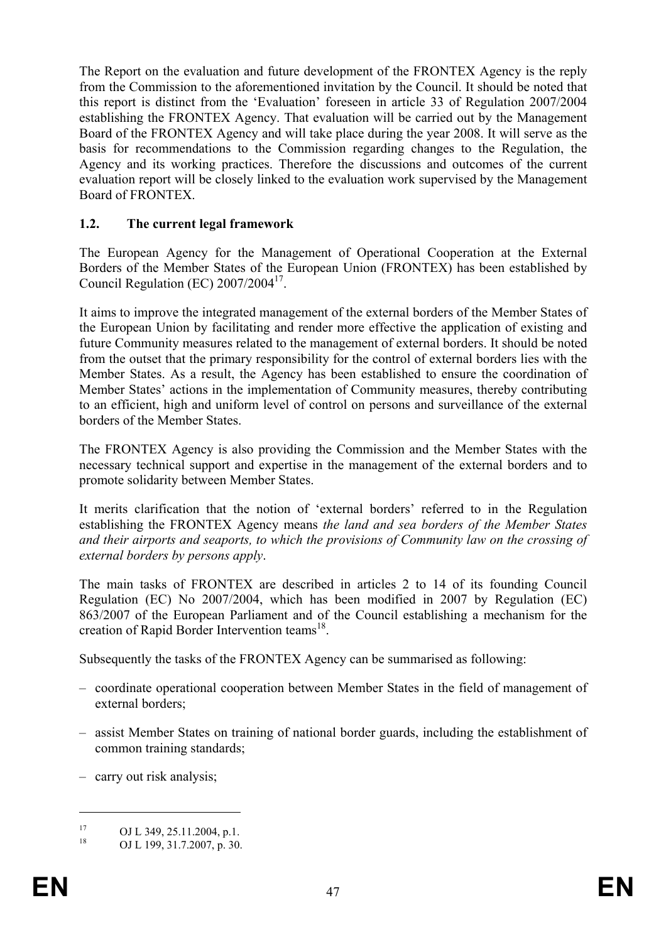The Report on the evaluation and future development of the FRONTEX Agency is the reply from the Commission to the aforementioned invitation by the Council. It should be noted that this report is distinct from the 'Evaluation' foreseen in article 33 of Regulation 2007/2004 establishing the FRONTEX Agency. That evaluation will be carried out by the Management Board of the FRONTEX Agency and will take place during the year 2008. It will serve as the basis for recommendations to the Commission regarding changes to the Regulation, the Agency and its working practices. Therefore the discussions and outcomes of the current evaluation report will be closely linked to the evaluation work supervised by the Management Board of FRONTEX.

# **1.2. The current legal framework**

The European Agency for the Management of Operational Cooperation at the External Borders of the Member States of the European Union (FRONTEX) has been established by Council Regulation (EC) 2007/2004<sup>17</sup>.

It aims to improve the integrated management of the external borders of the Member States of the European Union by facilitating and render more effective the application of existing and future Community measures related to the management of external borders. It should be noted from the outset that the primary responsibility for the control of external borders lies with the Member States. As a result, the Agency has been established to ensure the coordination of Member States' actions in the implementation of Community measures, thereby contributing to an efficient, high and uniform level of control on persons and surveillance of the external borders of the Member States.

The FRONTEX Agency is also providing the Commission and the Member States with the necessary technical support and expertise in the management of the external borders and to promote solidarity between Member States.

It merits clarification that the notion of 'external borders' referred to in the Regulation establishing the FRONTEX Agency means *the land and sea borders of the Member States and their airports and seaports, to which the provisions of Community law on the crossing of external borders by persons apply*.

The main tasks of FRONTEX are described in articles 2 to 14 of its founding Council Regulation (EC) No 2007/2004, which has been modified in 2007 by Regulation (EC) 863/2007 of the European Parliament and of the Council establishing a mechanism for the creation of Rapid Border Intervention teams<sup>18</sup>.

Subsequently the tasks of the FRONTEX Agency can be summarised as following:

- coordinate operational cooperation between Member States in the field of management of external borders;
- assist Member States on training of national border guards, including the establishment of common training standards;
- carry out risk analysis;

<u>.</u>

<sup>&</sup>lt;sup>17</sup> OJ L 349, 25.11.2004, p.1.<br><sup>18</sup> OJ L 100, 21.7.2007, p.20

OJ L 199, 31.7.2007, p. 30.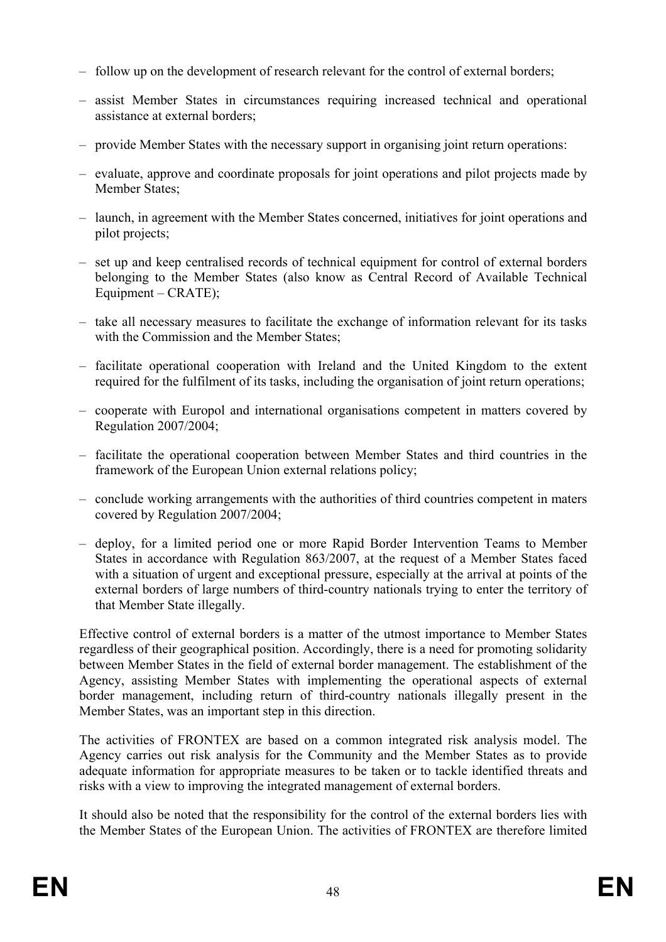- follow up on the development of research relevant for the control of external borders;
- assist Member States in circumstances requiring increased technical and operational assistance at external borders;
- provide Member States with the necessary support in organising joint return operations:
- evaluate, approve and coordinate proposals for joint operations and pilot projects made by Member States;
- launch, in agreement with the Member States concerned, initiatives for joint operations and pilot projects;
- set up and keep centralised records of technical equipment for control of external borders belonging to the Member States (also know as Central Record of Available Technical Equipment – CRATE);
- take all necessary measures to facilitate the exchange of information relevant for its tasks with the Commission and the Member States;
- facilitate operational cooperation with Ireland and the United Kingdom to the extent required for the fulfilment of its tasks, including the organisation of joint return operations;
- cooperate with Europol and international organisations competent in matters covered by Regulation 2007/2004;
- facilitate the operational cooperation between Member States and third countries in the framework of the European Union external relations policy;
- conclude working arrangements with the authorities of third countries competent in maters covered by Regulation 2007/2004;
- deploy, for a limited period one or more Rapid Border Intervention Teams to Member States in accordance with Regulation 863/2007, at the request of a Member States faced with a situation of urgent and exceptional pressure, especially at the arrival at points of the external borders of large numbers of third-country nationals trying to enter the territory of that Member State illegally.

Effective control of external borders is a matter of the utmost importance to Member States regardless of their geographical position. Accordingly, there is a need for promoting solidarity between Member States in the field of external border management. The establishment of the Agency, assisting Member States with implementing the operational aspects of external border management, including return of third-country nationals illegally present in the Member States, was an important step in this direction.

The activities of FRONTEX are based on a common integrated risk analysis model. The Agency carries out risk analysis for the Community and the Member States as to provide adequate information for appropriate measures to be taken or to tackle identified threats and risks with a view to improving the integrated management of external borders.

It should also be noted that the responsibility for the control of the external borders lies with the Member States of the European Union. The activities of FRONTEX are therefore limited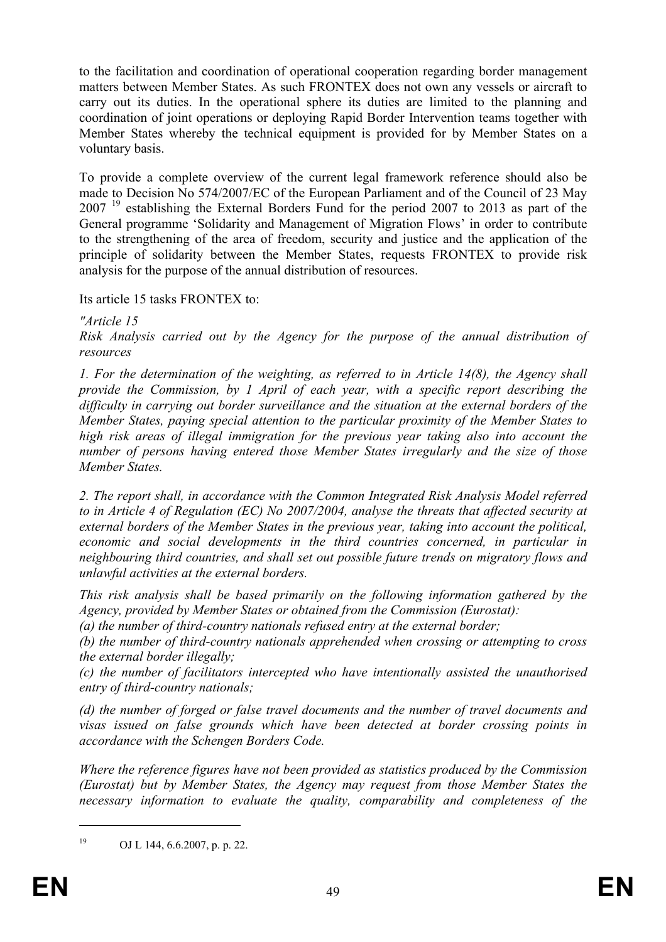to the facilitation and coordination of operational cooperation regarding border management matters between Member States. As such FRONTEX does not own any vessels or aircraft to carry out its duties. In the operational sphere its duties are limited to the planning and coordination of joint operations or deploying Rapid Border Intervention teams together with Member States whereby the technical equipment is provided for by Member States on a voluntary basis.

To provide a complete overview of the current legal framework reference should also be made to Decision No 574/2007/EC of the European Parliament and of the Council of 23 May 2007<sup>19</sup> establishing the External Borders Fund for the period 2007 to 2013 as part of the General programme 'Solidarity and Management of Migration Flows' in order to contribute to the strengthening of the area of freedom, security and justice and the application of the principle of solidarity between the Member States, requests FRONTEX to provide risk analysis for the purpose of the annual distribution of resources.

Its article 15 tasks FRONTEX to:

*"Article 15* 

*Risk Analysis carried out by the Agency for the purpose of the annual distribution of resources* 

*1. For the determination of the weighting, as referred to in Article 14(8), the Agency shall provide the Commission, by 1 April of each year, with a specific report describing the difficulty in carrying out border surveillance and the situation at the external borders of the Member States, paying special attention to the particular proximity of the Member States to high risk areas of illegal immigration for the previous year taking also into account the number of persons having entered those Member States irregularly and the size of those Member States.* 

*2. The report shall, in accordance with the Common Integrated Risk Analysis Model referred to in Article 4 of Regulation (EC) No 2007/2004, analyse the threats that affected security at external borders of the Member States in the previous year, taking into account the political, economic and social developments in the third countries concerned, in particular in neighbouring third countries, and shall set out possible future trends on migratory flows and unlawful activities at the external borders.* 

*This risk analysis shall be based primarily on the following information gathered by the Agency, provided by Member States or obtained from the Commission (Eurostat):* 

*(a) the number of third-country nationals refused entry at the external border;* 

*(b) the number of third-country nationals apprehended when crossing or attempting to cross the external border illegally;* 

*(c) the number of facilitators intercepted who have intentionally assisted the unauthorised entry of third-country nationals;* 

*(d) the number of forged or false travel documents and the number of travel documents and visas issued on false grounds which have been detected at border crossing points in accordance with the Schengen Borders Code.* 

*Where the reference figures have not been provided as statistics produced by the Commission (Eurostat) but by Member States, the Agency may request from those Member States the necessary information to evaluate the quality, comparability and completeness of the* 

1

<sup>19</sup> OJ L 144, 6.6.2007, p. p. 22.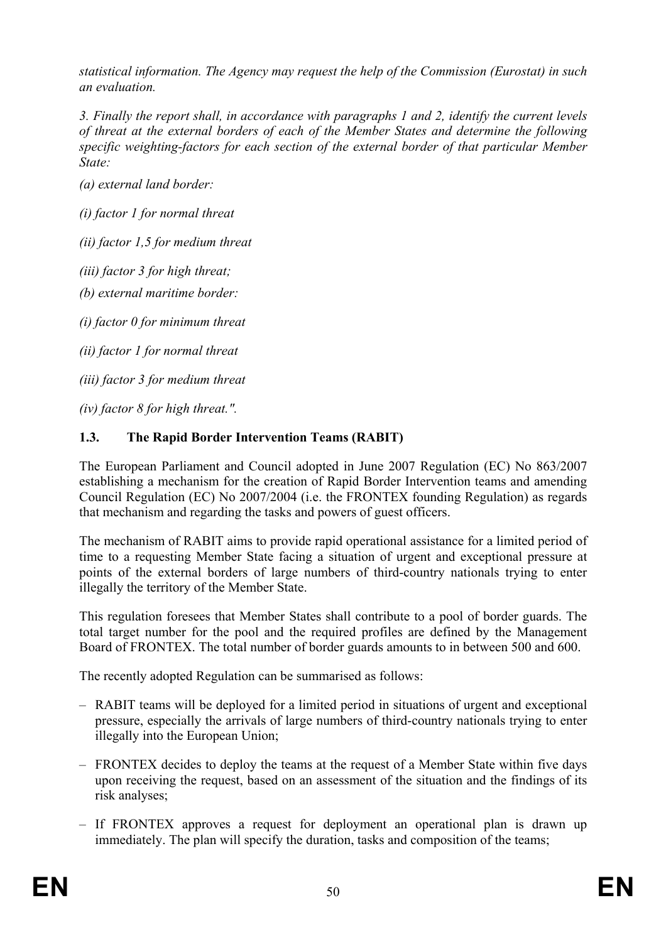*statistical information. The Agency may request the help of the Commission (Eurostat) in such an evaluation.* 

*3. Finally the report shall, in accordance with paragraphs 1 and 2, identify the current levels of threat at the external borders of each of the Member States and determine the following specific weighting-factors for each section of the external border of that particular Member State:* 

*(a) external land border:* 

*(i) factor 1 for normal threat* 

*(ii) factor 1,5 for medium threat* 

*(iii) factor 3 for high threat;* 

*(b) external maritime border:* 

*(i) factor 0 for minimum threat* 

*(ii) factor 1 for normal threat* 

*(iii) factor 3 for medium threat* 

*(iv) factor 8 for high threat.".* 

# **1.3. The Rapid Border Intervention Teams (RABIT)**

The European Parliament and Council adopted in June 2007 Regulation (EC) No 863/2007 establishing a mechanism for the creation of Rapid Border Intervention teams and amending Council Regulation (EC) No 2007/2004 (i.e. the FRONTEX founding Regulation) as regards that mechanism and regarding the tasks and powers of guest officers.

The mechanism of RABIT aims to provide rapid operational assistance for a limited period of time to a requesting Member State facing a situation of urgent and exceptional pressure at points of the external borders of large numbers of third-country nationals trying to enter illegally the territory of the Member State.

This regulation foresees that Member States shall contribute to a pool of border guards. The total target number for the pool and the required profiles are defined by the Management Board of FRONTEX. The total number of border guards amounts to in between 500 and 600.

The recently adopted Regulation can be summarised as follows:

- RABIT teams will be deployed for a limited period in situations of urgent and exceptional pressure, especially the arrivals of large numbers of third-country nationals trying to enter illegally into the European Union;
- FRONTEX decides to deploy the teams at the request of a Member State within five days upon receiving the request, based on an assessment of the situation and the findings of its risk analyses;
- If FRONTEX approves a request for deployment an operational plan is drawn up immediately. The plan will specify the duration, tasks and composition of the teams;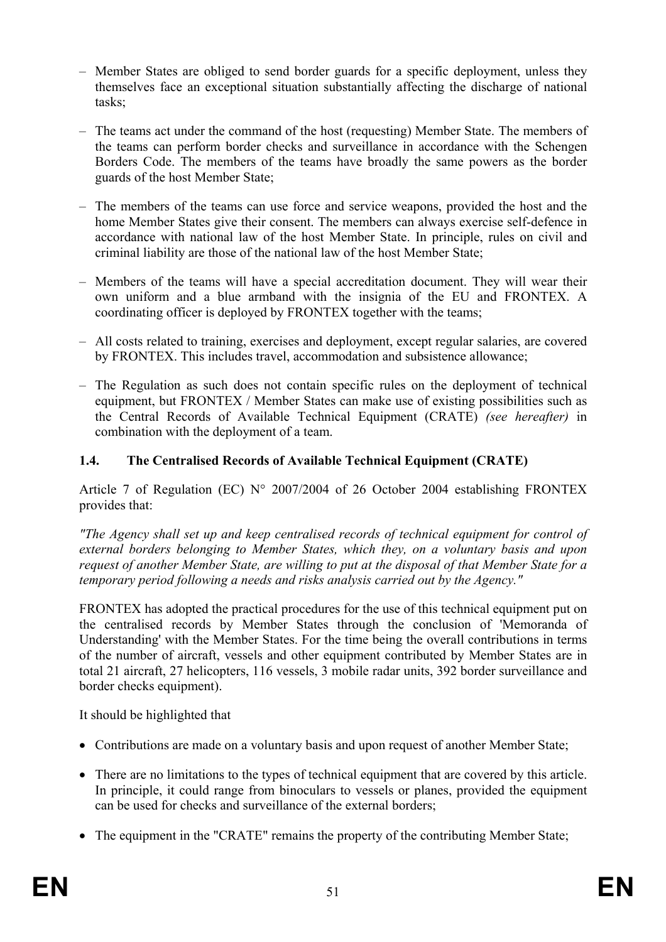- Member States are obliged to send border guards for a specific deployment, unless they themselves face an exceptional situation substantially affecting the discharge of national tasks;
- The teams act under the command of the host (requesting) Member State. The members of the teams can perform border checks and surveillance in accordance with the Schengen Borders Code. The members of the teams have broadly the same powers as the border guards of the host Member State;
- The members of the teams can use force and service weapons, provided the host and the home Member States give their consent. The members can always exercise self-defence in accordance with national law of the host Member State. In principle, rules on civil and criminal liability are those of the national law of the host Member State;
- Members of the teams will have a special accreditation document. They will wear their own uniform and a blue armband with the insignia of the EU and FRONTEX. A coordinating officer is deployed by FRONTEX together with the teams;
- All costs related to training, exercises and deployment, except regular salaries, are covered by FRONTEX. This includes travel, accommodation and subsistence allowance;
- The Regulation as such does not contain specific rules on the deployment of technical equipment, but FRONTEX / Member States can make use of existing possibilities such as the Central Records of Available Technical Equipment (CRATE) *(see hereafter)* in combination with the deployment of a team.

# **1.4. The Centralised Records of Available Technical Equipment (CRATE)**

Article 7 of Regulation (EC) N° 2007/2004 of 26 October 2004 establishing FRONTEX provides that:

*"The Agency shall set up and keep centralised records of technical equipment for control of external borders belonging to Member States, which they, on a voluntary basis and upon request of another Member State, are willing to put at the disposal of that Member State for a temporary period following a needs and risks analysis carried out by the Agency."* 

FRONTEX has adopted the practical procedures for the use of this technical equipment put on the centralised records by Member States through the conclusion of 'Memoranda of Understanding' with the Member States. For the time being the overall contributions in terms of the number of aircraft, vessels and other equipment contributed by Member States are in total 21 aircraft, 27 helicopters, 116 vessels, 3 mobile radar units, 392 border surveillance and border checks equipment).

It should be highlighted that

- Contributions are made on a voluntary basis and upon request of another Member State;
- There are no limitations to the types of technical equipment that are covered by this article. In principle, it could range from binoculars to vessels or planes, provided the equipment can be used for checks and surveillance of the external borders;
- The equipment in the "CRATE" remains the property of the contributing Member State;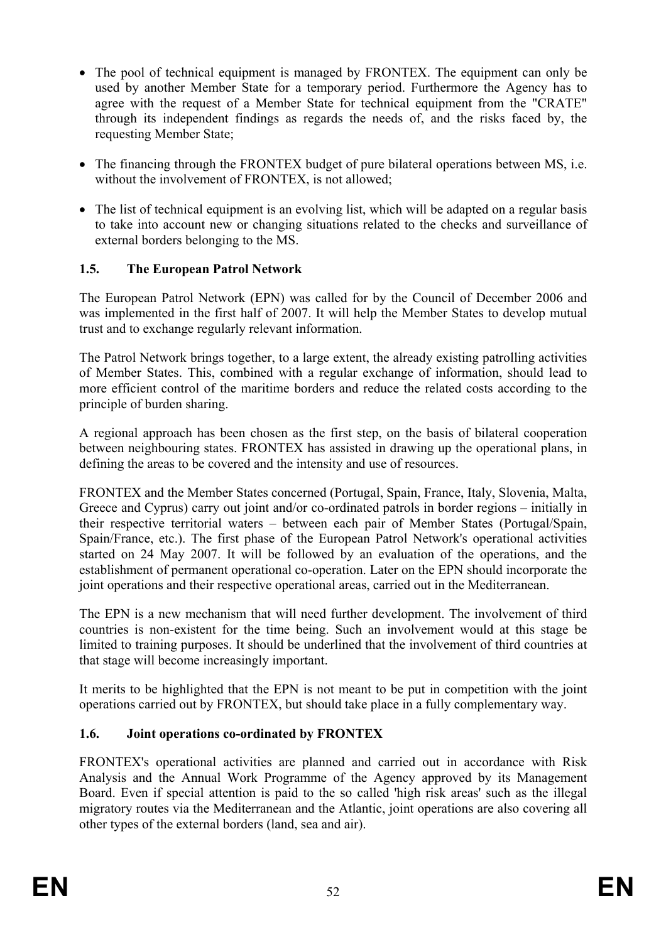- The pool of technical equipment is managed by FRONTEX. The equipment can only be used by another Member State for a temporary period. Furthermore the Agency has to agree with the request of a Member State for technical equipment from the "CRATE" through its independent findings as regards the needs of, and the risks faced by, the requesting Member State;
- The financing through the FRONTEX budget of pure bilateral operations between MS, i.e. without the involvement of FRONTEX, is not allowed;
- The list of technical equipment is an evolving list, which will be adapted on a regular basis to take into account new or changing situations related to the checks and surveillance of external borders belonging to the MS.

# **1.5. The European Patrol Network**

The European Patrol Network (EPN) was called for by the Council of December 2006 and was implemented in the first half of 2007. It will help the Member States to develop mutual trust and to exchange regularly relevant information.

The Patrol Network brings together, to a large extent, the already existing patrolling activities of Member States. This, combined with a regular exchange of information, should lead to more efficient control of the maritime borders and reduce the related costs according to the principle of burden sharing.

A regional approach has been chosen as the first step, on the basis of bilateral cooperation between neighbouring states. FRONTEX has assisted in drawing up the operational plans, in defining the areas to be covered and the intensity and use of resources.

FRONTEX and the Member States concerned (Portugal, Spain, France, Italy, Slovenia, Malta, Greece and Cyprus) carry out joint and/or co-ordinated patrols in border regions – initially in their respective territorial waters – between each pair of Member States (Portugal/Spain, Spain/France, etc.). The first phase of the European Patrol Network's operational activities started on 24 May 2007. It will be followed by an evaluation of the operations, and the establishment of permanent operational co-operation. Later on the EPN should incorporate the joint operations and their respective operational areas, carried out in the Mediterranean.

The EPN is a new mechanism that will need further development. The involvement of third countries is non-existent for the time being. Such an involvement would at this stage be limited to training purposes. It should be underlined that the involvement of third countries at that stage will become increasingly important.

It merits to be highlighted that the EPN is not meant to be put in competition with the joint operations carried out by FRONTEX, but should take place in a fully complementary way.

# **1.6. Joint operations co-ordinated by FRONTEX**

FRONTEX's operational activities are planned and carried out in accordance with Risk Analysis and the Annual Work Programme of the Agency approved by its Management Board. Even if special attention is paid to the so called 'high risk areas' such as the illegal migratory routes via the Mediterranean and the Atlantic, joint operations are also covering all other types of the external borders (land, sea and air).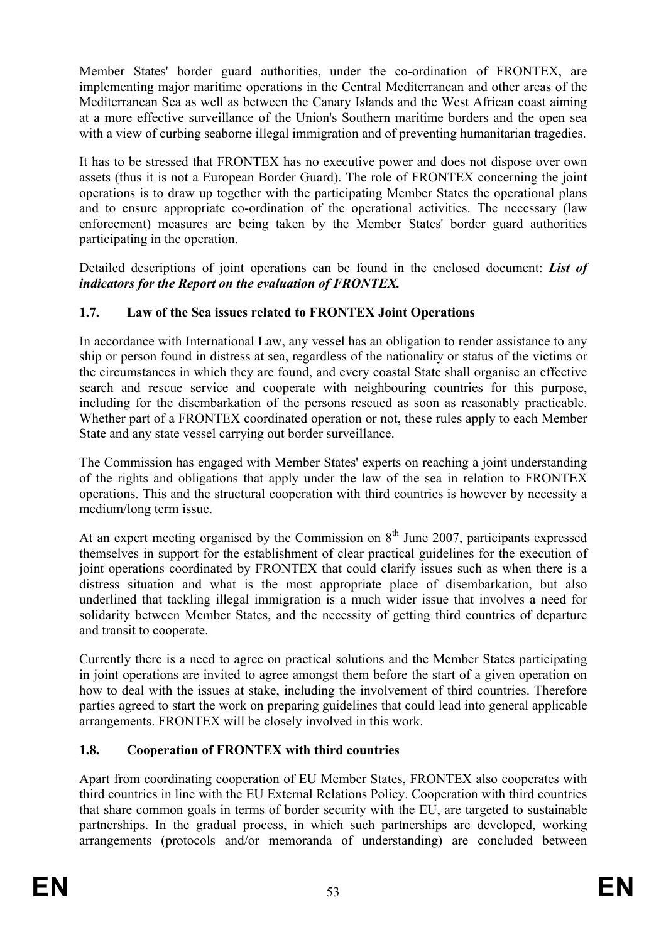Member States' border guard authorities, under the co-ordination of FRONTEX, are implementing major maritime operations in the Central Mediterranean and other areas of the Mediterranean Sea as well as between the Canary Islands and the West African coast aiming at a more effective surveillance of the Union's Southern maritime borders and the open sea with a view of curbing seaborne illegal immigration and of preventing humanitarian tragedies.

It has to be stressed that FRONTEX has no executive power and does not dispose over own assets (thus it is not a European Border Guard). The role of FRONTEX concerning the joint operations is to draw up together with the participating Member States the operational plans and to ensure appropriate co-ordination of the operational activities. The necessary (law enforcement) measures are being taken by the Member States' border guard authorities participating in the operation.

Detailed descriptions of joint operations can be found in the enclosed document: *List of indicators for the Report on the evaluation of FRONTEX.* 

# **1.7. Law of the Sea issues related to FRONTEX Joint Operations**

In accordance with International Law, any vessel has an obligation to render assistance to any ship or person found in distress at sea, regardless of the nationality or status of the victims or the circumstances in which they are found, and every coastal State shall organise an effective search and rescue service and cooperate with neighbouring countries for this purpose, including for the disembarkation of the persons rescued as soon as reasonably practicable. Whether part of a FRONTEX coordinated operation or not, these rules apply to each Member State and any state vessel carrying out border surveillance.

The Commission has engaged with Member States' experts on reaching a joint understanding of the rights and obligations that apply under the law of the sea in relation to FRONTEX operations. This and the structural cooperation with third countries is however by necessity a medium/long term issue.

At an expert meeting organised by the Commission on  $8<sup>th</sup>$  June 2007, participants expressed themselves in support for the establishment of clear practical guidelines for the execution of joint operations coordinated by FRONTEX that could clarify issues such as when there is a distress situation and what is the most appropriate place of disembarkation, but also underlined that tackling illegal immigration is a much wider issue that involves a need for solidarity between Member States, and the necessity of getting third countries of departure and transit to cooperate.

Currently there is a need to agree on practical solutions and the Member States participating in joint operations are invited to agree amongst them before the start of a given operation on how to deal with the issues at stake, including the involvement of third countries. Therefore parties agreed to start the work on preparing guidelines that could lead into general applicable arrangements. FRONTEX will be closely involved in this work.

# **1.8. Cooperation of FRONTEX with third countries**

Apart from coordinating cooperation of EU Member States, FRONTEX also cooperates with third countries in line with the EU External Relations Policy. Cooperation with third countries that share common goals in terms of border security with the EU, are targeted to sustainable partnerships. In the gradual process, in which such partnerships are developed, working arrangements (protocols and/or memoranda of understanding) are concluded between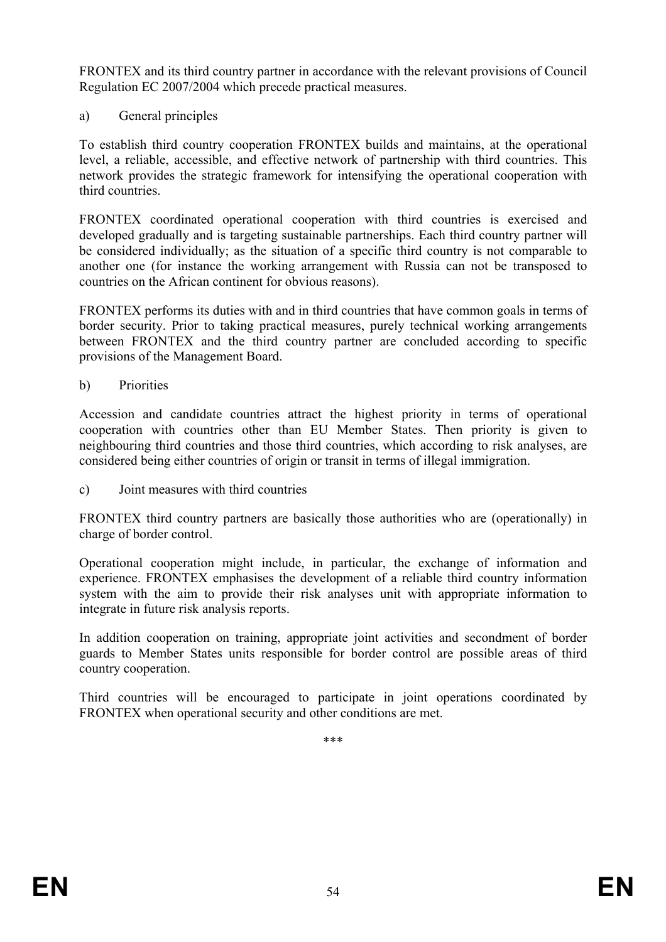FRONTEX and its third country partner in accordance with the relevant provisions of Council Regulation EC 2007/2004 which precede practical measures.

a) General principles

To establish third country cooperation FRONTEX builds and maintains, at the operational level, a reliable, accessible, and effective network of partnership with third countries. This network provides the strategic framework for intensifying the operational cooperation with third countries.

FRONTEX coordinated operational cooperation with third countries is exercised and developed gradually and is targeting sustainable partnerships. Each third country partner will be considered individually; as the situation of a specific third country is not comparable to another one (for instance the working arrangement with Russia can not be transposed to countries on the African continent for obvious reasons).

FRONTEX performs its duties with and in third countries that have common goals in terms of border security. Prior to taking practical measures, purely technical working arrangements between FRONTEX and the third country partner are concluded according to specific provisions of the Management Board.

b) Priorities

Accession and candidate countries attract the highest priority in terms of operational cooperation with countries other than EU Member States. Then priority is given to neighbouring third countries and those third countries, which according to risk analyses, are considered being either countries of origin or transit in terms of illegal immigration.

c) Joint measures with third countries

FRONTEX third country partners are basically those authorities who are (operationally) in charge of border control.

Operational cooperation might include, in particular, the exchange of information and experience. FRONTEX emphasises the development of a reliable third country information system with the aim to provide their risk analyses unit with appropriate information to integrate in future risk analysis reports.

In addition cooperation on training, appropriate joint activities and secondment of border guards to Member States units responsible for border control are possible areas of third country cooperation.

Third countries will be encouraged to participate in joint operations coordinated by FRONTEX when operational security and other conditions are met.

\*\*\*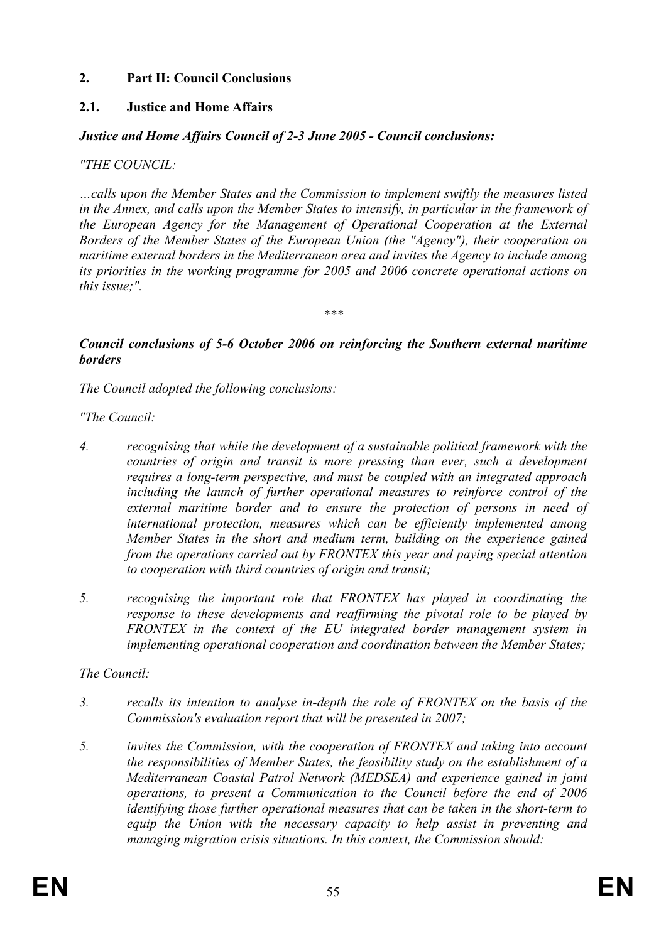# **2. Part II: Council Conclusions**

# **2.1. Justice and Home Affairs**

### *Justice and Home Affairs Council of 2-3 June 2005 - Council conclusions:*

#### *"THE COUNCIL:*

*…calls upon the Member States and the Commission to implement swiftly the measures listed in the Annex, and calls upon the Member States to intensify, in particular in the framework of the European Agency for the Management of Operational Cooperation at the External Borders of the Member States of the European Union (the "Agency"), their cooperation on maritime external borders in the Mediterranean area and invites the Agency to include among its priorities in the working programme for 2005 and 2006 concrete operational actions on this issue;".* 

*\*\*\** 

### *Council conclusions of 5-6 October 2006 on reinforcing the Southern external maritime borders*

*The Council adopted the following conclusions:* 

*"The Council:* 

- *4. recognising that while the development of a sustainable political framework with the countries of origin and transit is more pressing than ever, such a development requires a long-term perspective, and must be coupled with an integrated approach including the launch of further operational measures to reinforce control of the*  external maritime border and to ensure the protection of persons in need of *international protection, measures which can be efficiently implemented among Member States in the short and medium term, building on the experience gained from the operations carried out by FRONTEX this year and paying special attention to cooperation with third countries of origin and transit;*
- *5. recognising the important role that FRONTEX has played in coordinating the response to these developments and reaffirming the pivotal role to be played by FRONTEX in the context of the EU integrated border management system in implementing operational cooperation and coordination between the Member States;*

# *The Council:*

- *3. recalls its intention to analyse in-depth the role of FRONTEX on the basis of the Commission's evaluation report that will be presented in 2007;*
- *5. invites the Commission, with the cooperation of FRONTEX and taking into account the responsibilities of Member States, the feasibility study on the establishment of a Mediterranean Coastal Patrol Network (MEDSEA) and experience gained in joint operations, to present a Communication to the Council before the end of 2006 identifying those further operational measures that can be taken in the short-term to equip the Union with the necessary capacity to help assist in preventing and managing migration crisis situations. In this context, the Commission should:*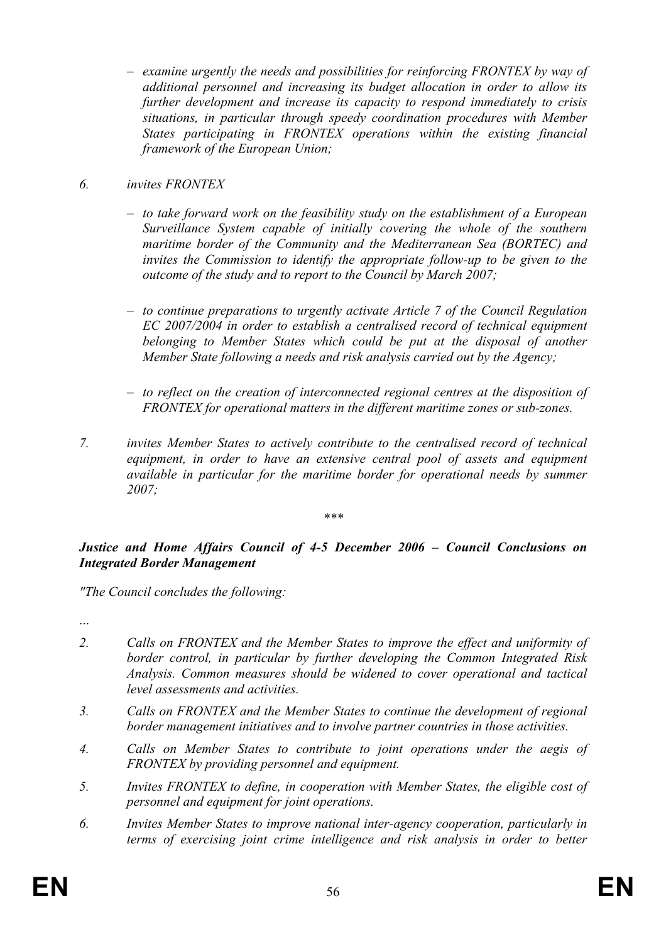– *examine urgently the needs and possibilities for reinforcing FRONTEX by way of additional personnel and increasing its budget allocation in order to allow its further development and increase its capacity to respond immediately to crisis situations, in particular through speedy coordination procedures with Member States participating in FRONTEX operations within the existing financial framework of the European Union;* 

# *6. invites FRONTEX*

- *to take forward work on the feasibility study on the establishment of a European Surveillance System capable of initially covering the whole of the southern maritime border of the Community and the Mediterranean Sea (BORTEC) and invites the Commission to identify the appropriate follow-up to be given to the outcome of the study and to report to the Council by March 2007;*
- *to continue preparations to urgently activate Article 7 of the Council Regulation EC 2007/2004 in order to establish a centralised record of technical equipment belonging to Member States which could be put at the disposal of another Member State following a needs and risk analysis carried out by the Agency;*
- *to reflect on the creation of interconnected regional centres at the disposition of FRONTEX for operational matters in the different maritime zones or sub-zones.*
- *7. invites Member States to actively contribute to the centralised record of technical equipment, in order to have an extensive central pool of assets and equipment available in particular for the maritime border for operational needs by summer 2007;*

#### *\*\*\**

### *Justice and Home Affairs Council of 4-5 December 2006 – Council Conclusions on Integrated Border Management*

*"The Council concludes the following:* 

...

- *2. Calls on FRONTEX and the Member States to improve the effect and uniformity of border control, in particular by further developing the Common Integrated Risk Analysis. Common measures should be widened to cover operational and tactical level assessments and activities.*
- *3. Calls on FRONTEX and the Member States to continue the development of regional border management initiatives and to involve partner countries in those activities.*
- *4. Calls on Member States to contribute to joint operations under the aegis of FRONTEX by providing personnel and equipment.*
- *5. Invites FRONTEX to define, in cooperation with Member States, the eligible cost of personnel and equipment for joint operations.*
- *6. Invites Member States to improve national inter-agency cooperation, particularly in terms of exercising joint crime intelligence and risk analysis in order to better*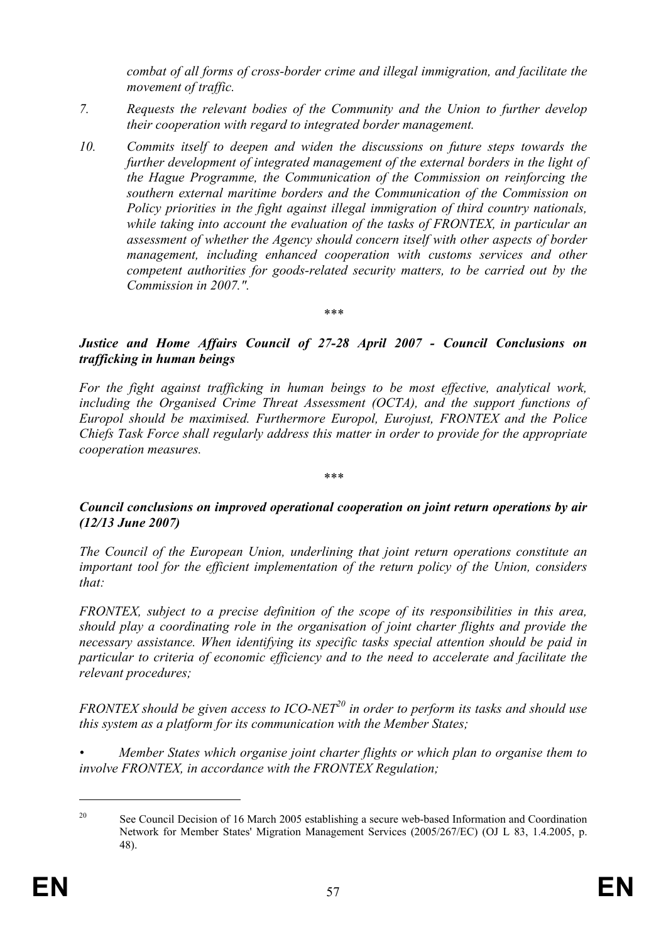*combat of all forms of cross-border crime and illegal immigration, and facilitate the movement of traffic.* 

- *7. Requests the relevant bodies of the Community and the Union to further develop their cooperation with regard to integrated border management.*
- *10. Commits itself to deepen and widen the discussions on future steps towards the further development of integrated management of the external borders in the light of the Hague Programme, the Communication of the Commission on reinforcing the southern external maritime borders and the Communication of the Commission on Policy priorities in the fight against illegal immigration of third country nationals, while taking into account the evaluation of the tasks of FRONTEX, in particular an assessment of whether the Agency should concern itself with other aspects of border management, including enhanced cooperation with customs services and other competent authorities for goods-related security matters, to be carried out by the Commission in 2007.".*

*Justice and Home Affairs Council of 27-28 April 2007 - Council Conclusions on trafficking in human beings* 

*\*\*\** 

*For the fight against trafficking in human beings to be most effective, analytical work, including the Organised Crime Threat Assessment (OCTA), and the support functions of Europol should be maximised. Furthermore Europol, Eurojust, FRONTEX and the Police Chiefs Task Force shall regularly address this matter in order to provide for the appropriate cooperation measures.* 

*Council conclusions on improved operational cooperation on joint return operations by air (12/13 June 2007)* 

*\*\*\** 

*The Council of the European Union, underlining that joint return operations constitute an important tool for the efficient implementation of the return policy of the Union, considers that:* 

*FRONTEX, subject to a precise definition of the scope of its responsibilities in this area, should play a coordinating role in the organisation of joint charter flights and provide the necessary assistance. When identifying its specific tasks special attention should be paid in particular to criteria of economic efficiency and to the need to accelerate and facilitate the relevant procedures;* 

*FRONTEX should be given access to ICO-NET*<sup>20</sup> in order to perform its tasks and should use *this system as a platform for its communication with the Member States;* 

*• Member States which organise joint charter flights or which plan to organise them to involve FRONTEX, in accordance with the FRONTEX Regulation;* 

1

<sup>&</sup>lt;sup>20</sup> See Council Decision of 16 March 2005 establishing a secure web-based Information and Coordination Network for Member States' Migration Management Services (2005/267/EC) (OJ L 83, 1.4.2005, p. 48).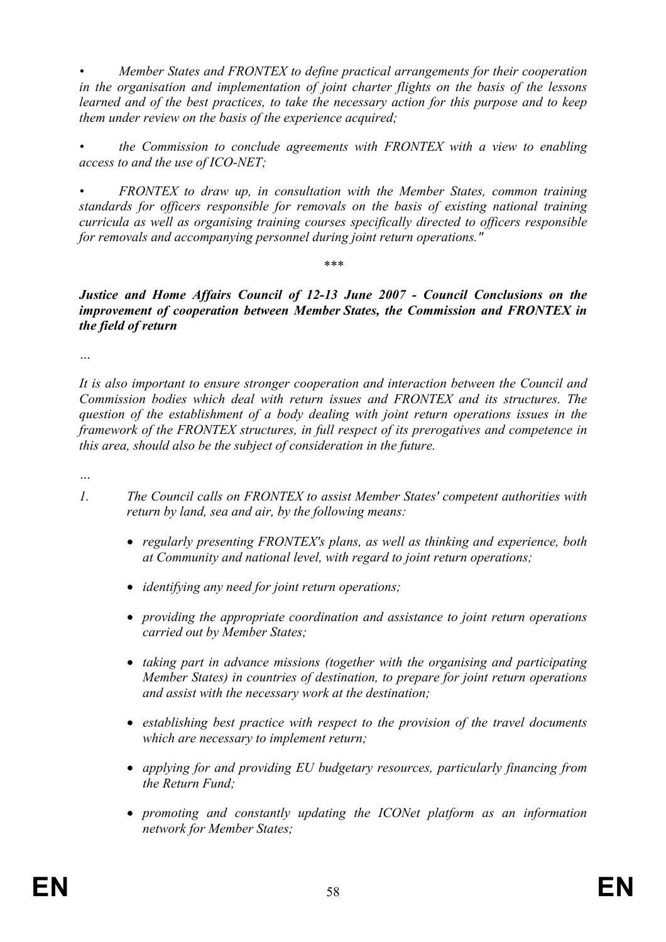*• Member States and FRONTEX to define practical arrangements for their cooperation in the organisation and implementation of joint charter flights on the basis of the lessons learned and of the best practices, to take the necessary action for this purpose and to keep them under review on the basis of the experience acquired;* 

*• the Commission to conclude agreements with FRONTEX with a view to enabling access to and the use of ICO-NET;* 

*• FRONTEX to draw up, in consultation with the Member States, common training standards for officers responsible for removals on the basis of existing national training curricula as well as organising training courses specifically directed to officers responsible for removals and accompanying personnel during joint return operations."* 

*Justice and Home Affairs Council of 12-13 June 2007 - Council Conclusions on the improvement of cooperation between Member States, the Commission and FRONTEX in the field of return* 

*\*\*\** 

*…* 

*It is also important to ensure stronger cooperation and interaction between the Council and Commission bodies which deal with return issues and FRONTEX and its structures. The question of the establishment of a body dealing with joint return operations issues in the framework of the FRONTEX structures, in full respect of its prerogatives and competence in this area, should also be the subject of consideration in the future.* 

*…* 

- *1. The Council calls on FRONTEX to assist Member States' competent authorities with return by land, sea and air, by the following means:* 
	- *regularly presenting FRONTEX's plans, as well as thinking and experience, both at Community and national level, with regard to joint return operations;*
	- *identifying any need for joint return operations;*
	- *providing the appropriate coordination and assistance to joint return operations carried out by Member States;*
	- *taking part in advance missions (together with the organising and participating Member States) in countries of destination, to prepare for joint return operations and assist with the necessary work at the destination;*
	- *establishing best practice with respect to the provision of the travel documents which are necessary to implement return;*
	- *applying for and providing EU budgetary resources, particularly financing from the Return Fund;*
	- *promoting and constantly updating the ICONet platform as an information network for Member States;*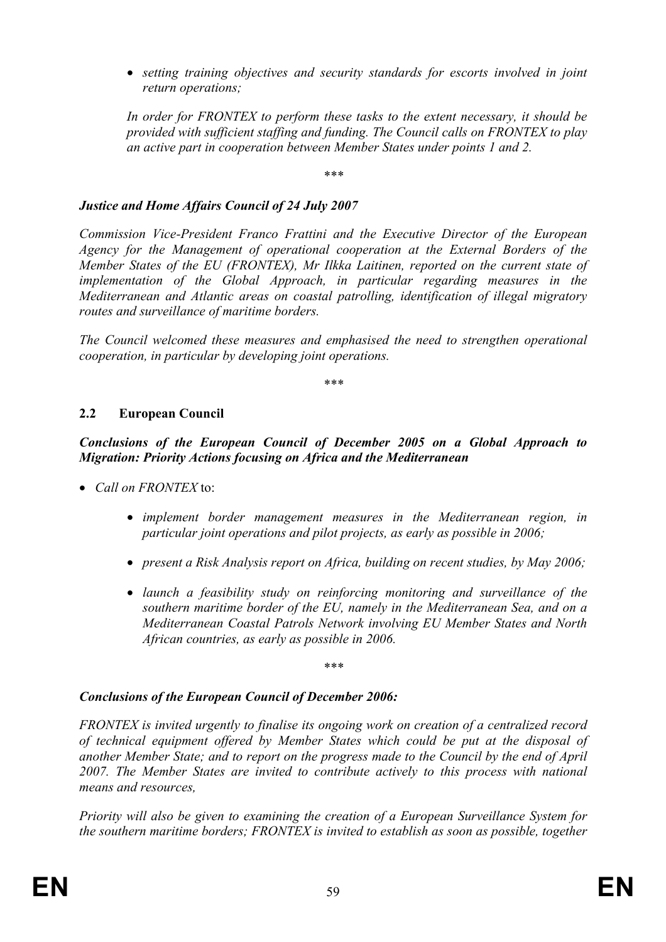• *setting training objectives and security standards for escorts involved in joint return operations;* 

*In order for FRONTEX to perform these tasks to the extent necessary, it should be provided with sufficient staffing and funding. The Council calls on FRONTEX to play an active part in cooperation between Member States under points 1 and 2.* 

*\*\*\** 

### *Justice and Home Affairs Council of 24 July 2007*

*Commission Vice-President Franco Frattini and the Executive Director of the European Agency for the Management of operational cooperation at the External Borders of the Member States of the EU (FRONTEX), Mr Ilkka Laitinen, reported on the current state of implementation of the Global Approach, in particular regarding measures in the Mediterranean and Atlantic areas on coastal patrolling, identification of illegal migratory routes and surveillance of maritime borders.* 

*The Council welcomed these measures and emphasised the need to strengthen operational cooperation, in particular by developing joint operations.* 

*\*\*\** 

### **2.2 European Council**

*Conclusions of the European Council of December 2005 on a Global Approach to Migration: Priority Actions focusing on Africa and the Mediterranean* 

- *Call on FRONTEX* to:
	- *implement border management measures in the Mediterranean region, in particular joint operations and pilot projects, as early as possible in 2006;*
	- *present a Risk Analysis report on Africa, building on recent studies, by May 2006;*
	- *launch a feasibility study on reinforcing monitoring and surveillance of the southern maritime border of the EU, namely in the Mediterranean Sea, and on a Mediterranean Coastal Patrols Network involving EU Member States and North African countries, as early as possible in 2006.*

*\*\*\** 

#### *Conclusions of the European Council of December 2006:*

*FRONTEX is invited urgently to finalise its ongoing work on creation of a centralized record of technical equipment offered by Member States which could be put at the disposal of another Member State; and to report on the progress made to the Council by the end of April 2007. The Member States are invited to contribute actively to this process with national means and resources,* 

*Priority will also be given to examining the creation of a European Surveillance System for the southern maritime borders; FRONTEX is invited to establish as soon as possible, together*